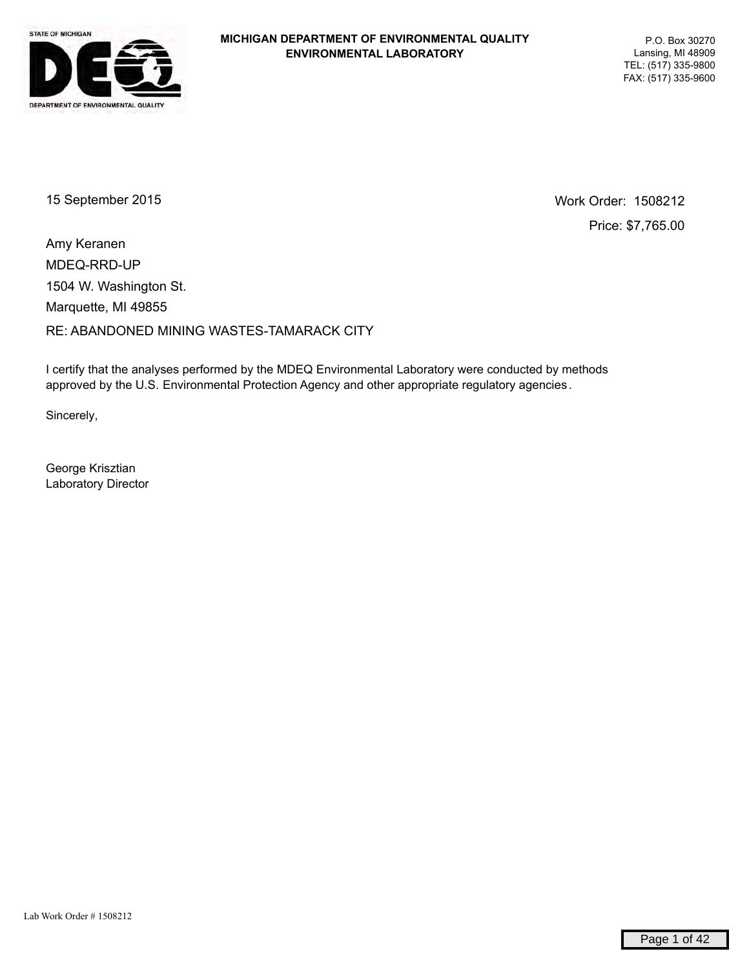

15 September 2015 Work Order: 1508212

Price: \$7,765.00

MDEQ-RRD-UP RE: ABANDONED MINING WASTES-TAMARACK CITY Marquette, MI 49855 1504 W. Washington St. Amy Keranen

I certify that the analyses performed by the MDEQ Environmental Laboratory were conducted by methods approved by the U.S. Environmental Protection Agency and other appropriate regulatory agencies .

Sincerely,

George Krisztian Laboratory Director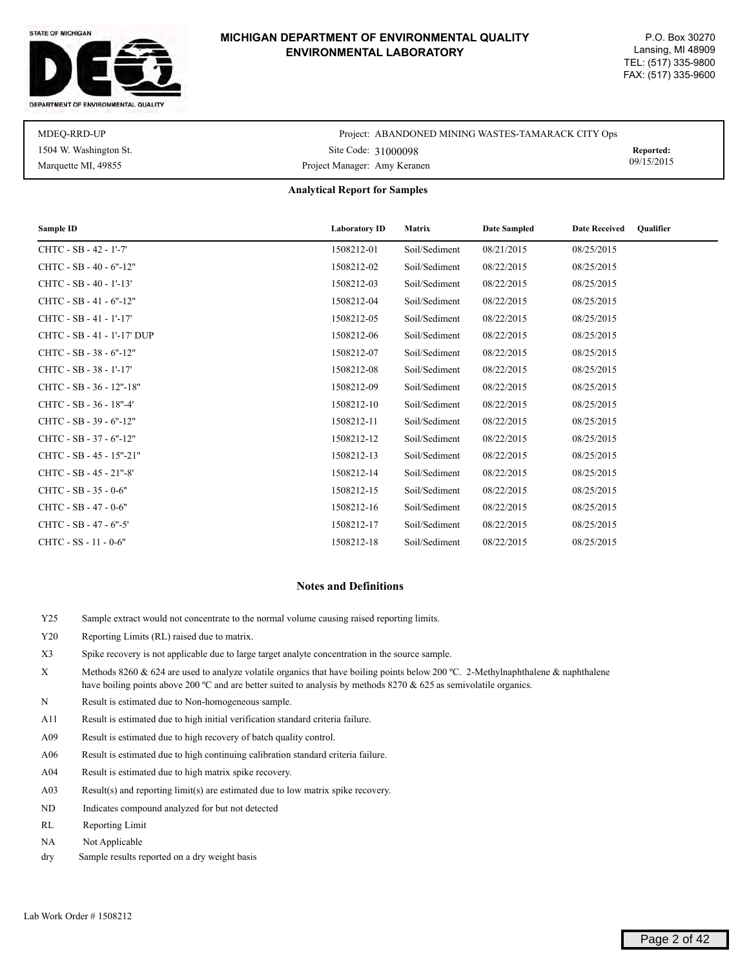



| MDEO-RRD-UP            | Project: ABANDONED MINING WASTES-TAMARACK CITY Ops |            |
|------------------------|----------------------------------------------------|------------|
| 1504 W. Washington St. | Site Code: 31000098                                | Reported:  |
| Marquette MI, 49855    | Project Manager: Amy Keranen                       | 09/15/2015 |

#### **Analytical Report for Samples**

| Sample ID                   | <b>Laboratory ID</b> | Matrix        | <b>Date Sampled</b> | <b>Date Received</b><br>Oualifier |
|-----------------------------|----------------------|---------------|---------------------|-----------------------------------|
| CHTC - SB - 42 - 1'-7'      | 1508212-01           | Soil/Sediment | 08/21/2015          | 08/25/2015                        |
| CHTC - SB - 40 - 6"-12"     | 1508212-02           | Soil/Sediment | 08/22/2015          | 08/25/2015                        |
| CHTC - SB - 40 - 1'-13'     | 1508212-03           | Soil/Sediment | 08/22/2015          | 08/25/2015                        |
| CHTC - SB - 41 - 6"-12"     | 1508212-04           | Soil/Sediment | 08/22/2015          | 08/25/2015                        |
| CHTC - SB - 41 - 1'-17'     | 1508212-05           | Soil/Sediment | 08/22/2015          | 08/25/2015                        |
| CHTC - SB - 41 - 1'-17' DUP | 1508212-06           | Soil/Sediment | 08/22/2015          | 08/25/2015                        |
| CHTC - SB - 38 - 6"-12"     | 1508212-07           | Soil/Sediment | 08/22/2015          | 08/25/2015                        |
| CHTC - SB - 38 - 1'-17'     | 1508212-08           | Soil/Sediment | 08/22/2015          | 08/25/2015                        |
| CHTC - SB - 36 - 12"-18"    | 1508212-09           | Soil/Sediment | 08/22/2015          | 08/25/2015                        |
| CHTC - SB - 36 - 18"-4"     | 1508212-10           | Soil/Sediment | 08/22/2015          | 08/25/2015                        |
| CHTC - SB - 39 - 6"-12"     | 1508212-11           | Soil/Sediment | 08/22/2015          | 08/25/2015                        |
| CHTC - SB - 37 - 6"-12"     | 1508212-12           | Soil/Sediment | 08/22/2015          | 08/25/2015                        |
| CHTC - SB - 45 - 15"-21"    | 1508212-13           | Soil/Sediment | 08/22/2015          | 08/25/2015                        |
| CHTC - SB - 45 - 21"-8"     | 1508212-14           | Soil/Sediment | 08/22/2015          | 08/25/2015                        |
| CHTC - SB - 35 - 0-6"       | 1508212-15           | Soil/Sediment | 08/22/2015          | 08/25/2015                        |
| CHTC - SB - 47 - 0-6"       | 1508212-16           | Soil/Sediment | 08/22/2015          | 08/25/2015                        |
| CHTC - SB - 47 - 6"-5"      | 1508212-17           | Soil/Sediment | 08/22/2015          | 08/25/2015                        |
| CHTC - SS - 11 - 0-6"       | 1508212-18           | Soil/Sediment | 08/22/2015          | 08/25/2015                        |

#### **Notes and Definitions**

- Y25 Sample extract would not concentrate to the normal volume causing raised reporting limits.
- Y20 Reporting Limits (RL) raised due to matrix.
- X3 Spike recovery is not applicable due to large target analyte concentration in the source sample.
- X Methods 8260 & 624 are used to analyze volatile organics that have boiling points below 200 ºC. 2-Methylnaphthalene & naphthalene have boiling points above 200 °C and are better suited to analysis by methods 8270 & 625 as semivolatile organics.
- N Result is estimated due to Non-homogeneous sample.
- A11 Result is estimated due to high initial verification standard criteria failure.
- A09 Result is estimated due to high recovery of batch quality control.
- A06 Result is estimated due to high continuing calibration standard criteria failure.
- A04 Result is estimated due to high matrix spike recovery.
- A03 Result(s) and reporting limit(s) are estimated due to low matrix spike recovery.
- ND Indicates compound analyzed for but not detected
- RL Reporting Limit
- NA Not Applicable
- dry Sample results reported on a dry weight basis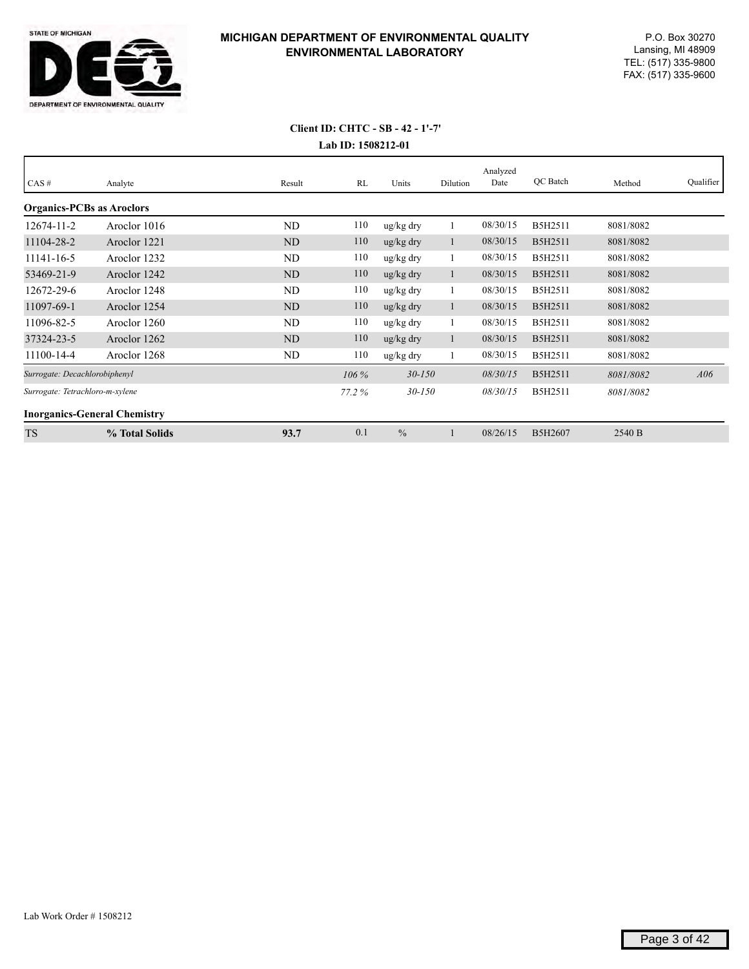

| CAS#                                | Analyte        | Result         | RL      | Units                 | Dilution | Analyzed<br>Date | QC Batch | Method    | Qualifier |
|-------------------------------------|----------------|----------------|---------|-----------------------|----------|------------------|----------|-----------|-----------|
|                                     |                |                |         |                       |          |                  |          |           |           |
| <b>Organics-PCBs as Aroclors</b>    |                |                |         |                       |          |                  |          |           |           |
| 12674-11-2                          | Aroclor 1016   | ND             | 110     | ug/kg dry             |          | 08/30/15         | B5H2511  | 8081/8082 |           |
| 11104-28-2                          | Aroclor 1221   | <b>ND</b>      | 110     | $\frac{u g}{k g}$ dry |          | 08/30/15         | B5H2511  | 8081/8082 |           |
| 11141-16-5                          | Aroclor 1232   | ND             | 110     | ug/kg dry             |          | 08/30/15         | B5H2511  | 8081/8082 |           |
| 53469-21-9                          | Aroclor 1242   | N <sub>D</sub> | 110     | $\frac{u g}{k g}$ dry |          | 08/30/15         | B5H2511  | 8081/8082 |           |
| 12672-29-6                          | Aroclor 1248   | ND             | 110     | ug/kg dry             |          | 08/30/15         | B5H2511  | 8081/8082 |           |
| 11097-69-1                          | Aroclor 1254   | <b>ND</b>      | 110     | $\frac{u g}{k g}$ dry |          | 08/30/15         | B5H2511  | 8081/8082 |           |
| 11096-82-5                          | Aroclor 1260   | ND             | 110     | ug/kg dry             |          | 08/30/15         | B5H2511  | 8081/8082 |           |
| 37324-23-5                          | Aroclor 1262   | ND             | 110     | $\frac{u g}{k g}$ dry |          | 08/30/15         | B5H2511  | 8081/8082 |           |
| 11100-14-4                          | Aroclor 1268   | ND             | 110     | ug/kg dry             |          | 08/30/15         | B5H2511  | 8081/8082 |           |
| Surrogate: Decachlorobiphenyl       |                |                | $106\%$ | $30 - 150$            |          | 08/30/15         | B5H2511  | 8081/8082 | A06       |
| Surrogate: Tetrachloro-m-xylene     |                |                | 77.2%   | $30 - 150$            |          | 08/30/15         | B5H2511  | 8081/8082 |           |
| <b>Inorganics-General Chemistry</b> |                |                |         |                       |          |                  |          |           |           |
| <b>TS</b>                           | % Total Solids | 93.7           | 0.1     | $\frac{0}{0}$         |          | 08/26/15         | B5H2607  | 2540 B    |           |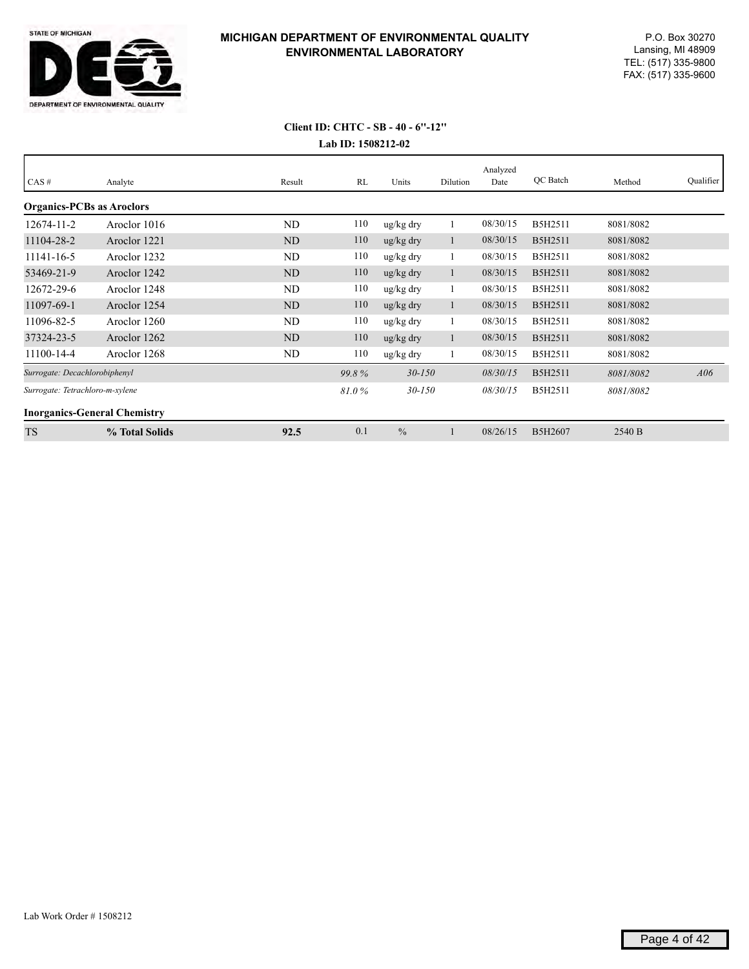

| CAS#                             | Analyte                             | Result         | RL    | Units                 | Dilution | Analyzed<br>Date | QC Batch | Method    | Qualifier |
|----------------------------------|-------------------------------------|----------------|-------|-----------------------|----------|------------------|----------|-----------|-----------|
| <b>Organics-PCBs as Aroclors</b> |                                     |                |       |                       |          |                  |          |           |           |
| 12674-11-2                       | Aroclor 1016                        | ND             | 110   | ug/kg dry             |          | 08/30/15         | B5H2511  | 8081/8082 |           |
| 11104-28-2                       | Aroclor 1221                        | N <sub>D</sub> | 110   | $\frac{u g}{k g}$ dry | -1       | 08/30/15         | B5H2511  | 8081/8082 |           |
| 11141-16-5                       | Aroclor 1232                        | <b>ND</b>      | 110   | ug/kg dry             |          | 08/30/15         | B5H2511  | 8081/8082 |           |
| 53469-21-9                       | Aroclor 1242                        | N <sub>D</sub> | 110   | ug/kg dry             |          | 08/30/15         | B5H2511  | 8081/8082 |           |
| 12672-29-6                       | Aroclor 1248                        | <b>ND</b>      | 110   | ug/kg dry             |          | 08/30/15         | B5H2511  | 8081/8082 |           |
| 11097-69-1                       | Aroclor 1254                        | N <sub>D</sub> | 110   | ug/kg dry             | 1        | 08/30/15         | B5H2511  | 8081/8082 |           |
| 11096-82-5                       | Aroclor 1260                        | <b>ND</b>      | 110   | ug/kg dry             |          | 08/30/15         | B5H2511  | 8081/8082 |           |
| 37324-23-5                       | Aroclor 1262                        | N <sub>D</sub> | 110   | $\frac{u g}{k g}$ dry |          | 08/30/15         | B5H2511  | 8081/8082 |           |
| 11100-14-4                       | Aroclor 1268                        | ND             | 110   | ug/kg dry             |          | 08/30/15         | B5H2511  | 8081/8082 |           |
| Surrogate: Decachlorobiphenyl    |                                     |                | 99.8% | $30 - 150$            |          | 08/30/15         | B5H2511  | 8081/8082 | A06       |
| Surrogate: Tetrachloro-m-xylene  |                                     |                | 81.0% | $30 - 150$            |          | 08/30/15         | B5H2511  | 8081/8082 |           |
|                                  | <b>Inorganics-General Chemistry</b> |                |       |                       |          |                  |          |           |           |
| <b>TS</b>                        | % Total Solids                      | 92.5           | 0.1   | $\frac{0}{0}$         |          | 08/26/15         | B5H2607  | 2540 B    |           |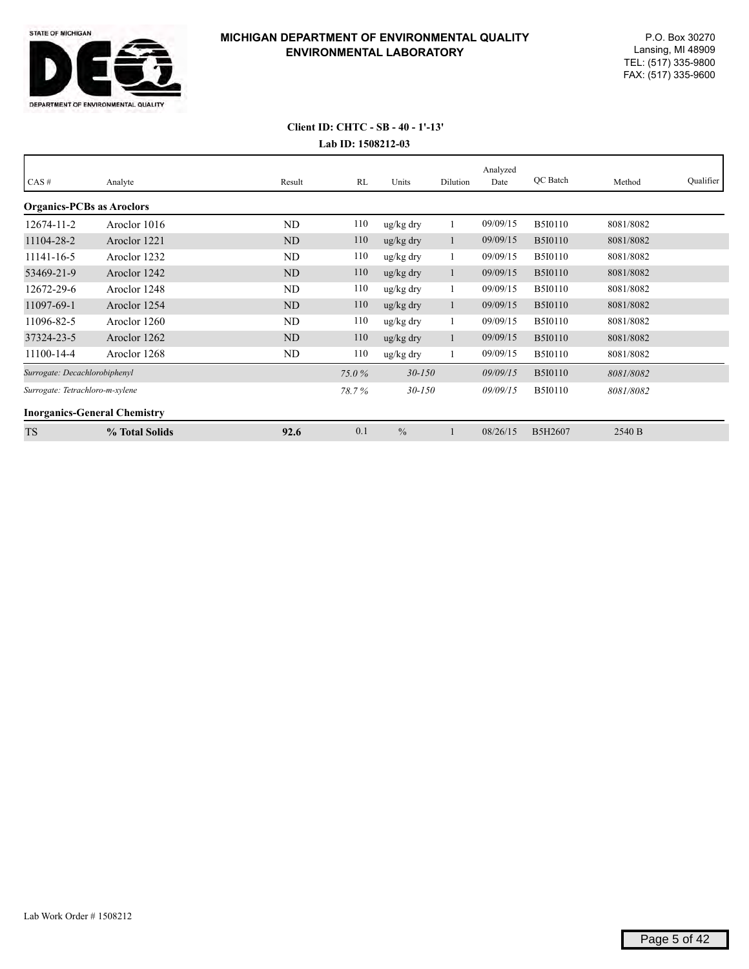

| CAS#                                | Analyte        | Result         | RL    | Units         | Dilution | Analyzed<br>Date | QC Batch       | Method    | Qualifier |
|-------------------------------------|----------------|----------------|-------|---------------|----------|------------------|----------------|-----------|-----------|
| <b>Organics-PCBs as Aroclors</b>    |                |                |       |               |          |                  |                |           |           |
| 12674-11-2                          | Aroclor 1016   | ND             | 110   | ug/kg dry     |          | 09/09/15         | <b>B5I0110</b> | 8081/8082 |           |
| 11104-28-2                          | Aroclor 1221   | N <sub>D</sub> | 110   | ug/kg dry     |          | 09/09/15         | <b>B5I0110</b> | 8081/8082 |           |
| 11141-16-5                          | Aroclor 1232   | ND             | 110   | ug/kg dry     |          | 09/09/15         | <b>B5I0110</b> | 8081/8082 |           |
| 53469-21-9                          | Aroclor 1242   | N <sub>D</sub> | 110   | ug/kg dry     |          | 09/09/15         | <b>B5I0110</b> | 8081/8082 |           |
| 12672-29-6                          | Aroclor 1248   | <b>ND</b>      | 110   | ug/kg dry     |          | 09/09/15         | <b>B5I0110</b> | 8081/8082 |           |
| 11097-69-1                          | Aroclor 1254   | <b>ND</b>      | 110   | ug/kg dry     |          | 09/09/15         | <b>B5I0110</b> | 8081/8082 |           |
| 11096-82-5                          | Aroclor 1260   | ND             | 110   | ug/kg dry     |          | 09/09/15         | <b>B5I0110</b> | 8081/8082 |           |
| 37324-23-5                          | Aroclor 1262   | ND             | 110   | ug/kg dry     | $\perp$  | 09/09/15         | <b>B5I0110</b> | 8081/8082 |           |
| 11100-14-4                          | Aroclor 1268   | ND             | 110   | ug/kg dry     |          | 09/09/15         | <b>B5I0110</b> | 8081/8082 |           |
| Surrogate: Decachlorobiphenyl       |                |                | 75.0% | $30 - 150$    |          | 09/09/15         | <b>B5I0110</b> | 8081/8082 |           |
| Surrogate: Tetrachloro-m-xylene     |                |                | 78.7% | $30 - 150$    |          | 09/09/15         | <b>B5I0110</b> | 8081/8082 |           |
| <b>Inorganics-General Chemistry</b> |                |                |       |               |          |                  |                |           |           |
| <b>TS</b>                           | % Total Solids | 92.6           | 0.1   | $\frac{0}{0}$ |          | 08/26/15         | B5H2607        | 2540 B    |           |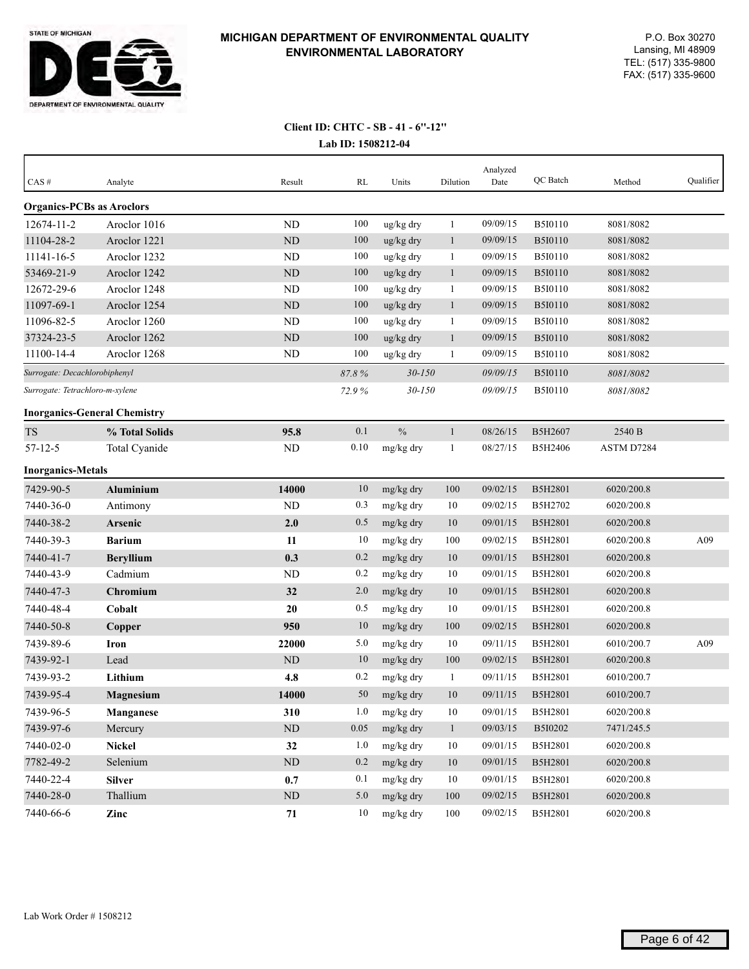

| $CAS \#$                            | Analyte          | Result    | RL    | Units         | Dilution     | Analyzed<br>Date | QC Batch       | Method     | Qualifier |
|-------------------------------------|------------------|-----------|-------|---------------|--------------|------------------|----------------|------------|-----------|
|                                     |                  |           |       |               |              |                  |                |            |           |
| <b>Organics-PCBs as Aroclors</b>    |                  |           |       |               |              |                  |                |            |           |
| $12674 - 11 - 2$                    | Aroclor 1016     | <b>ND</b> | 100   | ug/kg dry     | 1            | 09/09/15         | <b>B5I0110</b> | 8081/8082  |           |
| 11104-28-2                          | Aroclor 1221     | <b>ND</b> | 100   | ug/kg dry     | $\mathbf{1}$ | 09/09/15         | <b>B5I0110</b> | 8081/8082  |           |
| 11141-16-5                          | Aroclor 1232     | <b>ND</b> | 100   | ug/kg dry     | -1           | 09/09/15         | <b>B5I0110</b> | 8081/8082  |           |
| 53469-21-9                          | Aroclor 1242     | <b>ND</b> | 100   | ug/kg dry     | $\mathbf{1}$ | 09/09/15         | <b>B5I0110</b> | 8081/8082  |           |
| 12672-29-6                          | Aroclor 1248     | <b>ND</b> | 100   | ug/kg dry     | $\mathbf{1}$ | 09/09/15         | B5I0110        | 8081/8082  |           |
| 11097-69-1                          | Aroclor 1254     | ND        | 100   | ug/kg dry     | $\mathbf{1}$ | 09/09/15         | <b>B5I0110</b> | 8081/8082  |           |
| 11096-82-5                          | Aroclor 1260     | <b>ND</b> | 100   | ug/kg dry     | $\mathbf{1}$ | 09/09/15         | B5I0110        | 8081/8082  |           |
| 37324-23-5                          | Aroclor 1262     | <b>ND</b> | 100   | ug/kg dry     | $\mathbf{1}$ | 09/09/15         | <b>B5I0110</b> | 8081/8082  |           |
| 11100-14-4                          | Aroclor 1268     | <b>ND</b> | 100   | ug/kg dry     | -1           | 09/09/15         | B5I0110        | 8081/8082  |           |
| Surrogate: Decachlorobiphenyl       |                  |           | 87.8% | $30 - 150$    |              | 09/09/15         | <b>B5I0110</b> | 8081/8082  |           |
| Surrogate: Tetrachloro-m-xylene     |                  |           | 72.9% | $30 - 150$    |              | 09/09/15         | <b>B5I0110</b> | 8081/8082  |           |
| <b>Inorganics-General Chemistry</b> |                  |           |       |               |              |                  |                |            |           |
| <b>TS</b>                           | % Total Solids   | 95.8      | 0.1   | $\frac{0}{0}$ | $\mathbf{1}$ | 08/26/15         | B5H2607        | 2540 B     |           |
| $57 - 12 - 5$                       | Total Cyanide    | ND        | 0.10  | mg/kg dry     | -1           | 08/27/15         | B5H2406        | ASTM D7284 |           |
| <b>Inorganics-Metals</b>            |                  |           |       |               |              |                  |                |            |           |
| 7429-90-5                           | <b>Aluminium</b> | 14000     | 10    | mg/kg dry     | 100          | 09/02/15         | B5H2801        | 6020/200.8 |           |
| 7440-36-0                           | Antimony         | ND        | 0.3   | mg/kg dry     | 10           | 09/02/15         | B5H2702        | 6020/200.8 |           |
| 7440-38-2                           | Arsenic          | 2.0       | 0.5   | mg/kg dry     | 10           | 09/01/15         | <b>B5H2801</b> | 6020/200.8 |           |
| 7440-39-3                           | <b>Barium</b>    | 11        | 10    | mg/kg dry     | 100          | 09/02/15         | B5H2801        | 6020/200.8 | A09       |
| 7440-41-7                           | <b>Beryllium</b> | 0.3       | 0.2   | mg/kg dry     | 10           | 09/01/15         | B5H2801        | 6020/200.8 |           |
| 7440-43-9                           | Cadmium          | ND        | 0.2   | mg/kg dry     | 10           | 09/01/15         | B5H2801        | 6020/200.8 |           |
| 7440-47-3                           | Chromium         | 32        | 2.0   | mg/kg dry     | 10           | 09/01/15         | B5H2801        | 6020/200.8 |           |
| 7440-48-4                           | Cobalt           | 20        | 0.5   | mg/kg dry     | 10           | 09/01/15         | B5H2801        | 6020/200.8 |           |
| 7440-50-8                           | Copper           | 950       | 10    | mg/kg dry     | 100          | 09/02/15         | B5H2801        | 6020/200.8 |           |
| 7439-89-6                           | Iron             | 22000     | 5.0   | mg/kg dry     | 10           | 09/11/15         | B5H2801        | 6010/200.7 | A09       |
| 7439-92-1                           | Lead             | ND        | 10    | mg/kg dry     | 100          | 09/02/15         | B5H2801        | 6020/200.8 |           |
| 7439-93-2                           | Lithium          | 4.8       | 0.2   | mg/kg dry     | -1           | 09/11/15         | B5H2801        | 6010/200.7 |           |
| 7439-95-4                           | Magnesium        | 14000     | 50    | mg/kg dry     | 10           | 09/11/15         | B5H2801        | 6010/200.7 |           |
| 7439-96-5                           | Manganese        | 310       | 1.0   | mg/kg dry     | 10           | 09/01/15         | B5H2801        | 6020/200.8 |           |
| 7439-97-6                           | Mercury          | $\rm ND$  | 0.05  | mg/kg dry     | $\mathbf{1}$ | 09/03/15         | B5I0202        | 7471/245.5 |           |
| 7440-02-0                           | <b>Nickel</b>    | 32        | 1.0   | mg/kg dry     | $10\,$       | 09/01/15         | B5H2801        | 6020/200.8 |           |
| 7782-49-2                           | Selenium         | $\rm ND$  | 0.2   | mg/kg dry     | 10           | 09/01/15         | B5H2801        | 6020/200.8 |           |
| 7440-22-4                           | <b>Silver</b>    | 0.7       | 0.1   | mg/kg dry     | 10           | 09/01/15         | B5H2801        | 6020/200.8 |           |
| 7440-28-0                           | Thallium         | $\rm ND$  | 5.0   | mg/kg dry     | $100\,$      | 09/02/15         | B5H2801        | 6020/200.8 |           |
| 7440-66-6                           | Zinc             | 71        | 10    | mg/kg dry     | 100          | 09/02/15         | B5H2801        | 6020/200.8 |           |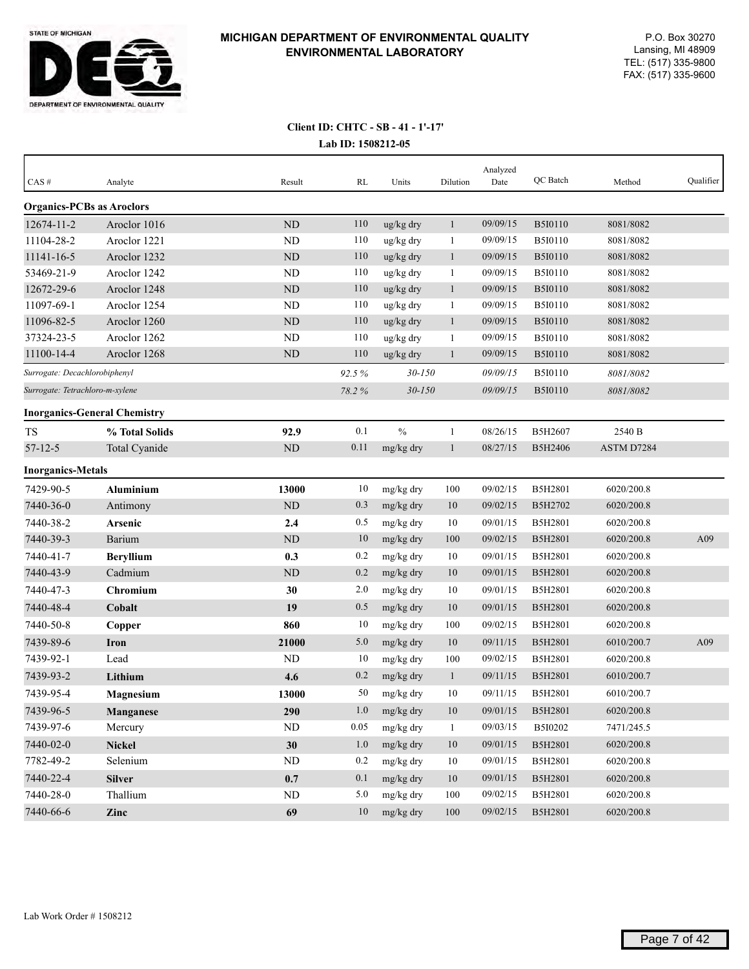

| CAS#                             | Analyte                             | Result    | RL    | Units                 | Dilution     | Analyzed<br>Date | QC Batch       | Method     | Qualifier |
|----------------------------------|-------------------------------------|-----------|-------|-----------------------|--------------|------------------|----------------|------------|-----------|
| <b>Organics-PCBs as Aroclors</b> |                                     |           |       |                       |              |                  |                |            |           |
| 12674-11-2                       | Aroclor 1016                        | <b>ND</b> | 110   | ug/kg dry             | $\mathbf{1}$ | 09/09/15         | <b>B5I0110</b> | 8081/8082  |           |
| 11104-28-2                       | Aroclor 1221                        | ND        | 110   | ug/kg dry             | 1            | 09/09/15         | <b>B5I0110</b> | 8081/8082  |           |
| 11141-16-5                       | Aroclor 1232                        | ND        | 110   | $\frac{u g}{k g}$ dry | $\mathbf{1}$ | 09/09/15         | <b>B5I0110</b> | 8081/8082  |           |
| 53469-21-9                       | Aroclor 1242                        | <b>ND</b> | 110   | ug/kg dry             | $\mathbf{1}$ | 09/09/15         | <b>B5I0110</b> | 8081/8082  |           |
| 12672-29-6                       | Aroclor 1248                        | ND        | 110   | ug/kg dry             | $\mathbf{1}$ | 09/09/15         | <b>B5I0110</b> | 8081/8082  |           |
| 11097-69-1                       | Aroclor 1254                        | ND        | 110   | ug/kg dry             | 1            | 09/09/15         | B5I0110        | 8081/8082  |           |
| 11096-82-5                       | Aroclor 1260                        | ND        | 110   | ug/kg dry             | $\mathbf{1}$ | 09/09/15         | <b>B5I0110</b> | 8081/8082  |           |
| 37324-23-5                       | Aroclor 1262                        | <b>ND</b> | 110   | ug/kg dry             | 1            | 09/09/15         | <b>B5I0110</b> | 8081/8082  |           |
| 11100-14-4                       | Aroclor 1268                        | ND        | 110   | ug/kg dry             | $\mathbf{1}$ | 09/09/15         | <b>B5I0110</b> | 8081/8082  |           |
| Surrogate: Decachlorobiphenyl    |                                     |           | 92.5% | $30 - 150$            |              | 09/09/15         | <b>B5I0110</b> | 8081/8082  |           |
| Surrogate: Tetrachloro-m-xylene  |                                     |           | 78.2% | $30 - 150$            |              | 09/09/15         | <b>B5I0110</b> | 8081/8082  |           |
|                                  | <b>Inorganics-General Chemistry</b> |           |       |                       |              |                  |                |            |           |
| <b>TS</b>                        | % Total Solids                      | 92.9      | 0.1   | $\frac{0}{0}$         | 1            | 08/26/15         | B5H2607        | 2540 B     |           |
| $57 - 12 - 5$                    | Total Cyanide                       | ND        | 0.11  | mg/kg dry             | $\mathbf{1}$ | 08/27/15         | <b>B5H2406</b> | ASTM D7284 |           |
| <b>Inorganics-Metals</b>         |                                     |           |       |                       |              |                  |                |            |           |
| 7429-90-5                        | Aluminium                           | 13000     | 10    | mg/kg dry             | 100          | 09/02/15         | <b>B5H2801</b> | 6020/200.8 |           |
| 7440-36-0                        | Antimony                            | ND        | 0.3   | mg/kg dry             | 10           | 09/02/15         | B5H2702        | 6020/200.8 |           |
| 7440-38-2                        | Arsenic                             | 2.4       | 0.5   | mg/kg dry             | 10           | 09/01/15         | <b>B5H2801</b> | 6020/200.8 |           |
| 7440-39-3                        | Barium                              | ND        | 10    | mg/kg dry             | 100          | 09/02/15         | B5H2801        | 6020/200.8 | A09       |
| 7440-41-7                        | <b>Beryllium</b>                    | 0.3       | 0.2   | mg/kg dry             | 10           | 09/01/15         | B5H2801        | 6020/200.8 |           |
| 7440-43-9                        | Cadmium                             | ND        | 0.2   | mg/kg dry             | 10           | 09/01/15         | B5H2801        | 6020/200.8 |           |
| 7440-47-3                        | Chromium                            | 30        | 2.0   | mg/kg dry             | 10           | 09/01/15         | B5H2801        | 6020/200.8 |           |
| 7440-48-4                        | Cobalt                              | 19        | 0.5   | mg/kg dry             | 10           | 09/01/15         | B5H2801        | 6020/200.8 |           |
| 7440-50-8                        | Copper                              | 860       | 10    | mg/kg dry             | 100          | 09/02/15         | <b>B5H2801</b> | 6020/200.8 |           |
| 7439-89-6                        | <b>Iron</b>                         | 21000     | 5.0   | mg/kg dry             | 10           | 09/11/15         | B5H2801        | 6010/200.7 | A09       |
| 7439-92-1                        | Lead                                | <b>ND</b> | 10    | mg/kg dry             | 100          | 09/02/15         | B5H2801        | 6020/200.8 |           |
| 7439-93-2                        | Lithium                             | 4.6       | 0.2   | mg/kg dry             | $\mathbf{1}$ | 09/11/15         | B5H2801        | 6010/200.7 |           |
| 7439-95-4                        | <b>Magnesium</b>                    | 13000     | 50    | mg/kg dry             | 10           | 09/11/15         | <b>B5H2801</b> | 6010/200.7 |           |
| 7439-96-5                        | <b>Manganese</b>                    | 290       | 1.0   | mg/kg dry             | 10           | 09/01/15         | B5H2801        | 6020/200.8 |           |
| 7439-97-6                        | Mercury                             | ND        | 0.05  | mg/kg dry             | -1           | 09/03/15         | B5I0202        | 7471/245.5 |           |
| 7440-02-0                        | <b>Nickel</b>                       | 30        | 1.0   | mg/kg dry             | 10           | 09/01/15         | B5H2801        | 6020/200.8 |           |
| 7782-49-2                        | Selenium                            | $\rm ND$  | 0.2   | mg/kg dry             | 10           | 09/01/15         | B5H2801        | 6020/200.8 |           |
| 7440-22-4                        | <b>Silver</b>                       | 0.7       | 0.1   | mg/kg dry             | $10\,$       | 09/01/15         | B5H2801        | 6020/200.8 |           |
| 7440-28-0                        | Thallium                            | ND        | 5.0   | mg/kg dry             | 100          | 09/02/15         | B5H2801        | 6020/200.8 |           |
| 7440-66-6                        | Zinc                                | 69        | 10    | mg/kg dry             | 100          | 09/02/15         | B5H2801        | 6020/200.8 |           |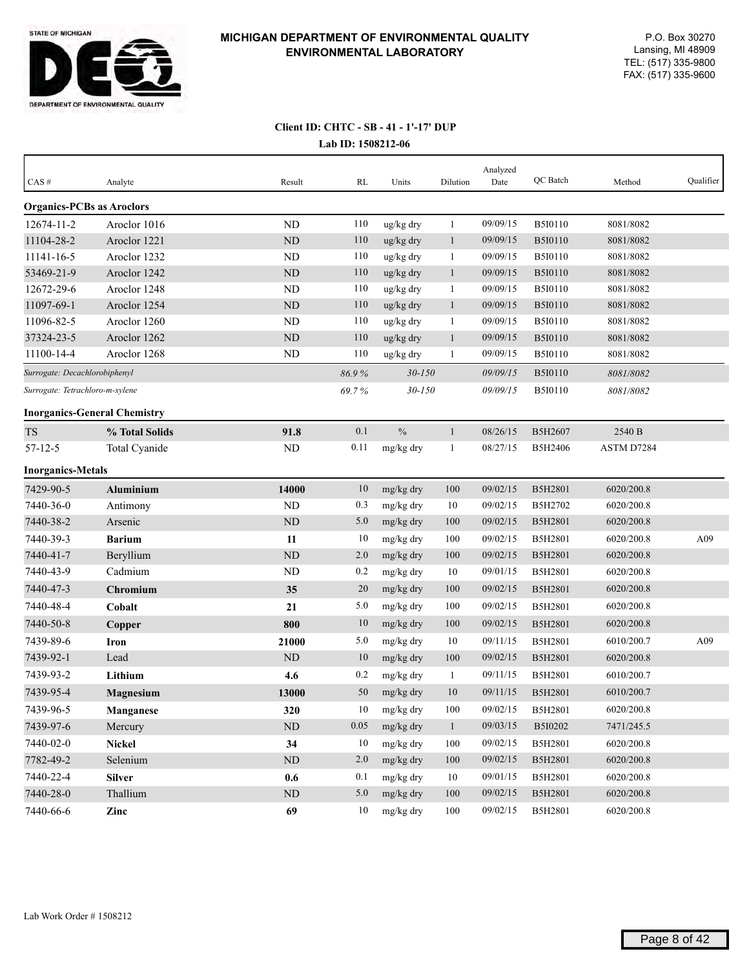

# **Client ID: CHTC - SB - 41 - 1'-17' DUP**

|  | Lab ID: 1508212-06 |
|--|--------------------|
|--|--------------------|

| $CAS \#$                         | Analyte                             | Result    | RL    | Units         | Dilution     | Analyzed<br>Date | QC Batch       | Method     | Qualifier |
|----------------------------------|-------------------------------------|-----------|-------|---------------|--------------|------------------|----------------|------------|-----------|
| <b>Organics-PCBs as Aroclors</b> |                                     |           |       |               |              |                  |                |            |           |
| 12674-11-2                       | Aroclor 1016                        | ND        | 110   | ug/kg dry     | $\mathbf{1}$ | 09/09/15         | <b>B5I0110</b> | 8081/8082  |           |
| 11104-28-2                       | Aroclor 1221                        | $\rm ND$  | 110   | ug/kg dry     | $\mathbf{1}$ | 09/09/15         | <b>B5I0110</b> | 8081/8082  |           |
| 11141-16-5                       | Aroclor 1232                        | ND        | 110   | ug/kg dry     | $\mathbf{1}$ | 09/09/15         | <b>B5I0110</b> | 8081/8082  |           |
| 53469-21-9                       | Aroclor 1242                        | $\rm ND$  | 110   | ug/kg dry     | $\mathbf{1}$ | 09/09/15         | <b>B5I0110</b> | 8081/8082  |           |
| 12672-29-6                       | Aroclor 1248                        | <b>ND</b> | 110   | ug/kg dry     | 1            | 09/09/15         | B5I0110        | 8081/8082  |           |
| 11097-69-1                       | Aroclor 1254                        | ND        | 110   | ug/kg dry     | $\mathbf{1}$ | 09/09/15         | <b>B5I0110</b> | 8081/8082  |           |
| 11096-82-5                       | Aroclor 1260                        | ND        | 110   | ug/kg dry     | $\mathbf{1}$ | 09/09/15         | <b>B5I0110</b> | 8081/8082  |           |
| 37324-23-5                       | Aroclor 1262                        | ND        | 110   | ug/kg dry     | $\mathbf{1}$ | 09/09/15         | <b>B5I0110</b> | 8081/8082  |           |
| 11100-14-4                       | Aroclor 1268                        | ND        | 110   | ug/kg dry     | 1            | 09/09/15         | B5I0110        | 8081/8082  |           |
| Surrogate: Decachlorobiphenyl    |                                     |           | 86.9% | $30 - 150$    |              | 09/09/15         | <b>B5I0110</b> | 8081/8082  |           |
| Surrogate: Tetrachloro-m-xylene  |                                     |           | 69.7% | $30 - 150$    |              | 09/09/15         | <b>B5I0110</b> | 8081/8082  |           |
|                                  | <b>Inorganics-General Chemistry</b> |           |       |               |              |                  |                |            |           |
| <b>TS</b>                        | % Total Solids                      | 91.8      | 0.1   | $\frac{0}{0}$ | $\mathbf{1}$ | 08/26/15         | B5H2607        | 2540 B     |           |
| $57 - 12 - 5$                    | Total Cyanide                       | ND        | 0.11  | mg/kg dry     | -1           | 08/27/15         | <b>B5H2406</b> | ASTM D7284 |           |
| <b>Inorganics-Metals</b>         |                                     |           |       |               |              |                  |                |            |           |
| 7429-90-5                        | <b>Aluminium</b>                    | 14000     | 10    | mg/kg dry     | 100          | 09/02/15         | <b>B5H2801</b> | 6020/200.8 |           |
| 7440-36-0                        | Antimony                            | ND        | 0.3   | mg/kg dry     | 10           | 09/02/15         | B5H2702        | 6020/200.8 |           |
| 7440-38-2                        | Arsenic                             | <b>ND</b> | 5.0   | mg/kg dry     | 100          | 09/02/15         | B5H2801        | 6020/200.8 |           |
| 7440-39-3                        | <b>Barium</b>                       | 11        | 10    | mg/kg dry     | 100          | 09/02/15         | B5H2801        | 6020/200.8 | A09       |
| 7440-41-7                        | Beryllium                           | ND        | 2.0   | mg/kg dry     | 100          | 09/02/15         | B5H2801        | 6020/200.8 |           |
| 7440-43-9                        | Cadmium                             | <b>ND</b> | 0.2   | mg/kg dry     | 10           | 09/01/15         | B5H2801        | 6020/200.8 |           |
| 7440-47-3                        | Chromium                            | 35        | 20    | mg/kg dry     | 100          | 09/02/15         | B5H2801        | 6020/200.8 |           |
| 7440-48-4                        | Cobalt                              | 21        | 5.0   | mg/kg dry     | 100          | 09/02/15         | B5H2801        | 6020/200.8 |           |
| 7440-50-8                        | Copper                              | 800       | 10    | mg/kg dry     | 100          | 09/02/15         | B5H2801        | 6020/200.8 |           |
| 7439-89-6                        | Iron                                | 21000     | 5.0   | mg/kg dry     | 10           | 09/11/15         | B5H2801        | 6010/200.7 | A09       |
| 7439-92-1                        | Lead                                | <b>ND</b> | 10    | mg/kg dry     | 100          | 09/02/15         | B5H2801        | 6020/200.8 |           |
| 7439-93-2                        | Lithium                             | 4.6       | 0.2   | mg/kg dry     | 1            | 09/11/15         | B5H2801        | 6010/200.7 |           |
| 7439-95-4                        | <b>Magnesium</b>                    | 13000     | 50    | mg/kg dry     | 10           | 09/11/15         | B5H2801        | 6010/200.7 |           |
| 7439-96-5                        | Manganese                           | 320       | 10    | mg/kg dry     | $100\,$      | 09/02/15         | B5H2801        | 6020/200.8 |           |
| 7439-97-6                        | Mercury                             | ND        | 0.05  | mg/kg dry     | $\mathbf{1}$ | 09/03/15         | B5I0202        | 7471/245.5 |           |
| 7440-02-0                        | <b>Nickel</b>                       | 34        | 10    | mg/kg dry     | 100          | 09/02/15         | B5H2801        | 6020/200.8 |           |
| 7782-49-2                        | Selenium                            | ND        | 2.0   | mg/kg dry     | 100          | 09/02/15         | B5H2801        | 6020/200.8 |           |
| 7440-22-4                        | <b>Silver</b>                       | 0.6       | 0.1   | mg/kg dry     | 10           | 09/01/15         | B5H2801        | 6020/200.8 |           |
| 7440-28-0                        | Thallium                            | ND        | 5.0   | mg/kg dry     | 100          | 09/02/15         | B5H2801        | 6020/200.8 |           |
| 7440-66-6                        | Zinc                                | 69        | 10    | mg/kg dry     | 100          | 09/02/15         | B5H2801        | 6020/200.8 |           |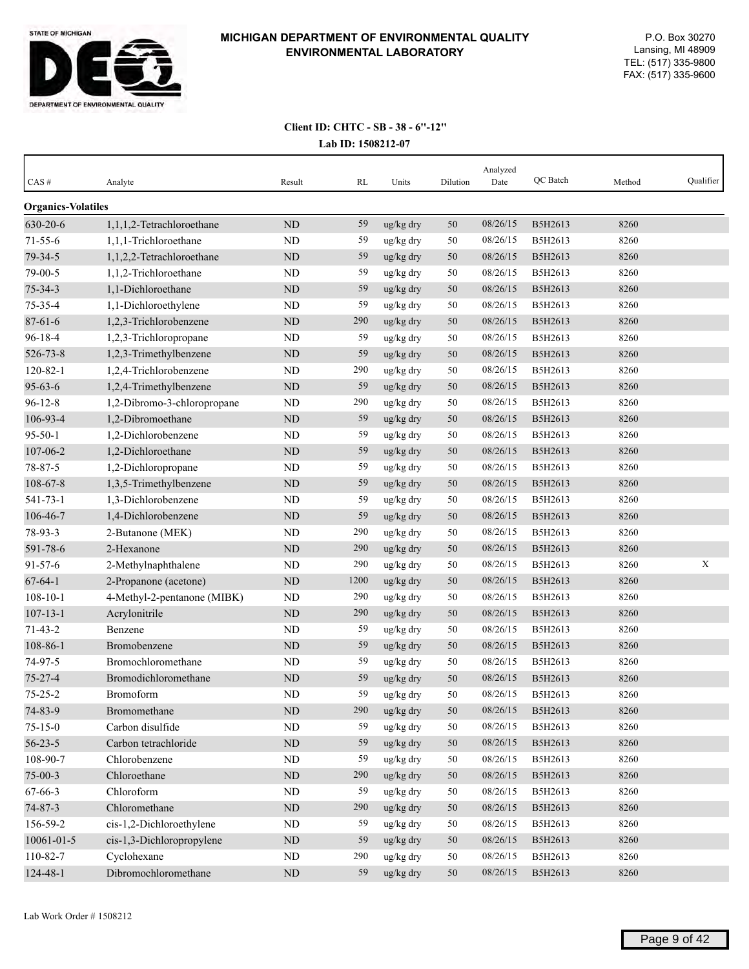

| CAS#                      | Analyte                     | Result    | RL   | Units     | Dilution | Analyzed<br>Date | QC Batch | Method | Qualifier |
|---------------------------|-----------------------------|-----------|------|-----------|----------|------------------|----------|--------|-----------|
| <b>Organics-Volatiles</b> |                             |           |      |           |          |                  |          |        |           |
| 630-20-6                  | 1,1,1,2-Tetrachloroethane   | <b>ND</b> | 59   | ug/kg dry | 50       | 08/26/15         | B5H2613  | 8260   |           |
| $71 - 55 - 6$             | 1,1,1-Trichloroethane       | ND        | 59   | ug/kg dry | 50       | 08/26/15         | B5H2613  | 8260   |           |
| 79-34-5                   | 1,1,2,2-Tetrachloroethane   | ND        | 59   | ug/kg dry | 50       | 08/26/15         | B5H2613  | 8260   |           |
| 79-00-5                   | 1,1,2-Trichloroethane       | <b>ND</b> | 59   | ug/kg dry | 50       | 08/26/15         | B5H2613  | 8260   |           |
| $75 - 34 - 3$             | 1,1-Dichloroethane          | ND        | 59   | ug/kg dry | 50       | 08/26/15         | B5H2613  | 8260   |           |
| $75 - 35 - 4$             | 1,1-Dichloroethylene        | <b>ND</b> | 59   | ug/kg dry | 50       | 08/26/15         | B5H2613  | 8260   |           |
| $87 - 61 - 6$             | 1,2,3-Trichlorobenzene      | ND        | 290  | ug/kg dry | 50       | 08/26/15         | B5H2613  | 8260   |           |
| $96 - 18 - 4$             | 1,2,3-Trichloropropane      | <b>ND</b> | 59   | ug/kg dry | 50       | 08/26/15         | B5H2613  | 8260   |           |
| 526-73-8                  | 1,2,3-Trimethylbenzene      | ND        | 59   | ug/kg dry | 50       | 08/26/15         | B5H2613  | 8260   |           |
| $120 - 82 - 1$            | 1,2,4-Trichlorobenzene      | <b>ND</b> | 290  | ug/kg dry | 50       | 08/26/15         | B5H2613  | 8260   |           |
| $95 - 63 - 6$             | 1,2,4-Trimethylbenzene      | <b>ND</b> | 59   | ug/kg dry | 50       | 08/26/15         | B5H2613  | 8260   |           |
| $96 - 12 - 8$             | 1,2-Dibromo-3-chloropropane | <b>ND</b> | 290  | ug/kg dry | 50       | 08/26/15         | B5H2613  | 8260   |           |
| 106-93-4                  | 1,2-Dibromoethane           | ND        | 59   | ug/kg dry | 50       | 08/26/15         | B5H2613  | 8260   |           |
| $95 - 50 - 1$             | 1,2-Dichlorobenzene         | <b>ND</b> | 59   | ug/kg dry | 50       | 08/26/15         | B5H2613  | 8260   |           |
| 107-06-2                  | 1,2-Dichloroethane          | ND        | 59   | ug/kg dry | 50       | 08/26/15         | B5H2613  | 8260   |           |
| 78-87-5                   | 1,2-Dichloropropane         | <b>ND</b> | 59   | ug/kg dry | 50       | 08/26/15         | B5H2613  | 8260   |           |
| 108-67-8                  | 1,3,5-Trimethylbenzene      | <b>ND</b> | 59   | ug/kg dry | 50       | 08/26/15         | B5H2613  | 8260   |           |
| 541-73-1                  | 1,3-Dichlorobenzene         | <b>ND</b> | 59   | ug/kg dry | $50\,$   | 08/26/15         | B5H2613  | 8260   |           |
| 106-46-7                  | 1,4-Dichlorobenzene         | ND        | 59   | ug/kg dry | 50       | 08/26/15         | B5H2613  | 8260   |           |
| 78-93-3                   | 2-Butanone (MEK)            | <b>ND</b> | 290  | ug/kg dry | 50       | 08/26/15         | B5H2613  | 8260   |           |
| 591-78-6                  | 2-Hexanone                  | <b>ND</b> | 290  | ug/kg dry | 50       | 08/26/15         | B5H2613  | 8260   |           |
| $91 - 57 - 6$             | 2-Methylnaphthalene         | <b>ND</b> | 290  | ug/kg dry | 50       | 08/26/15         | B5H2613  | 8260   | X         |
| $67 - 64 - 1$             | 2-Propanone (acetone)       | <b>ND</b> | 1200 | ug/kg dry | 50       | 08/26/15         | B5H2613  | 8260   |           |
| $108 - 10 - 1$            | 4-Methyl-2-pentanone (MIBK) | ND        | 290  | ug/kg dry | 50       | 08/26/15         | B5H2613  | 8260   |           |
| $107 - 13 - 1$            | Acrylonitrile               | ND        | 290  | ug/kg dry | 50       | 08/26/15         | B5H2613  | 8260   |           |
| $71 - 43 - 2$             | Benzene                     | <b>ND</b> | 59   | ug/kg dry | 50       | 08/26/15         | B5H2613  | 8260   |           |
| $108 - 86 - 1$            | Bromobenzene                | <b>ND</b> | 59   | ug/kg dry | 50       | 08/26/15         | B5H2613  | 8260   |           |
| 74-97-5                   | Bromochloromethane          | <b>ND</b> | 59   | ug/kg dry | 50       | 08/26/15         | B5H2613  | 8260   |           |
| $75 - 27 - 4$             | Bromodichloromethane        | ND        | 59   | ug/kg dry | 50       | 08/26/15         | B5H2613  | 8260   |           |
| $75 - 25 - 2$             | Bromoform                   | <b>ND</b> | 59   | ug/kg dry | 50       | 08/26/15         | B5H2613  | 8260   |           |
| 74-83-9                   | Bromomethane                | $\rm ND$  | 290  | ug/kg dry | $50\,$   | 08/26/15         | B5H2613  | 8260   |           |
| $75 - 15 - 0$             | Carbon disulfide            | $\rm ND$  | 59   | ug/kg dry | 50       | 08/26/15         | B5H2613  | 8260   |           |
| $56 - 23 - 5$             | Carbon tetrachloride        | $\rm ND$  | 59   | ug/kg dry | $50\,$   | 08/26/15         | B5H2613  | 8260   |           |
| 108-90-7                  | Chlorobenzene               | ND        | 59   | ug/kg dry | 50       | 08/26/15         | B5H2613  | 8260   |           |
| $75 - 00 - 3$             | Chloroethane                | $\rm ND$  | 290  | ug/kg dry | 50       | 08/26/15         | B5H2613  | 8260   |           |
| 67-66-3                   | Chloroform                  | ND        | 59   | ug/kg dry | 50       | 08/26/15         | B5H2613  | 8260   |           |
| $74 - 87 - 3$             | Chloromethane               | $\rm ND$  | 290  | ug/kg dry | $50\,$   | 08/26/15         | B5H2613  | 8260   |           |
| 156-59-2                  | cis-1,2-Dichloroethylene    | $\rm ND$  | 59   | ug/kg dry | 50       | 08/26/15         | B5H2613  | 8260   |           |
| 10061-01-5                | cis-1,3-Dichloropropylene   | $\rm ND$  | 59   | ug/kg dry | $50\,$   | 08/26/15         | B5H2613  | 8260   |           |
| 110-82-7                  | Cyclohexane                 | ND        | 290  | ug/kg dry | 50       | 08/26/15         | B5H2613  | 8260   |           |
| 124-48-1                  | Dibromochloromethane        | $\rm ND$  | 59   | ug/kg dry | $50\,$   | 08/26/15         | B5H2613  | 8260   |           |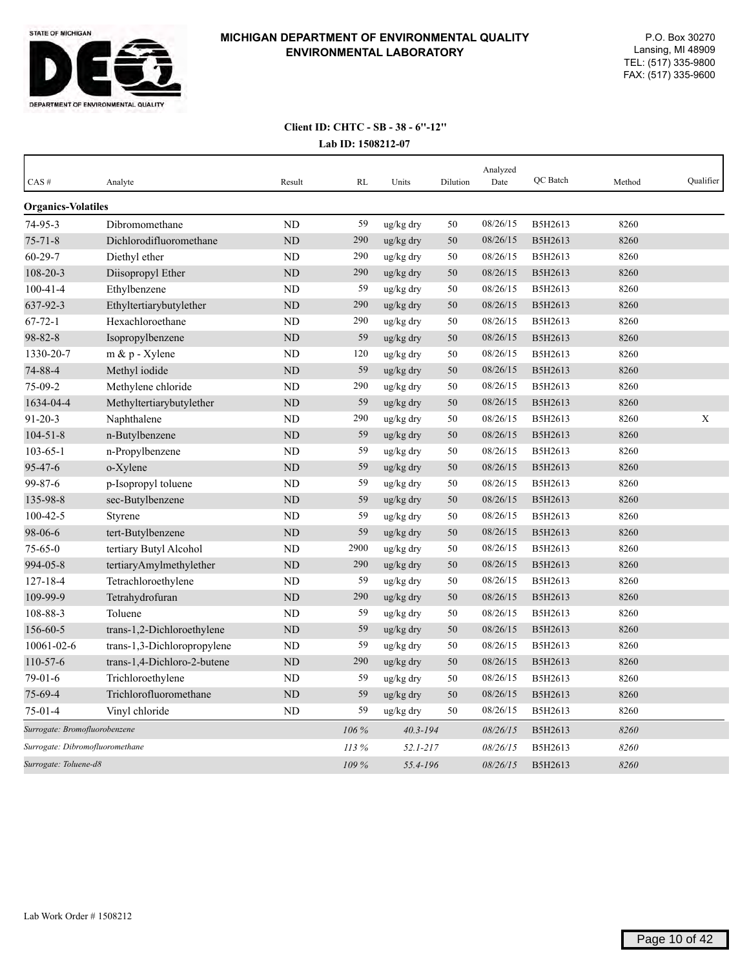

| CAS#                            | Analyte                     | Result         | RL    | Units        | Dilution | Analyzed<br>Date | QC Batch | Method | Qualifier |
|---------------------------------|-----------------------------|----------------|-------|--------------|----------|------------------|----------|--------|-----------|
| <b>Organics-Volatiles</b>       |                             |                |       |              |          |                  |          |        |           |
| $74 - 95 - 3$                   | Dibromomethane              | ND             | 59    | ug/kg dry    | 50       | 08/26/15         | B5H2613  | 8260   |           |
| $75 - 71 - 8$                   | Dichlorodifluoromethane     | <b>ND</b>      | 290   | ug/kg dry    | 50       | 08/26/15         | B5H2613  | 8260   |           |
| $60 - 29 - 7$                   | Diethyl ether               | ND             | 290   | ug/kg dry    | 50       | 08/26/15         | B5H2613  | 8260   |           |
| 108-20-3                        | Diisopropyl Ether           | ND             | 290   | ug/kg dry    | 50       | 08/26/15         | B5H2613  | 8260   |           |
| $100 - 41 - 4$                  | Ethylbenzene                | ND             | 59    | ug/kg dry    | 50       | 08/26/15         | B5H2613  | 8260   |           |
| 637-92-3                        | Ethyltertiarybutylether     | <b>ND</b>      | 290   | ug/kg dry    | 50       | 08/26/15         | B5H2613  | 8260   |           |
| $67 - 72 - 1$                   | Hexachloroethane            | N <sub>D</sub> | 290   | ug/kg dry    | 50       | 08/26/15         | B5H2613  | 8260   |           |
| 98-82-8                         | Isopropylbenzene            | N <sub>D</sub> | 59    | ug/kg dry    | 50       | 08/26/15         | B5H2613  | 8260   |           |
| 1330-20-7                       | m & p - Xylene              | ND             | 120   | ug/kg dry    | 50       | 08/26/15         | B5H2613  | 8260   |           |
| 74-88-4                         | Methyl iodide               | ND             | 59    | ug/kg dry    | 50       | 08/26/15         | B5H2613  | 8260   |           |
| 75-09-2                         | Methylene chloride          | ND             | 290   | ug/kg dry    | 50       | 08/26/15         | B5H2613  | 8260   |           |
| 1634-04-4                       | Methyltertiarybutylether    | ND             | 59    | ug/kg dry    | 50       | 08/26/15         | B5H2613  | 8260   |           |
| $91 - 20 - 3$                   | Naphthalene                 | ND             | 290   | ug/kg dry    | 50       | 08/26/15         | B5H2613  | 8260   | X         |
| $104 - 51 - 8$                  | n-Butylbenzene              | ND             | 59    | ug/kg dry    | 50       | 08/26/15         | B5H2613  | 8260   |           |
| $103 - 65 - 1$                  | n-Propylbenzene             | ND             | 59    | ug/kg dry    | 50       | 08/26/15         | B5H2613  | 8260   |           |
| $95 - 47 - 6$                   | o-Xylene                    | <b>ND</b>      | 59    | ug/kg dry    | 50       | 08/26/15         | B5H2613  | 8260   |           |
| 99-87-6                         | p-Isopropyl toluene         | ND             | 59    | ug/kg dry    | 50       | 08/26/15         | B5H2613  | 8260   |           |
| 135-98-8                        | sec-Butylbenzene            | ND             | 59    | ug/kg dry    | 50       | 08/26/15         | B5H2613  | 8260   |           |
| $100 - 42 - 5$                  | Styrene                     | ND             | 59    | ug/kg dry    | 50       | 08/26/15         | B5H2613  | 8260   |           |
| 98-06-6                         | tert-Butylbenzene           | <b>ND</b>      | 59    | ug/kg dry    | 50       | 08/26/15         | B5H2613  | 8260   |           |
| $75 - 65 - 0$                   | tertiary Butyl Alcohol      | ND             | 2900  | ug/kg dry    | 50       | 08/26/15         | B5H2613  | 8260   |           |
| 994-05-8                        | tertiaryAmylmethylether     | <b>ND</b>      | 290   | ug/kg dry    | 50       | 08/26/15         | B5H2613  | 8260   |           |
| $127 - 18 - 4$                  | Tetrachloroethylene         | <b>ND</b>      | 59    | ug/kg dry    | 50       | 08/26/15         | B5H2613  | 8260   |           |
| 109-99-9                        | Tetrahydrofuran             | <b>ND</b>      | 290   | ug/kg dry    | 50       | 08/26/15         | B5H2613  | 8260   |           |
| 108-88-3                        | Toluene                     | ND             | 59    | ug/kg dry    | 50       | 08/26/15         | B5H2613  | 8260   |           |
| 156-60-5                        | trans-1,2-Dichloroethylene  | ND             | 59    | ug/kg dry    | 50       | 08/26/15         | B5H2613  | 8260   |           |
| 10061-02-6                      | trans-1,3-Dichloropropylene | ND             | 59    | ug/kg dry    | 50       | 08/26/15         | B5H2613  | 8260   |           |
| 110-57-6                        | trans-1,4-Dichloro-2-butene | ND             | 290   | ug/kg dry    | 50       | 08/26/15         | B5H2613  | 8260   |           |
| $79-01-6$                       | Trichloroethylene           | $\rm ND$       | 59    | ug/kg dry    | 50       | 08/26/15         | B5H2613  | 8260   |           |
| 75-69-4                         | Trichlorofluoromethane      | ND             | 59    | ug/kg dry    | 50       | 08/26/15         | B5H2613  | 8260   |           |
| $75-01-4$                       | Vinyl chloride              | ND             | 59    | ug/kg dry    | 50       | 08/26/15         | B5H2613  | 8260   |           |
| Surrogate: Bromofluorobenzene   |                             |                | 106 % | $40.3 - 194$ |          | 08/26/15         | B5H2613  | 8260   |           |
| Surrogate: Dibromofluoromethane |                             |                | 113 % | $52.1 - 217$ |          | 08/26/15         | B5H2613  | 8260   |           |
| Surrogate: Toluene-d8           |                             |                | 109 % | 55.4-196     |          | 08/26/15         | B5H2613  | 8260   |           |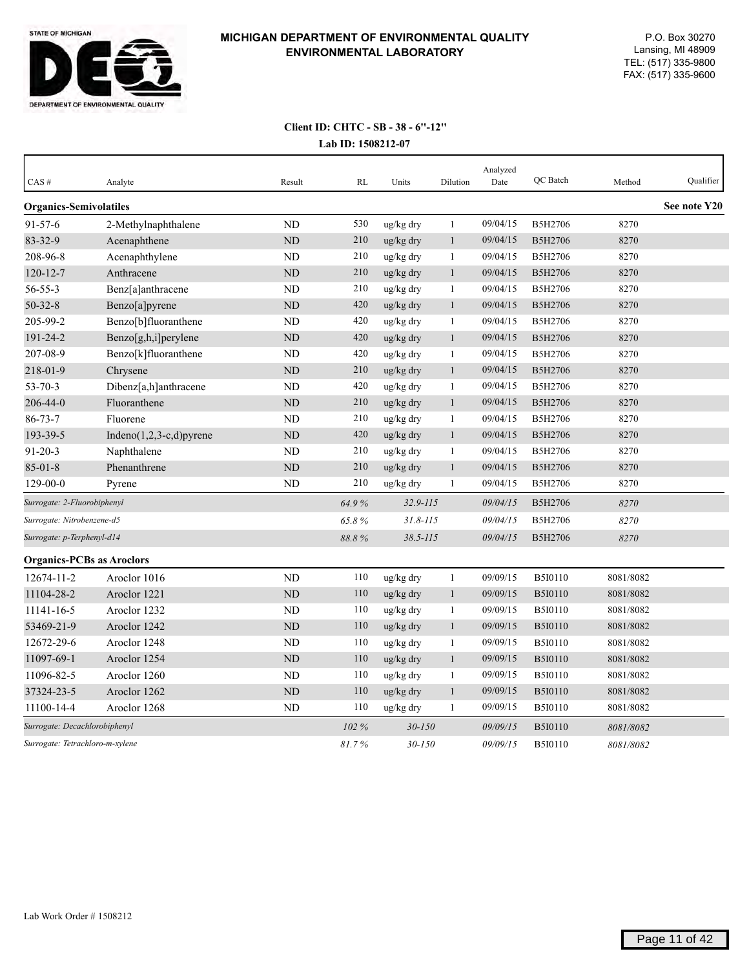

| CAS#                             | Analyte                     | Result         | <b>RL</b> | Units        | Dilution     | Analyzed<br>Date | QC Batch       | Method    | Qualifier    |
|----------------------------------|-----------------------------|----------------|-----------|--------------|--------------|------------------|----------------|-----------|--------------|
| <b>Organics-Semivolatiles</b>    |                             |                |           |              |              |                  |                |           | See note Y20 |
| $91 - 57 - 6$                    | 2-Methylnaphthalene         | <b>ND</b>      | 530       | ug/kg dry    | $\mathbf{1}$ | 09/04/15         | B5H2706        | 8270      |              |
| 83-32-9                          | Acenaphthene                | <b>ND</b>      | 210       | ug/kg dry    | $\mathbf{1}$ | 09/04/15         | B5H2706        | 8270      |              |
| 208-96-8                         | Acenaphthylene              | N <sub>D</sub> | 210       | ug/kg dry    | 1            | 09/04/15         | B5H2706        | 8270      |              |
| $120 - 12 - 7$                   | Anthracene                  | ND             | 210       | ug/kg dry    | $\mathbf{1}$ | 09/04/15         | B5H2706        | 8270      |              |
| $56 - 55 - 3$                    | Benz[a]anthracene           | <b>ND</b>      | 210       | ug/kg dry    | $\mathbf{1}$ | 09/04/15         | B5H2706        | 8270      |              |
| $50 - 32 - 8$                    | Benzo[a]pyrene              | ND             | 420       | ug/kg dry    | $\mathbf{1}$ | 09/04/15         | B5H2706        | 8270      |              |
| 205-99-2                         | Benzo[b]fluoranthene        | ND             | 420       | ug/kg dry    | $\mathbf{1}$ | 09/04/15         | B5H2706        | 8270      |              |
| $191 - 24 - 2$                   | Benzo[g,h,i]perylene        | <b>ND</b>      | 420       | ug/kg dry    | $\mathbf{1}$ | 09/04/15         | B5H2706        | 8270      |              |
| 207-08-9                         | Benzo[k]fluoranthene        | ND             | 420       | ug/kg dry    | 1            | 09/04/15         | B5H2706        | 8270      |              |
| 218-01-9                         | Chrysene                    | <b>ND</b>      | 210       | ug/kg dry    | $\mathbf{1}$ | 09/04/15         | B5H2706        | 8270      |              |
| $53 - 70 - 3$                    | Dibenz[a,h]anthracene       | <b>ND</b>      | 420       | ug/kg dry    | $\mathbf{1}$ | 09/04/15         | B5H2706        | 8270      |              |
| 206-44-0                         | Fluoranthene                | <b>ND</b>      | 210       | ug/kg dry    | $\mathbf{1}$ | 09/04/15         | <b>B5H2706</b> | 8270      |              |
| $86 - 73 - 7$                    | Fluorene                    | N <sub>D</sub> | 210       | ug/kg dry    | $\mathbf{1}$ | 09/04/15         | B5H2706        | 8270      |              |
| 193-39-5                         | Indeno $(1,2,3-c,d)$ pyrene | $\rm ND$       | 420       | ug/kg dry    | $\mathbf{1}$ | 09/04/15         | <b>B5H2706</b> | 8270      |              |
| $91 - 20 - 3$                    | Naphthalene                 | <b>ND</b>      | 210       | ug/kg dry    | $\mathbf{1}$ | 09/04/15         | B5H2706        | 8270      |              |
| $85 - 01 - 8$                    | Phenanthrene                | $\rm ND$       | 210       | ug/kg dry    | $\mathbf{1}$ | 09/04/15         | B5H2706        | 8270      |              |
| $129 - 00 - 0$                   | Pyrene                      | ND             | 210       | ug/kg dry    | $\mathbf{1}$ | 09/04/15         | B5H2706        | 8270      |              |
| Surrogate: 2-Fluorobiphenyl      |                             |                | 64.9%     | $32.9 - 115$ |              | 09/04/15         | B5H2706        | 8270      |              |
| Surrogate: Nitrobenzene-d5       |                             |                | 65.8%     | $31.8 - 115$ |              | 09/04/15         | B5H2706        | 8270      |              |
| Surrogate: p-Terphenyl-d14       |                             |                | 88.8%     | $38.5 - 115$ |              | 09/04/15         | <b>B5H2706</b> | 8270      |              |
| <b>Organics-PCBs as Aroclors</b> |                             |                |           |              |              |                  |                |           |              |
| 12674-11-2                       | Aroclor 1016                | <b>ND</b>      | 110       | ug/kg dry    | $\mathbf{1}$ | 09/09/15         | <b>B5I0110</b> | 8081/8082 |              |
| 11104-28-2                       | Aroclor 1221                | ND             | 110       | ug/kg dry    | $\mathbf{1}$ | 09/09/15         | <b>B5I0110</b> | 8081/8082 |              |
| 11141-16-5                       | Aroclor 1232                | <b>ND</b>      | 110       | ug/kg dry    | $\mathbf{1}$ | 09/09/15         | B5I0110        | 8081/8082 |              |
| 53469-21-9                       | Aroclor 1242                | <b>ND</b>      | 110       | ug/kg dry    | $\mathbf{1}$ | 09/09/15         | <b>B5I0110</b> | 8081/8082 |              |
| 12672-29-6                       | Aroclor 1248                | <b>ND</b>      | 110       | ug/kg dry    | $\mathbf{1}$ | 09/09/15         | B5I0110        | 8081/8082 |              |
| 11097-69-1                       | Aroclor 1254                | ND             | 110       | ug/kg dry    | $\mathbf{1}$ | 09/09/15         | <b>B5I0110</b> | 8081/8082 |              |
| 11096-82-5                       | Aroclor 1260                | ND             | 110       | ug/kg dry    | 1            | 09/09/15         | <b>B5I0110</b> | 8081/8082 |              |
| 37324-23-5                       | Aroclor 1262                | <b>ND</b>      | 110       | ug/kg dry    | $\mathbf{1}$ | 09/09/15         | <b>B5I0110</b> | 8081/8082 |              |
| 11100-14-4                       | Aroclor 1268                | <b>ND</b>      | 110       | ug/kg dry    | $\mathbf{1}$ | 09/09/15         | B5I0110        | 8081/8082 |              |
| Surrogate: Decachlorobiphenyl    |                             |                | 102 %     | $30 - 150$   |              | 09/09/15         | <b>B5I0110</b> | 8081/8082 |              |
| Surrogate: Tetrachloro-m-xylene  |                             |                | 81.7%     | $30 - 150$   |              | 09/09/15         | <b>B5I0110</b> | 8081/8082 |              |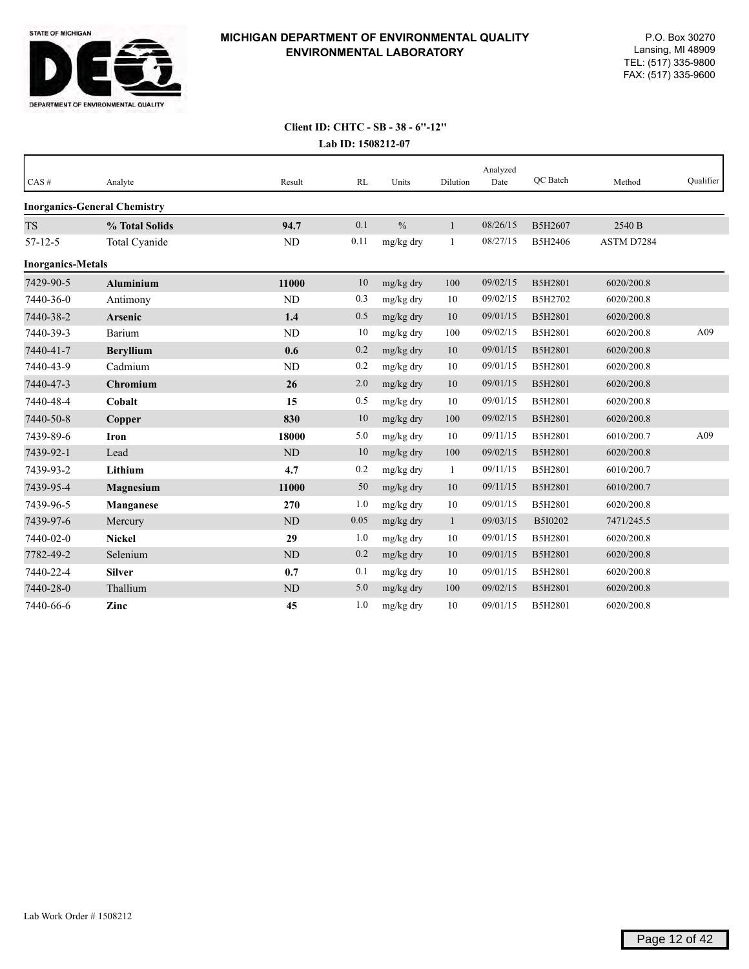

# **Client ID: CHTC - SB - 38 - 6''-12''**

|  | Lab ID: 1508212-07 |
|--|--------------------|
|--|--------------------|

| $CAS \#$                 | Analyte                             | Result         | RL   | Units         | Dilution     | Analyzed<br>Date | QC Batch | Method     | Qualifier |
|--------------------------|-------------------------------------|----------------|------|---------------|--------------|------------------|----------|------------|-----------|
|                          | <b>Inorganics-General Chemistry</b> |                |      |               |              |                  |          |            |           |
| <b>TS</b>                | % Total Solids                      | 94.7           | 0.1  | $\frac{0}{0}$ | $\mathbf{1}$ | 08/26/15         | B5H2607  | 2540 B     |           |
| $57 - 12 - 5$            | Total Cyanide                       | <b>ND</b>      | 0.11 | mg/kg dry     | 1            | 08/27/15         | B5H2406  | ASTM D7284 |           |
| <b>Inorganics-Metals</b> |                                     |                |      |               |              |                  |          |            |           |
| 7429-90-5                | <b>Aluminium</b>                    | 11000          | 10   | mg/kg dry     | 100          | 09/02/15         | B5H2801  | 6020/200.8 |           |
| 7440-36-0                | Antimony                            | ND             | 0.3  | mg/kg dry     | 10           | 09/02/15         | B5H2702  | 6020/200.8 |           |
| 7440-38-2                | Arsenic                             | 1.4            | 0.5  | mg/kg dry     | 10           | 09/01/15         | B5H2801  | 6020/200.8 |           |
| 7440-39-3                | Barium                              | ND             | 10   | mg/kg dry     | 100          | 09/02/15         | B5H2801  | 6020/200.8 | A09       |
| 7440-41-7                | <b>Beryllium</b>                    | 0.6            | 0.2  | mg/kg dry     | 10           | 09/01/15         | B5H2801  | 6020/200.8 |           |
| 7440-43-9                | Cadmium                             | ND             | 0.2  | mg/kg dry     | 10           | 09/01/15         | B5H2801  | 6020/200.8 |           |
| 7440-47-3                | Chromium                            | 26             | 2.0  | mg/kg dry     | 10           | 09/01/15         | B5H2801  | 6020/200.8 |           |
| 7440-48-4                | Cobalt                              | 15             | 0.5  | mg/kg dry     | 10           | 09/01/15         | B5H2801  | 6020/200.8 |           |
| 7440-50-8                | Copper                              | 830            | 10   | mg/kg dry     | 100          | 09/02/15         | B5H2801  | 6020/200.8 |           |
| 7439-89-6                | Iron                                | 18000          | 5.0  | mg/kg dry     | 10           | 09/11/15         | B5H2801  | 6010/200.7 | A09       |
| 7439-92-1                | Lead                                | ND             | 10   | mg/kg dry     | 100          | 09/02/15         | B5H2801  | 6020/200.8 |           |
| 7439-93-2                | Lithium                             | 4.7            | 0.2  | mg/kg dry     | 1            | 09/11/15         | B5H2801  | 6010/200.7 |           |
| 7439-95-4                | <b>Magnesium</b>                    | 11000          | 50   | mg/kg dry     | 10           | 09/11/15         | B5H2801  | 6010/200.7 |           |
| 7439-96-5                | Manganese                           | 270            | 1.0  | mg/kg dry     | 10           | 09/01/15         | B5H2801  | 6020/200.8 |           |
| 7439-97-6                | Mercury                             | N <sub>D</sub> | 0.05 | mg/kg dry     | $\mathbf{1}$ | 09/03/15         | B5I0202  | 7471/245.5 |           |
| 7440-02-0                | <b>Nickel</b>                       | 29             | 1.0  | mg/kg dry     | 10           | 09/01/15         | B5H2801  | 6020/200.8 |           |
| 7782-49-2                | Selenium                            | ND             | 0.2  | mg/kg dry     | 10           | 09/01/15         | B5H2801  | 6020/200.8 |           |
| 7440-22-4                | <b>Silver</b>                       | 0.7            | 0.1  | mg/kg dry     | 10           | 09/01/15         | B5H2801  | 6020/200.8 |           |
| 7440-28-0                | Thallium                            | <b>ND</b>      | 5.0  | mg/kg dry     | 100          | 09/02/15         | B5H2801  | 6020/200.8 |           |
| 7440-66-6                | Zinc                                | 45             | 1.0  | mg/kg dry     | 10           | 09/01/15         | B5H2801  | 6020/200.8 |           |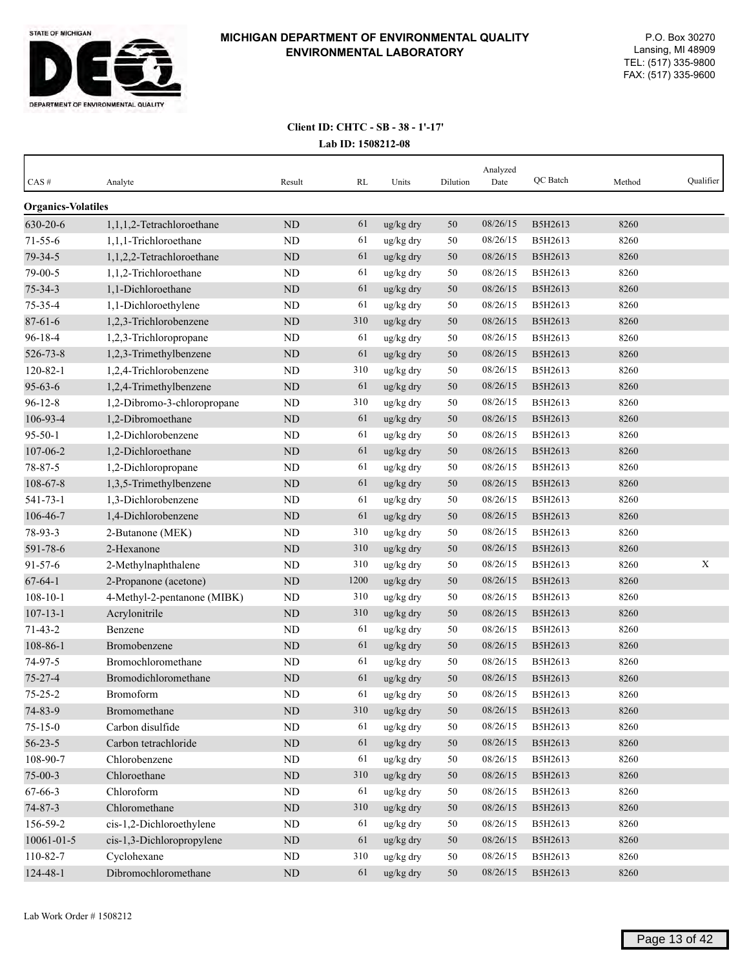

| CAS#                      | Analyte                     | Result      | RL   | Units     | Dilution | Analyzed<br>Date | QC Batch | Method | Qualifier   |
|---------------------------|-----------------------------|-------------|------|-----------|----------|------------------|----------|--------|-------------|
| <b>Organics-Volatiles</b> |                             |             |      |           |          |                  |          |        |             |
| 630-20-6                  | 1,1,1,2-Tetrachloroethane   | <b>ND</b>   | 61   | ug/kg dry | 50       | 08/26/15         | B5H2613  | 8260   |             |
| $71 - 55 - 6$             | 1,1,1-Trichloroethane       | ND          | 61   | ug/kg dry | 50       | 08/26/15         | B5H2613  | 8260   |             |
| 79-34-5                   | 1,1,2,2-Tetrachloroethane   | <b>ND</b>   | 61   | ug/kg dry | 50       | 08/26/15         | B5H2613  | 8260   |             |
| 79-00-5                   | 1,1,2-Trichloroethane       | <b>ND</b>   | 61   | ug/kg dry | 50       | 08/26/15         | B5H2613  | 8260   |             |
| $75 - 34 - 3$             | 1,1-Dichloroethane          | ND          | 61   | ug/kg dry | 50       | 08/26/15         | B5H2613  | 8260   |             |
| 75-35-4                   | 1,1-Dichloroethylene        | <b>ND</b>   | 61   | ug/kg dry | 50       | 08/26/15         | B5H2613  | 8260   |             |
| $87 - 61 - 6$             | 1,2,3-Trichlorobenzene      | ND          | 310  | ug/kg dry | 50       | 08/26/15         | B5H2613  | 8260   |             |
| 96-18-4                   | 1,2,3-Trichloropropane      | <b>ND</b>   | 61   | ug/kg dry | 50       | 08/26/15         | B5H2613  | 8260   |             |
| 526-73-8                  | 1,2,3-Trimethylbenzene      | ND          | 61   | ug/kg dry | 50       | 08/26/15         | B5H2613  | 8260   |             |
| $120 - 82 - 1$            | 1,2,4-Trichlorobenzene      | ND          | 310  | ug/kg dry | 50       | 08/26/15         | B5H2613  | 8260   |             |
| $95 - 63 - 6$             | 1,2,4-Trimethylbenzene      | ND          | 61   | ug/kg dry | 50       | 08/26/15         | B5H2613  | 8260   |             |
| $96 - 12 - 8$             | 1,2-Dibromo-3-chloropropane | ND          | 310  | ug/kg dry | 50       | 08/26/15         | B5H2613  | 8260   |             |
| 106-93-4                  | 1,2-Dibromoethane           | <b>ND</b>   | 61   | ug/kg dry | 50       | 08/26/15         | B5H2613  | 8260   |             |
| $95 - 50 - 1$             | 1,2-Dichlorobenzene         | <b>ND</b>   | 61   | ug/kg dry | 50       | 08/26/15         | B5H2613  | 8260   |             |
| 107-06-2                  | 1,2-Dichloroethane          | ND          | 61   | ug/kg dry | 50       | 08/26/15         | B5H2613  | 8260   |             |
| 78-87-5                   | 1,2-Dichloropropane         | ND          | 61   | ug/kg dry | 50       | 08/26/15         | B5H2613  | 8260   |             |
| $108 - 67 - 8$            | 1,3,5-Trimethylbenzene      | ND          | 61   | ug/kg dry | 50       | 08/26/15         | B5H2613  | 8260   |             |
| 541-73-1                  | 1,3-Dichlorobenzene         | <b>ND</b>   | 61   | ug/kg dry | 50       | 08/26/15         | B5H2613  | 8260   |             |
| 106-46-7                  | 1,4-Dichlorobenzene         | <b>ND</b>   | 61   | ug/kg dry | 50       | 08/26/15         | B5H2613  | 8260   |             |
| 78-93-3                   | 2-Butanone (MEK)            | ND          | 310  | ug/kg dry | 50       | 08/26/15         | B5H2613  | 8260   |             |
| 591-78-6                  | 2-Hexanone                  | ND          | 310  | ug/kg dry | 50       | 08/26/15         | B5H2613  | 8260   |             |
| $91 - 57 - 6$             | 2-Methylnaphthalene         | <b>ND</b>   | 310  | ug/kg dry | 50       | 08/26/15         | B5H2613  | 8260   | $\mathbf X$ |
| $67 - 64 - 1$             | 2-Propanone (acetone)       | $\rm ND$    | 1200 | ug/kg dry | 50       | 08/26/15         | B5H2613  | 8260   |             |
| $108 - 10 - 1$            | 4-Methyl-2-pentanone (MIBK) | <b>ND</b>   | 310  | ug/kg dry | 50       | 08/26/15         | B5H2613  | 8260   |             |
| $107 - 13 - 1$            | Acrylonitrile               | ND          | 310  | ug/kg dry | 50       | 08/26/15         | B5H2613  | 8260   |             |
| $71 - 43 - 2$             | Benzene                     | ND          | 61   | ug/kg dry | 50       | 08/26/15         | B5H2613  | 8260   |             |
| $108 - 86 - 1$            | Bromobenzene                | ND          | 61   | ug/kg dry | 50       | 08/26/15         | B5H2613  | 8260   |             |
| 74-97-5                   | Bromochloromethane          | ND          | 61   | ug/kg dry | 50       | 08/26/15         | B5H2613  | 8260   |             |
| $75 - 27 - 4$             | Bromodichloromethane        | ND          | 61   | ug/kg dry | 50       | 08/26/15         | B5H2613  | 8260   |             |
| $75 - 25 - 2$             | Bromoform                   | ND          | 61   | ug/kg dry | 50       | 08/26/15         | B5H2613  | 8260   |             |
| 74-83-9                   | Bromomethane                | $\mbox{ND}$ | 310  | ug/kg dry | 50       | 08/26/15         | B5H2613  | 8260   |             |
| $75 - 15 - 0$             | Carbon disulfide            | ${\rm ND}$  | 61   | ug/kg dry | 50       | 08/26/15         | B5H2613  | 8260   |             |
| $56 - 23 - 5$             | Carbon tetrachloride        | $\mbox{ND}$ | 61   | ug/kg dry | 50       | 08/26/15         | B5H2613  | 8260   |             |
| 108-90-7                  | Chlorobenzene               | $\rm ND$    | 61   | ug/kg dry | 50       | 08/26/15         | B5H2613  | 8260   |             |
| $75 - 00 - 3$             | Chloroethane                | $\rm ND$    | 310  | ug/kg dry | 50       | 08/26/15         | B5H2613  | 8260   |             |
| 67-66-3                   | Chloroform                  | ${\rm ND}$  | 61   | ug/kg dry | 50       | 08/26/15         | B5H2613  | 8260   |             |
| $74 - 87 - 3$             | Chloromethane               | $\rm ND$    | 310  | ug/kg dry | 50       | 08/26/15         | B5H2613  | 8260   |             |
| 156-59-2                  | cis-1,2-Dichloroethylene    | ND          | 61   | ug/kg dry | 50       | 08/26/15         | B5H2613  | 8260   |             |
| 10061-01-5                | cis-1,3-Dichloropropylene   | ND          | 61   | ug/kg dry | 50       | 08/26/15         | B5H2613  | 8260   |             |
| 110-82-7                  | Cyclohexane                 | ND          | 310  | ug/kg dry | 50       | 08/26/15         | B5H2613  | 8260   |             |
| 124-48-1                  | Dibromochloromethane        | $\rm ND$    | 61   | ug/kg dry | 50       | 08/26/15         | B5H2613  | 8260   |             |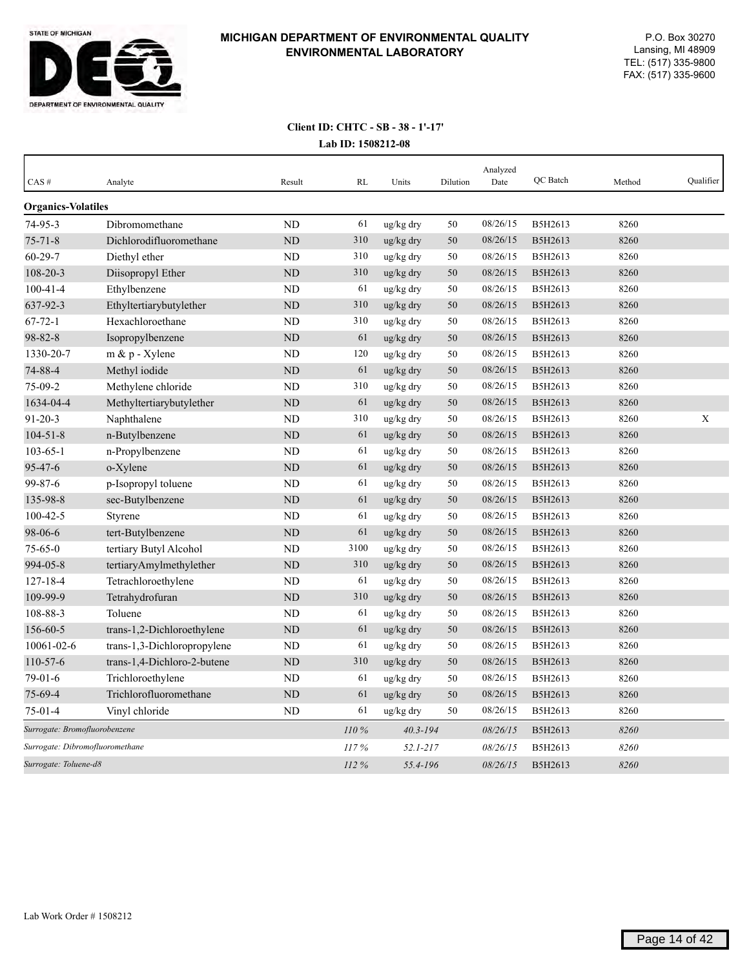

| CAS#                            | Analyte                     | Result    | <b>RL</b>    | Units        | Dilution | Analyzed<br>Date | <b>OC</b> Batch | Method | Qualifier |
|---------------------------------|-----------------------------|-----------|--------------|--------------|----------|------------------|-----------------|--------|-----------|
| <b>Organics-Volatiles</b>       |                             |           |              |              |          |                  |                 |        |           |
| 74-95-3                         | Dibromomethane              | <b>ND</b> | 61           | ug/kg dry    | 50       | 08/26/15         | B5H2613         | 8260   |           |
| $75 - 71 - 8$                   | Dichlorodifluoromethane     | ND        | 310          | ug/kg dry    | 50       | 08/26/15         | B5H2613         | 8260   |           |
| $60 - 29 - 7$                   | Diethyl ether               | <b>ND</b> | 310          | ug/kg dry    | 50       | 08/26/15         | B5H2613         | 8260   |           |
| 108-20-3                        | Diisopropyl Ether           | <b>ND</b> | 310          | ug/kg dry    | 50       | 08/26/15         | B5H2613         | 8260   |           |
| $100 - 41 - 4$                  | Ethylbenzene                | <b>ND</b> | 61           | ug/kg dry    | 50       | 08/26/15         | B5H2613         | 8260   |           |
| 637-92-3                        | Ethyltertiarybutylether     | <b>ND</b> | 310          | ug/kg dry    | 50       | 08/26/15         | B5H2613         | 8260   |           |
| $67 - 72 - 1$                   | Hexachloroethane            | <b>ND</b> | 310          | ug/kg dry    | 50       | 08/26/15         | B5H2613         | 8260   |           |
| $98 - 82 - 8$                   | Isopropylbenzene            | <b>ND</b> | 61           | ug/kg dry    | 50       | 08/26/15         | B5H2613         | 8260   |           |
| 1330-20-7                       | $m \& p$ - Xylene           | <b>ND</b> | 120          | ug/kg dry    | 50       | 08/26/15         | B5H2613         | 8260   |           |
| 74-88-4                         | Methyl iodide               | <b>ND</b> | 61           | ug/kg dry    | 50       | 08/26/15         | B5H2613         | 8260   |           |
| 75-09-2                         | Methylene chloride          | <b>ND</b> | 310          | ug/kg dry    | 50       | 08/26/15         | B5H2613         | 8260   |           |
| 1634-04-4                       | Methyltertiarybutylether    | ND        | 61           | ug/kg dry    | 50       | 08/26/15         | B5H2613         | 8260   |           |
| $91 - 20 - 3$                   | Naphthalene                 | <b>ND</b> | 310          | ug/kg dry    | 50       | 08/26/15         | B5H2613         | 8260   | X         |
| $104 - 51 - 8$                  | n-Butylbenzene              | <b>ND</b> | 61           | ug/kg dry    | 50       | 08/26/15         | B5H2613         | 8260   |           |
| $103 - 65 - 1$                  | n-Propylbenzene             | ND        | 61           | ug/kg dry    | 50       | 08/26/15         | B5H2613         | 8260   |           |
| $95 - 47 - 6$                   | o-Xylene                    | <b>ND</b> | 61           | ug/kg dry    | 50       | 08/26/15         | B5H2613         | 8260   |           |
| 99-87-6                         | p-Isopropyl toluene         | ND        | 61           | ug/kg dry    | 50       | 08/26/15         | B5H2613         | 8260   |           |
| 135-98-8                        | sec-Butylbenzene            | <b>ND</b> | 61           | ug/kg dry    | 50       | 08/26/15         | B5H2613         | 8260   |           |
| $100 - 42 - 5$                  | Styrene                     | <b>ND</b> | 61           | ug/kg dry    | 50       | 08/26/15         | B5H2613         | 8260   |           |
| 98-06-6                         | tert-Butylbenzene           | ND        | 61           | ug/kg dry    | 50       | 08/26/15         | B5H2613         | 8260   |           |
| $75 - 65 - 0$                   | tertiary Butyl Alcohol      | <b>ND</b> | 3100         | ug/kg dry    | 50       | 08/26/15         | B5H2613         | 8260   |           |
| 994-05-8                        | tertiaryAmylmethylether     | ND        | 310          | ug/kg dry    | 50       | 08/26/15         | B5H2613         | 8260   |           |
| $127 - 18 - 4$                  | Tetrachloroethylene         | <b>ND</b> | 61           | ug/kg dry    | 50       | 08/26/15         | B5H2613         | 8260   |           |
| 109-99-9                        | Tetrahydrofuran             | <b>ND</b> | 310          | ug/kg dry    | 50       | 08/26/15         | B5H2613         | 8260   |           |
| 108-88-3                        | Toluene                     | <b>ND</b> | 61           | ug/kg dry    | 50       | 08/26/15         | B5H2613         | 8260   |           |
| 156-60-5                        | trans-1,2-Dichloroethylene  | <b>ND</b> | 61           | ug/kg dry    | 50       | 08/26/15         | B5H2613         | 8260   |           |
| 10061-02-6                      | trans-1,3-Dichloropropylene | ND        | 61           | ug/kg dry    | 50       | 08/26/15         | B5H2613         | 8260   |           |
| 110-57-6                        | trans-1,4-Dichloro-2-butene | ND        | 310          | ug/kg dry    | 50       | 08/26/15         | B5H2613         | 8260   |           |
| $79-01-6$                       | Trichloroethylene           | ND        | 61           | ug/kg dry    | 50       | 08/26/15         | B5H2613         | 8260   |           |
| 75-69-4                         | Trichlorofluoromethane      | <b>ND</b> | 61           | ug/kg dry    | 50       | 08/26/15         | B5H2613         | 8260   |           |
| $75-01-4$                       | Vinyl chloride              | <b>ND</b> | 61           | ug/kg dry    | 50       | 08/26/15         | B5H2613         | 8260   |           |
| Surrogate: Bromofluorobenzene   |                             | 110%      | $40.3 - 194$ |              | 08/26/15 | B5H2613          | 8260            |        |           |
| Surrogate: Dibromofluoromethane |                             |           | 117%         | $52.1 - 217$ |          | 08/26/15         | B5H2613         | 8260   |           |
| Surrogate: Toluene-d8           |                             |           | 112%         | 55.4-196     |          | 08/26/15         | B5H2613         | 8260   |           |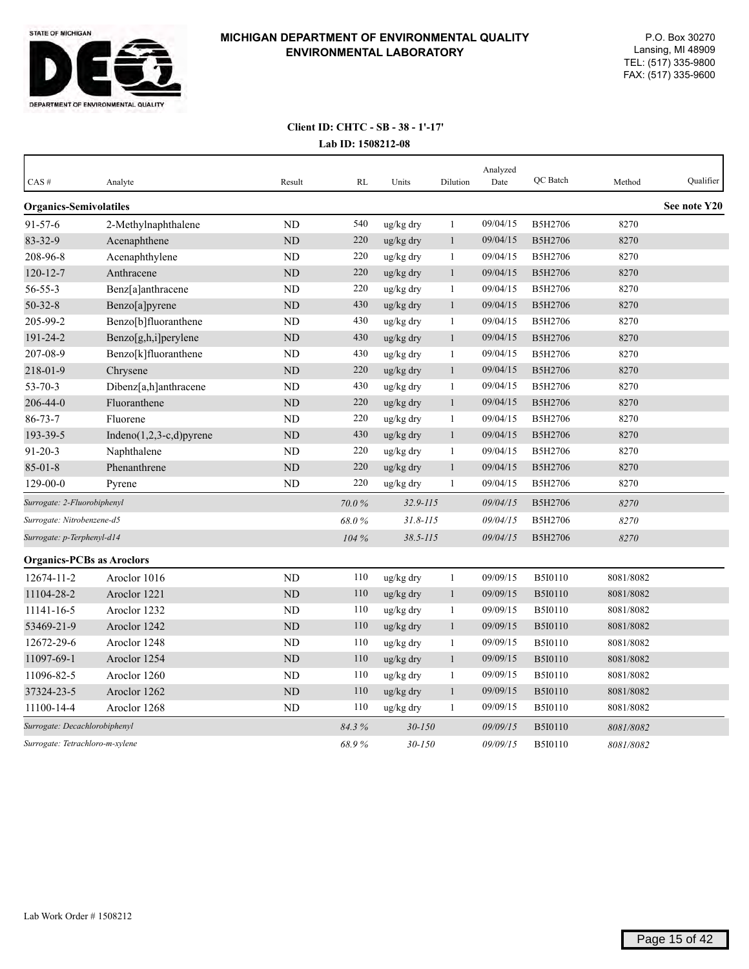

| CAS#                             | Analyte                     | Result         | RL    | Units        | Dilution     | Analyzed<br>Date | QC Batch       | Method    | Qualifier    |
|----------------------------------|-----------------------------|----------------|-------|--------------|--------------|------------------|----------------|-----------|--------------|
| <b>Organics-Semivolatiles</b>    |                             |                |       |              |              |                  |                |           | See note Y20 |
| $91 - 57 - 6$                    | 2-Methylnaphthalene         | <b>ND</b>      | 540   | ug/kg dry    | $\mathbf{1}$ | 09/04/15         | B5H2706        | 8270      |              |
| 83-32-9                          | Acenaphthene                | <b>ND</b>      | 220   | ug/kg dry    | $\mathbf{1}$ | 09/04/15         | B5H2706        | 8270      |              |
| 208-96-8                         | Acenaphthylene              | N <sub>D</sub> | 220   | ug/kg dry    | 1            | 09/04/15         | B5H2706        | 8270      |              |
| 120-12-7                         | Anthracene                  | ND             | 220   | ug/kg dry    | $\mathbf{1}$ | 09/04/15         | B5H2706        | 8270      |              |
| $56 - 55 - 3$                    | Benz[a]anthracene           | <b>ND</b>      | 220   | ug/kg dry    | 1            | 09/04/15         | B5H2706        | 8270      |              |
| $50 - 32 - 8$                    | Benzo[a]pyrene              | ND             | 430   | ug/kg dry    | $\mathbf{1}$ | 09/04/15         | B5H2706        | 8270      |              |
| 205-99-2                         | Benzo[b]fluoranthene        | ND             | 430   | ug/kg dry    | $\mathbf{1}$ | 09/04/15         | B5H2706        | 8270      |              |
| $191 - 24 - 2$                   | Benzo[g,h,i]perylene        | <b>ND</b>      | 430   | ug/kg dry    | $\mathbf{1}$ | 09/04/15         | <b>B5H2706</b> | 8270      |              |
| 207-08-9                         | Benzo[k]fluoranthene        | <b>ND</b>      | 430   | ug/kg dry    | 1            | 09/04/15         | B5H2706        | 8270      |              |
| 218-01-9                         | Chrysene                    | ND             | 220   | ug/kg dry    | $\mathbf{1}$ | 09/04/15         | <b>B5H2706</b> | 8270      |              |
| $53 - 70 - 3$                    | Dibenz[a,h]anthracene       | <b>ND</b>      | 430   | ug/kg dry    | 1            | 09/04/15         | B5H2706        | 8270      |              |
| 206-44-0                         | Fluoranthene                | <b>ND</b>      | 220   | ug/kg dry    | $\mathbf{1}$ | 09/04/15         | B5H2706        | 8270      |              |
| $86 - 73 - 7$                    | Fluorene                    | ND             | 220   | ug/kg dry    | $\mathbf{1}$ | 09/04/15         | B5H2706        | 8270      |              |
| 193-39-5                         | Indeno $(1,2,3-c,d)$ pyrene | <b>ND</b>      | 430   | ug/kg dry    | $\mathbf{1}$ | 09/04/15         | B5H2706        | 8270      |              |
| $91 - 20 - 3$                    | Naphthalene                 | ND             | 220   | ug/kg dry    | $\mathbf{1}$ | 09/04/15         | B5H2706        | 8270      |              |
| $85 - 01 - 8$                    | Phenanthrene                | ND             | 220   | ug/kg dry    | $\mathbf{1}$ | 09/04/15         | B5H2706        | 8270      |              |
| $129 - 00 - 0$                   | Pyrene                      | ND             | 220   | ug/kg dry    | 1            | 09/04/15         | B5H2706        | 8270      |              |
| Surrogate: 2-Fluorobiphenyl      |                             |                | 70.0% | $32.9 - 115$ |              | 09/04/15         | B5H2706        | 8270      |              |
| Surrogate: Nitrobenzene-d5       |                             |                | 68.0% | $31.8 - 115$ |              | 09/04/15         | B5H2706        | 8270      |              |
| Surrogate: p-Terphenyl-d14       |                             |                | 104%  | $38.5 - 115$ |              | 09/04/15         | <b>B5H2706</b> | 8270      |              |
| <b>Organics-PCBs as Aroclors</b> |                             |                |       |              |              |                  |                |           |              |
| 12674-11-2                       | Aroclor 1016                | N <sub>D</sub> | 110   | ug/kg dry    | $\mathbf{1}$ | 09/09/15         | B5I0110        | 8081/8082 |              |
| 11104-28-2                       | Aroclor 1221                | ND             | 110   | ug/kg dry    | $\mathbf{1}$ | 09/09/15         | <b>B5I0110</b> | 8081/8082 |              |
| 11141-16-5                       | Aroclor 1232                | N <sub>D</sub> | 110   | ug/kg dry    | $\mathbf{1}$ | 09/09/15         | B5I0110        | 8081/8082 |              |
| 53469-21-9                       | Aroclor 1242                | ND             | 110   | ug/kg dry    | $\mathbf{1}$ | 09/09/15         | <b>B5I0110</b> | 8081/8082 |              |
| 12672-29-6                       | Aroclor 1248                | ND             | 110   | ug/kg dry    | 1            | 09/09/15         | B5I0110        | 8081/8082 |              |
| 11097-69-1                       | Aroclor 1254                | <b>ND</b>      | 110   | ug/kg dry    | $\mathbf{1}$ | 09/09/15         | <b>B5I0110</b> | 8081/8082 |              |
| 11096-82-5                       | Aroclor 1260                | <b>ND</b>      | 110   | ug/kg dry    | $\mathbf{1}$ | 09/09/15         | B5I0110        | 8081/8082 |              |
| 37324-23-5                       | Aroclor 1262                | <b>ND</b>      | 110   | ug/kg dry    | $\mathbf{1}$ | 09/09/15         | <b>B5I0110</b> | 8081/8082 |              |
| 11100-14-4                       | Aroclor 1268                | ND             | 110   | ug/kg dry    | 1            | 09/09/15         | <b>B5I0110</b> | 8081/8082 |              |
| Surrogate: Decachlorobiphenyl    |                             |                | 84.3% | $30 - 150$   |              | 09/09/15         | <b>B5I0110</b> | 8081/8082 |              |
| Surrogate: Tetrachloro-m-xylene  |                             |                | 68.9% | $30 - 150$   |              | 09/09/15         | <b>B5I0110</b> | 8081/8082 |              |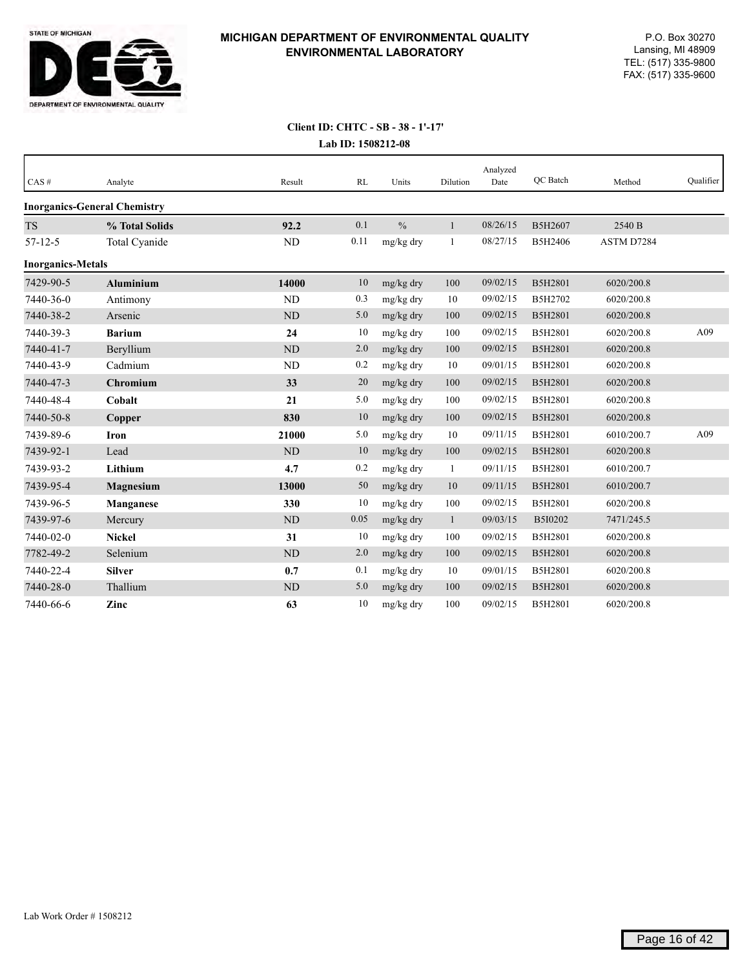

| CAS#                     | Analyte                             | Result    | RL   | Units         | Dilution     | Analyzed<br>Date | OC Batch | Method     | Oualifier |
|--------------------------|-------------------------------------|-----------|------|---------------|--------------|------------------|----------|------------|-----------|
|                          | <b>Inorganics-General Chemistry</b> |           |      |               |              |                  |          |            |           |
| <b>TS</b>                | % Total Solids                      | 92.2      | 0.1  | $\frac{0}{0}$ | $\mathbf{1}$ | 08/26/15         | B5H2607  | 2540 B     |           |
| $57 - 12 - 5$            | Total Cyanide                       | ND        | 0.11 | mg/kg dry     | 1            | 08/27/15         | B5H2406  | ASTM D7284 |           |
| <b>Inorganics-Metals</b> |                                     |           |      |               |              |                  |          |            |           |
| 7429-90-5                | <b>Aluminium</b>                    | 14000     | 10   | mg/kg dry     | 100          | 09/02/15         | B5H2801  | 6020/200.8 |           |
| 7440-36-0                | Antimony                            | <b>ND</b> | 0.3  | mg/kg dry     | 10           | 09/02/15         | B5H2702  | 6020/200.8 |           |
| 7440-38-2                | Arsenic                             | <b>ND</b> | 5.0  | mg/kg dry     | 100          | 09/02/15         | B5H2801  | 6020/200.8 |           |
| 7440-39-3                | <b>Barium</b>                       | 24        | 10   | mg/kg dry     | 100          | 09/02/15         | B5H2801  | 6020/200.8 | A09       |
| 7440-41-7                | Beryllium                           | <b>ND</b> | 2.0  | mg/kg dry     | 100          | 09/02/15         | B5H2801  | 6020/200.8 |           |
| 7440-43-9                | Cadmium                             | <b>ND</b> | 0.2  | mg/kg dry     | 10           | 09/01/15         | B5H2801  | 6020/200.8 |           |
| 7440-47-3                | Chromium                            | 33        | 20   | mg/kg dry     | $100\,$      | 09/02/15         | B5H2801  | 6020/200.8 |           |
| 7440-48-4                | Cobalt                              | 21        | 5.0  | mg/kg dry     | 100          | 09/02/15         | B5H2801  | 6020/200.8 |           |
| 7440-50-8                | Copper                              | 830       | 10   | mg/kg dry     | 100          | 09/02/15         | B5H2801  | 6020/200.8 |           |
| 7439-89-6                | <b>Iron</b>                         | 21000     | 5.0  | mg/kg dry     | 10           | 09/11/15         | B5H2801  | 6010/200.7 | A09       |
| 7439-92-1                | Lead                                | <b>ND</b> | 10   | mg/kg dry     | 100          | 09/02/15         | B5H2801  | 6020/200.8 |           |
| 7439-93-2                | Lithium                             | 4.7       | 0.2  | mg/kg dry     | $\mathbf{1}$ | 09/11/15         | B5H2801  | 6010/200.7 |           |
| 7439-95-4                | Magnesium                           | 13000     | 50   | mg/kg dry     | 10           | 09/11/15         | B5H2801  | 6010/200.7 |           |
| 7439-96-5                | <b>Manganese</b>                    | 330       | 10   | mg/kg dry     | 100          | 09/02/15         | B5H2801  | 6020/200.8 |           |
| 7439-97-6                | Mercury                             | <b>ND</b> | 0.05 | mg/kg dry     | $\mathbf{1}$ | 09/03/15         | B5I0202  | 7471/245.5 |           |
| 7440-02-0                | <b>Nickel</b>                       | 31        | 10   | mg/kg dry     | 100          | 09/02/15         | B5H2801  | 6020/200.8 |           |
| 7782-49-2                | Selenium                            | <b>ND</b> | 2.0  | mg/kg dry     | 100          | 09/02/15         | B5H2801  | 6020/200.8 |           |
| 7440-22-4                | <b>Silver</b>                       | 0.7       | 0.1  | mg/kg dry     | 10           | 09/01/15         | B5H2801  | 6020/200.8 |           |
| 7440-28-0                | Thallium                            | <b>ND</b> | 5.0  | mg/kg dry     | 100          | 09/02/15         | B5H2801  | 6020/200.8 |           |
| 7440-66-6                | Zinc                                | 63        | 10   | mg/kg dry     | 100          | 09/02/15         | B5H2801  | 6020/200.8 |           |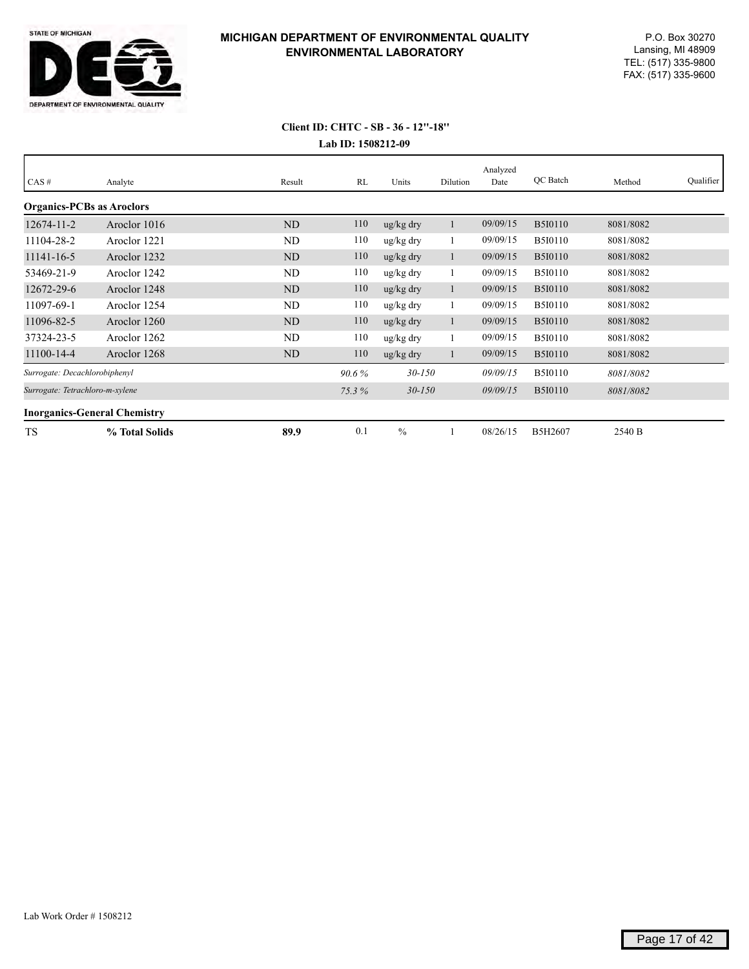

| CAS#                                | Analyte        | Result         | RL       | Units         | Dilution | Analyzed<br>Date | QC Batch       | Method    | Qualifier |
|-------------------------------------|----------------|----------------|----------|---------------|----------|------------------|----------------|-----------|-----------|
| <b>Organics-PCBs as Aroclors</b>    |                |                |          |               |          |                  |                |           |           |
| 12674-11-2                          | Aroclor 1016   | <b>ND</b>      | 110      | ug/kg dry     |          | 09/09/15         | <b>B5I0110</b> | 8081/8082 |           |
| 11104-28-2                          | Aroclor 1221   | ND             | 110      | ug/kg dry     |          | 09/09/15         | <b>B5I0110</b> | 8081/8082 |           |
| 11141-16-5                          | Aroclor 1232   | N <sub>D</sub> | 110      | ug/kg dry     | 1        | 09/09/15         | <b>B5I0110</b> | 8081/8082 |           |
| 53469-21-9                          | Aroclor 1242   | ND             | 110      | ug/kg dry     |          | 09/09/15         | <b>B5I0110</b> | 8081/8082 |           |
| 12672-29-6                          | Aroclor 1248   | ND             | 110      | ug/kg dry     |          | 09/09/15         | <b>B5I0110</b> | 8081/8082 |           |
| 11097-69-1                          | Aroclor 1254   | ND             | 110      | ug/kg dry     |          | 09/09/15         | <b>B5I0110</b> | 8081/8082 |           |
| 11096-82-5                          | Aroclor 1260   | N <sub>D</sub> | 110      | ug/kg dry     | 1        | 09/09/15         | <b>B5I0110</b> | 8081/8082 |           |
| 37324-23-5                          | Aroclor 1262   | ND             | 110      | ug/kg dry     |          | 09/09/15         | <b>B5I0110</b> | 8081/8082 |           |
| 11100-14-4                          | Aroclor 1268   | <b>ND</b>      | 110      | ug/kg dry     |          | 09/09/15         | <b>B5I0110</b> | 8081/8082 |           |
| Surrogate: Decachlorobiphenyl       |                |                | $90.6\%$ | $30 - 150$    |          | 09/09/15         | <b>B5I0110</b> | 8081/8082 |           |
| Surrogate: Tetrachloro-m-xylene     |                |                | 75.3%    | $30 - 150$    |          | 09/09/15         | <b>B5I0110</b> | 8081/8082 |           |
| <b>Inorganics-General Chemistry</b> |                |                |          |               |          |                  |                |           |           |
| <b>TS</b>                           | % Total Solids | 89.9           | 0.1      | $\frac{0}{0}$ |          | 08/26/15         | B5H2607        | 2540 B    |           |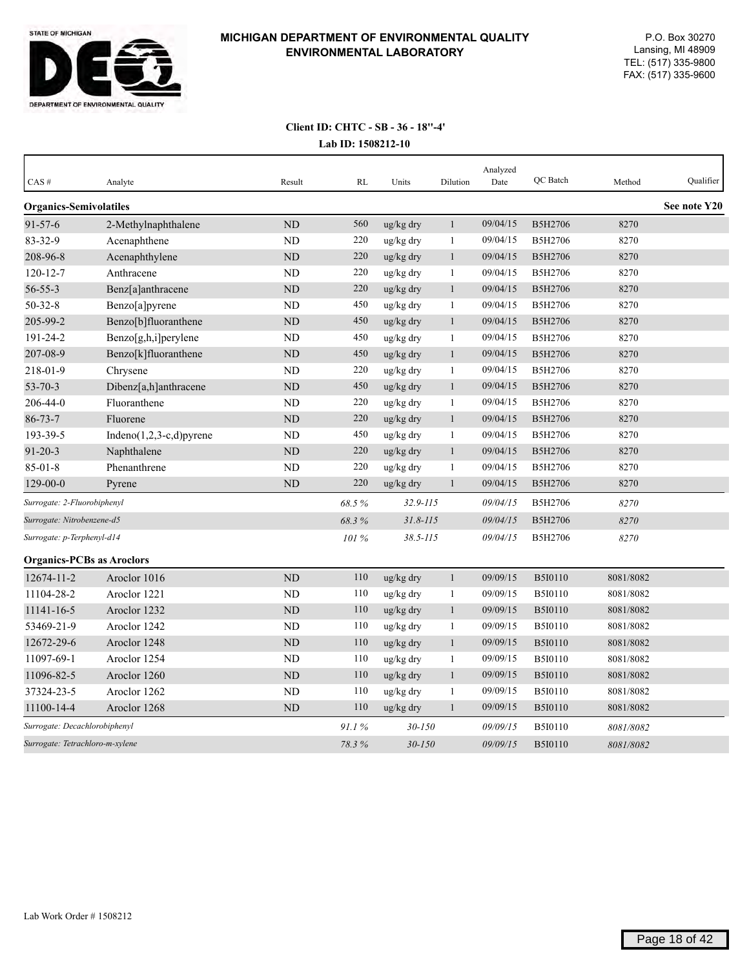

| CAS#                             | Analyte                     | Result         | <b>RL</b> | Units        | Dilution     | Analyzed<br>Date | QC Batch       | Method    | Qualifier    |
|----------------------------------|-----------------------------|----------------|-----------|--------------|--------------|------------------|----------------|-----------|--------------|
| <b>Organics-Semivolatiles</b>    |                             |                |           |              |              |                  |                |           | See note Y20 |
| $91 - 57 - 6$                    | 2-Methylnaphthalene         | <b>ND</b>      | 560       | ug/kg dry    | $\mathbf{1}$ | 09/04/15         | B5H2706        | 8270      |              |
| 83-32-9                          | Acenaphthene                | N <sub>D</sub> | 220       | ug/kg dry    | 1            | 09/04/15         | B5H2706        | 8270      |              |
| 208-96-8                         | Acenaphthylene              | $\rm ND$       | 220       | ug/kg dry    | $\mathbf{1}$ | 09/04/15         | B5H2706        | 8270      |              |
| $120 - 12 - 7$                   | Anthracene                  | <b>ND</b>      | 220       | ug/kg dry    | $\mathbf{1}$ | 09/04/15         | B5H2706        | 8270      |              |
| $56 - 55 - 3$                    | Benz[a]anthracene           | ND             | 220       | ug/kg dry    | $\mathbf{1}$ | 09/04/15         | B5H2706        | 8270      |              |
| $50 - 32 - 8$                    | Benzo[a]pyrene              | <b>ND</b>      | 450       | ug/kg dry    | 1            | 09/04/15         | B5H2706        | 8270      |              |
| 205-99-2                         | Benzo[b]fluoranthene        | <b>ND</b>      | 450       | ug/kg dry    | $\mathbf{1}$ | 09/04/15         | B5H2706        | 8270      |              |
| 191-24-2                         | Benzo[g,h,i]perylene        | <b>ND</b>      | 450       | ug/kg dry    | 1            | 09/04/15         | B5H2706        | 8270      |              |
| 207-08-9                         | Benzo[k]fluoranthene        | <b>ND</b>      | 450       | ug/kg dry    | $\mathbf{1}$ | 09/04/15         | B5H2706        | 8270      |              |
| 218-01-9                         | Chrysene                    | <b>ND</b>      | 220       | ug/kg dry    | $\mathbf{1}$ | 09/04/15         | B5H2706        | 8270      |              |
| $53 - 70 - 3$                    | Dibenz[a,h]anthracene       | ND             | 450       | ug/kg dry    | $\mathbf{1}$ | 09/04/15         | B5H2706        | 8270      |              |
| 206-44-0                         | Fluoranthene                | <b>ND</b>      | 220       | ug/kg dry    | 1            | 09/04/15         | B5H2706        | 8270      |              |
| $86 - 73 - 7$                    | Fluorene                    | ND             | 220       | ug/kg dry    | $\mathbf{1}$ | 09/04/15         | B5H2706        | 8270      |              |
| 193-39-5                         | Indeno $(1,2,3-c,d)$ pyrene | <b>ND</b>      | 450       | ug/kg dry    | $\mathbf{1}$ | 09/04/15         | B5H2706        | 8270      |              |
| $91 - 20 - 3$                    | Naphthalene                 | <b>ND</b>      | 220       | ug/kg dry    | $\mathbf{1}$ | 09/04/15         | B5H2706        | 8270      |              |
| $85 - 01 - 8$                    | Phenanthrene                | ND             | 220       | ug/kg dry    | 1            | 09/04/15         | B5H2706        | 8270      |              |
| 129-00-0                         | Pyrene                      | ND             | 220       | ug/kg dry    | $\mathbf{1}$ | 09/04/15         | B5H2706        | 8270      |              |
| Surrogate: 2-Fluorobiphenyl      |                             |                | 68.5%     | $32.9 - 115$ |              | 09/04/15         | B5H2706        | 8270      |              |
| Surrogate: Nitrobenzene-d5       |                             |                | 68.3%     | $31.8 - 115$ |              | 09/04/15         | B5H2706        | 8270      |              |
| Surrogate: p-Terphenyl-d14       |                             |                | 101 %     | $38.5 - 115$ |              | 09/04/15         | B5H2706        | 8270      |              |
| <b>Organics-PCBs as Aroclors</b> |                             |                |           |              |              |                  |                |           |              |
| 12674-11-2                       | Aroclor 1016                | ND             | 110       | ug/kg dry    | $\mathbf{1}$ | 09/09/15         | <b>B5I0110</b> | 8081/8082 |              |
| 11104-28-2                       | Aroclor 1221                | <b>ND</b>      | 110       | ug/kg dry    | $\mathbf{1}$ | 09/09/15         | B5I0110        | 8081/8082 |              |
| 11141-16-5                       | Aroclor 1232                | ND             | 110       | ug/kg dry    | $\mathbf{1}$ | 09/09/15         | <b>B5I0110</b> | 8081/8082 |              |
| 53469-21-9                       | Aroclor 1242                | ND             | 110       | ug/kg dry    | 1            | 09/09/15         | B5I0110        | 8081/8082 |              |
| 12672-29-6                       | Aroclor 1248                | <b>ND</b>      | 110       | ug/kg dry    | $\mathbf{1}$ | 09/09/15         | <b>B5I0110</b> | 8081/8082 |              |
| 11097-69-1                       | Aroclor 1254                | ND             | 110       | ug/kg dry    | 1            | 09/09/15         | <b>B5I0110</b> | 8081/8082 |              |
| 11096-82-5                       | Aroclor 1260                | <b>ND</b>      | 110       | ug/kg dry    | $\mathbf{1}$ | 09/09/15         | B5I0110        | 8081/8082 |              |
| 37324-23-5                       | Aroclor 1262                | <b>ND</b>      | 110       | ug/kg dry    | $\mathbf{1}$ | 09/09/15         | <b>B5I0110</b> | 8081/8082 |              |
| 11100-14-4                       | Aroclor 1268                | <b>ND</b>      | 110       | ug/kg dry    | $\mathbf{1}$ | 09/09/15         | <b>B5I0110</b> | 8081/8082 |              |
| Surrogate: Decachlorobiphenyl    |                             |                | 91.1%     | $30 - 150$   |              | 09/09/15         | <b>B5I0110</b> | 8081/8082 |              |
| Surrogate: Tetrachloro-m-xylene  |                             |                | 78.3%     | $30 - 150$   |              | 09/09/15         | <b>B5I0110</b> | 8081/8082 |              |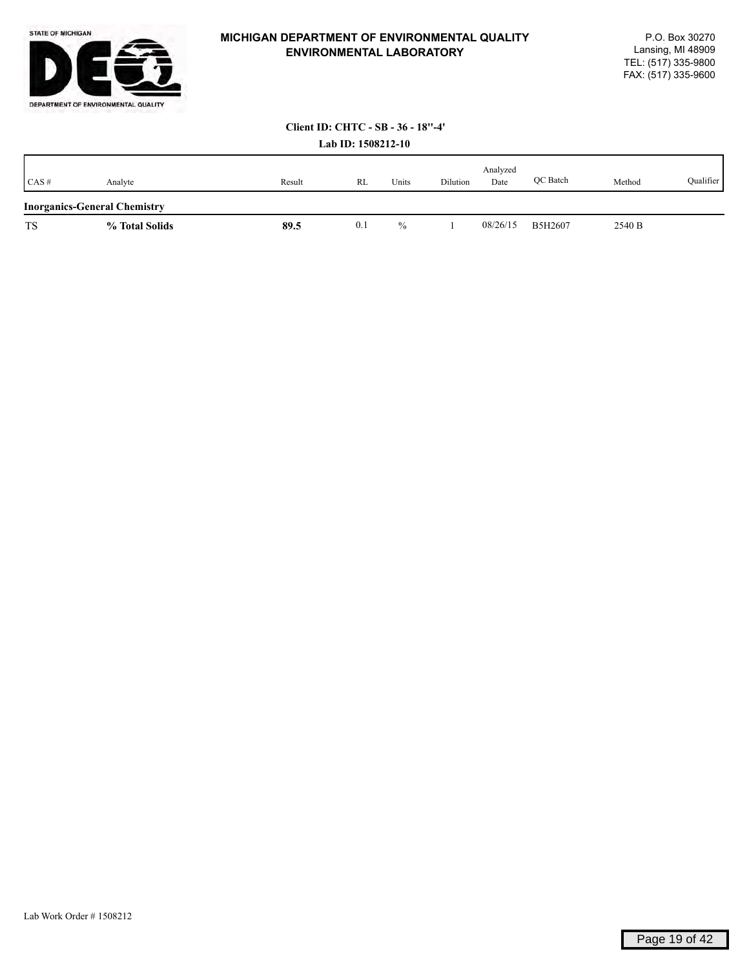

# **Client ID: CHTC - SB - 36 - 18''-4'**

|           | Lab ID: 1508212-10                  |        |     |       |          |                  |          |        |           |  |  |  |
|-----------|-------------------------------------|--------|-----|-------|----------|------------------|----------|--------|-----------|--|--|--|
| CAS#      | Analyte                             | Result | RL  | Units | Dilution | Analyzed<br>Date | OC Batch | Method | Qualifier |  |  |  |
|           | <b>Inorganics-General Chemistry</b> |        |     |       |          |                  |          |        |           |  |  |  |
| <b>TS</b> | % Total Solids                      | 89.5   | 0.1 | $\%$  |          | 08/26/15         | B5H2607  | 2540 B |           |  |  |  |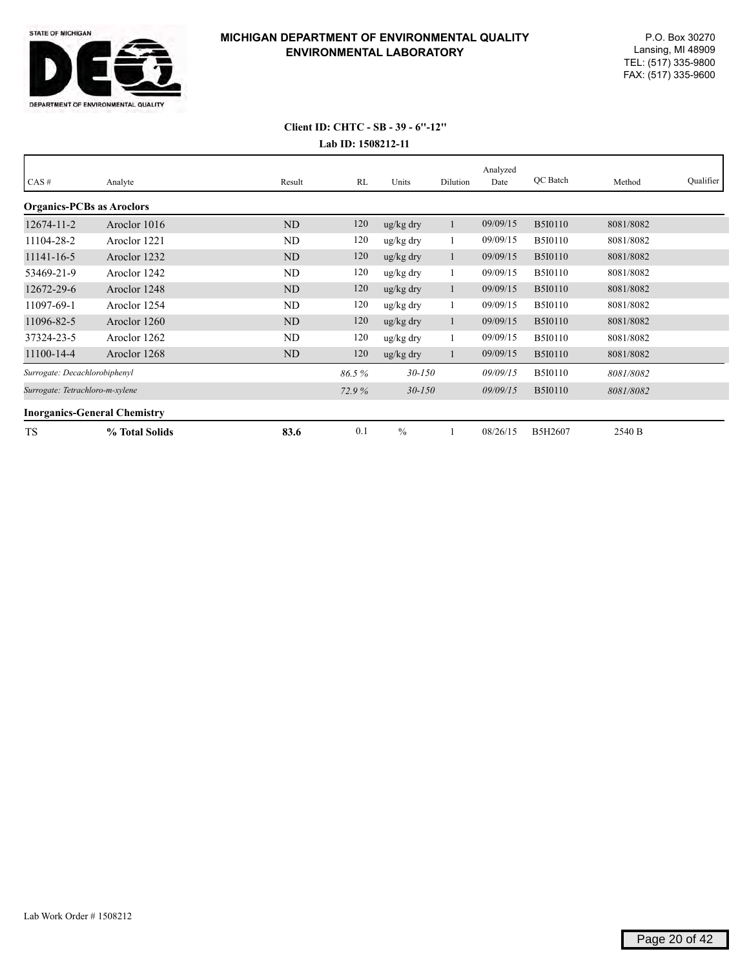

| CAS#                                | Analyte        | Result         | RL    | Units                 | Dilution | Analyzed<br>Date | QC Batch       | Method    | Qualifier |
|-------------------------------------|----------------|----------------|-------|-----------------------|----------|------------------|----------------|-----------|-----------|
| <b>Organics-PCBs as Aroclors</b>    |                |                |       |                       |          |                  |                |           |           |
| $12674 - 11 - 2$                    | Aroclor 1016   | N <sub>D</sub> | 120   | $\frac{u g}{k g}$ dry |          | 09/09/15         | <b>B5I0110</b> | 8081/8082 |           |
| 11104-28-2                          | Aroclor 1221   | ND             | 120   | ug/kg dry             |          | 09/09/15         | <b>B5I0110</b> | 8081/8082 |           |
| 11141-16-5                          | Aroclor 1232   | ND             | 120   | $\frac{u g}{k g}$ dry |          | 09/09/15         | <b>B5I0110</b> | 8081/8082 |           |
| 53469-21-9                          | Aroclor 1242   | ND             | 120   | ug/kg dry             |          | 09/09/15         | <b>B5I0110</b> | 8081/8082 |           |
| 12672-29-6                          | Aroclor 1248   | ND             | 120   | ug/kg dry             |          | 09/09/15         | <b>B5I0110</b> | 8081/8082 |           |
| 11097-69-1                          | Aroclor 1254   | ND             | 120   | ug/kg dry             |          | 09/09/15         | <b>B5I0110</b> | 8081/8082 |           |
| 11096-82-5                          | Aroclor 1260   | ND             | 120   | $\frac{u g}{k g}$ dry |          | 09/09/15         | <b>B5I0110</b> | 8081/8082 |           |
| 37324-23-5                          | Aroclor 1262   | ND             | 120   | ug/kg dry             |          | 09/09/15         | <b>B5I0110</b> | 8081/8082 |           |
| 11100-14-4                          | Aroclor 1268   | ND             | 120   | $\frac{u g}{k g}$ dry |          | 09/09/15         | <b>B5I0110</b> | 8081/8082 |           |
| Surrogate: Decachlorobiphenyl       |                |                | 86.5% | $30 - 150$            |          | 09/09/15         | <b>B5I0110</b> | 8081/8082 |           |
| Surrogate: Tetrachloro-m-xylene     |                |                | 72.9% | $30 - 150$            |          | 09/09/15         | <b>B5I0110</b> | 8081/8082 |           |
| <b>Inorganics-General Chemistry</b> |                |                |       |                       |          |                  |                |           |           |
| <b>TS</b>                           | % Total Solids | 83.6           | 0.1   | $\frac{0}{0}$         |          | 08/26/15         | B5H2607        | 2540 B    |           |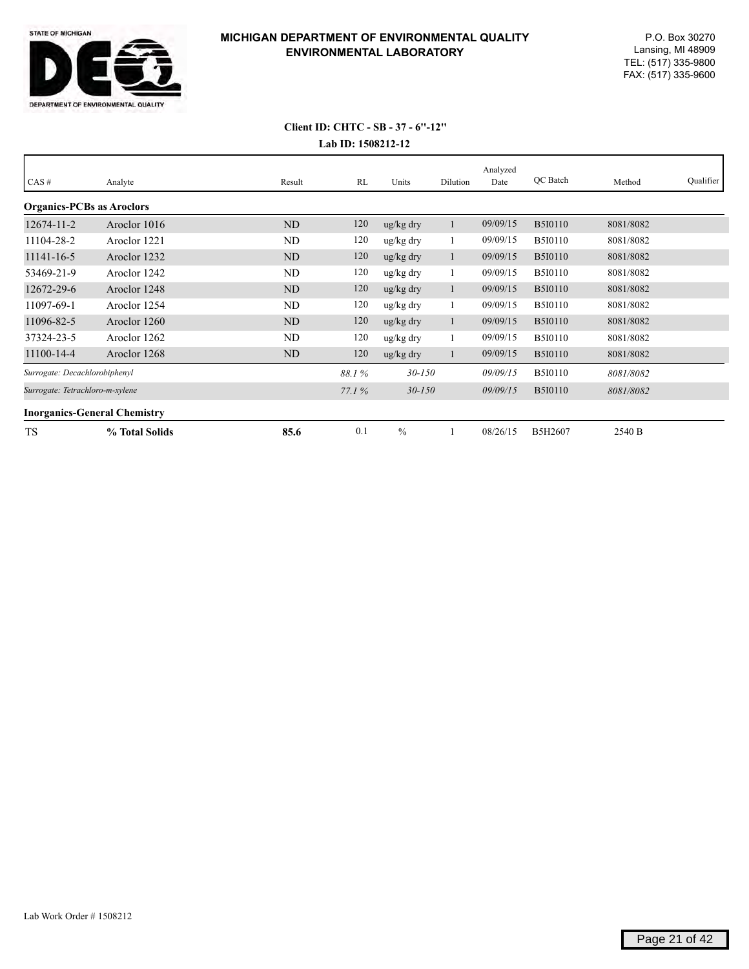

| $CAS \#$                            | Analyte                         | Result         | RL    | Units                 | Dilution | Analyzed<br>Date | QC Batch       | Method    | Qualifier |
|-------------------------------------|---------------------------------|----------------|-------|-----------------------|----------|------------------|----------------|-----------|-----------|
| <b>Organics-PCBs as Aroclors</b>    |                                 |                |       |                       |          |                  |                |           |           |
| $12674 - 11 - 2$                    | Aroclor 1016                    | N <sub>D</sub> | 120   | ug/kg dry             |          | 09/09/15         | <b>B5I0110</b> | 8081/8082 |           |
| 11104-28-2                          | Aroclor 1221                    | ND             | 120   | ug/kg dry             | -1       | 09/09/15         | <b>B5I0110</b> | 8081/8082 |           |
| 11141-16-5                          | Aroclor 1232                    | N <sub>D</sub> | 120   | ug/kg dry             | -1       | 09/09/15         | <b>B5I0110</b> | 8081/8082 |           |
| 53469-21-9                          | Aroclor 1242                    | ND             | 120   | ug/kg dry             |          | 09/09/15         | <b>B5I0110</b> | 8081/8082 |           |
| 12672-29-6                          | Aroclor 1248                    | ND             | 120   | $\frac{u g}{k g}$ dry |          | 09/09/15         | <b>B5I0110</b> | 8081/8082 |           |
| 11097-69-1                          | Aroclor 1254                    | ND             | 120   | ug/kg dry             |          | 09/09/15         | <b>B5I0110</b> | 8081/8082 |           |
| 11096-82-5                          | Aroclor 1260                    | N <sub>D</sub> | 120   | ug/kg dry             |          | 09/09/15         | <b>B5I0110</b> | 8081/8082 |           |
| 37324-23-5                          | Aroclor 1262                    | ND             | 120   | ug/kg dry             |          | 09/09/15         | <b>B5I0110</b> | 8081/8082 |           |
| 11100-14-4                          | Aroclor 1268                    | N <sub>D</sub> | 120   | ug/kg dry             |          | 09/09/15         | <b>B5I0110</b> | 8081/8082 |           |
| Surrogate: Decachlorobiphenyl       |                                 |                | 88.1% | $30 - 150$            |          | 09/09/15         | <b>B5I0110</b> | 8081/8082 |           |
|                                     | Surrogate: Tetrachloro-m-xylene |                | 77.1% | $30 - 150$            |          | 09/09/15         | <b>B5I0110</b> | 8081/8082 |           |
| <b>Inorganics-General Chemistry</b> |                                 |                |       |                       |          |                  |                |           |           |
| <b>TS</b>                           | % Total Solids                  | 85.6           | 0.1   | $\frac{0}{0}$         |          | 08/26/15         | B5H2607        | 2540 B    |           |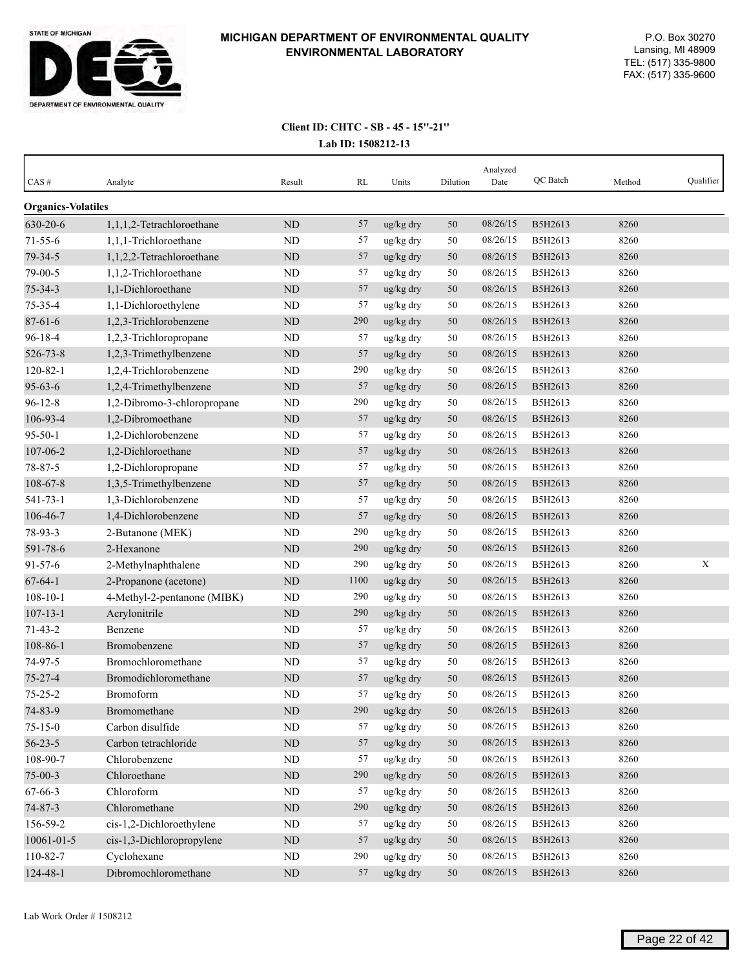

| $CAS \#$                  | Analyte                     | Result      | RL   | Units     | Dilution | Analyzed<br>Date | QC Batch | Method | Qualifier   |
|---------------------------|-----------------------------|-------------|------|-----------|----------|------------------|----------|--------|-------------|
| <b>Organics-Volatiles</b> |                             |             |      |           |          |                  |          |        |             |
| 630-20-6                  | 1,1,1,2-Tetrachloroethane   | $\rm ND$    | 57   | ug/kg dry | 50       | 08/26/15         | B5H2613  | 8260   |             |
| $71 - 55 - 6$             | 1,1,1-Trichloroethane       | ND          | 57   | ug/kg dry | 50       | 08/26/15         | B5H2613  | 8260   |             |
| 79-34-5                   | 1,1,2,2-Tetrachloroethane   | ND          | 57   | ug/kg dry | 50       | 08/26/15         | B5H2613  | 8260   |             |
| 79-00-5                   | 1,1,2-Trichloroethane       | <b>ND</b>   | 57   | ug/kg dry | 50       | 08/26/15         | B5H2613  | 8260   |             |
| $75 - 34 - 3$             | 1,1-Dichloroethane          | <b>ND</b>   | 57   | ug/kg dry | 50       | 08/26/15         | B5H2613  | 8260   |             |
| 75-35-4                   | 1,1-Dichloroethylene        | ND          | 57   | ug/kg dry | 50       | 08/26/15         | B5H2613  | 8260   |             |
| $87 - 61 - 6$             | 1,2,3-Trichlorobenzene      | $\rm ND$    | 290  | ug/kg dry | 50       | 08/26/15         | B5H2613  | 8260   |             |
| $96 - 18 - 4$             | 1,2,3-Trichloropropane      | ND          | 57   | ug/kg dry | 50       | 08/26/15         | B5H2613  | 8260   |             |
| 526-73-8                  | 1,2,3-Trimethylbenzene      | $\rm ND$    | 57   | ug/kg dry | 50       | 08/26/15         | B5H2613  | 8260   |             |
| $120 - 82 - 1$            | 1,2,4-Trichlorobenzene      | ND          | 290  | ug/kg dry | 50       | 08/26/15         | B5H2613  | 8260   |             |
| $95 - 63 - 6$             | 1,2,4-Trimethylbenzene      | ND          | 57   | ug/kg dry | 50       | 08/26/15         | B5H2613  | 8260   |             |
| $96 - 12 - 8$             | 1,2-Dibromo-3-chloropropane | ND          | 290  | ug/kg dry | 50       | 08/26/15         | B5H2613  | 8260   |             |
| 106-93-4                  | 1,2-Dibromoethane           | ND          | 57   | ug/kg dry | 50       | 08/26/15         | B5H2613  | 8260   |             |
| $95 - 50 - 1$             | 1,2-Dichlorobenzene         | ND          | 57   | ug/kg dry | 50       | 08/26/15         | B5H2613  | 8260   |             |
| 107-06-2                  | 1,2-Dichloroethane          | ND          | 57   | ug/kg dry | 50       | 08/26/15         | B5H2613  | 8260   |             |
| 78-87-5                   | 1,2-Dichloropropane         | ND          | 57   | ug/kg dry | 50       | 08/26/15         | B5H2613  | 8260   |             |
| 108-67-8                  | 1,3,5-Trimethylbenzene      | $\rm ND$    | 57   | ug/kg dry | 50       | 08/26/15         | B5H2613  | 8260   |             |
| $541 - 73 - 1$            | 1,3-Dichlorobenzene         | ND          | 57   | ug/kg dry | 50       | 08/26/15         | B5H2613  | 8260   |             |
| 106-46-7                  | 1,4-Dichlorobenzene         | $\rm ND$    | 57   | ug/kg dry | 50       | 08/26/15         | B5H2613  | 8260   |             |
| 78-93-3                   | 2-Butanone (MEK)            | ND          | 290  | ug/kg dry | 50       | 08/26/15         | B5H2613  | 8260   |             |
| 591-78-6                  | 2-Hexanone                  | $\rm ND$    | 290  | ug/kg dry | 50       | 08/26/15         | B5H2613  | 8260   |             |
| $91 - 57 - 6$             | 2-Methylnaphthalene         | ND          | 290  | ug/kg dry | 50       | 08/26/15         | B5H2613  | 8260   | $\mathbf X$ |
| $67 - 64 - 1$             | 2-Propanone (acetone)       | ND          | 1100 | ug/kg dry | 50       | 08/26/15         | B5H2613  | 8260   |             |
| $108 - 10 - 1$            | 4-Methyl-2-pentanone (MIBK) | ND          | 290  | ug/kg dry | 50       | 08/26/15         | B5H2613  | 8260   |             |
| $107 - 13 - 1$            | Acrylonitrile               | ND          | 290  | ug/kg dry | 50       | 08/26/15         | B5H2613  | 8260   |             |
| $71 - 43 - 2$             | Benzene                     | ND          | 57   | ug/kg dry | 50       | 08/26/15         | B5H2613  | 8260   |             |
| 108-86-1                  | Bromobenzene                | ND          | 57   | ug/kg dry | 50       | 08/26/15         | B5H2613  | 8260   |             |
| 74-97-5                   | Bromochloromethane          | <b>ND</b>   | 57   | ug/kg dry | 50       | 08/26/15         | B5H2613  | 8260   |             |
| $75 - 27 - 4$             | Bromodichloromethane        | ND          | 57   | ug/kg dry | 50       | 08/26/15         | B5H2613  | 8260   |             |
| $75 - 25 - 2$             | Bromoform                   | ND          | 57   | ug/kg dry | 50       | 08/26/15         | B5H2613  | 8260   |             |
| 74-83-9                   | Bromomethane                | $\mbox{ND}$ | 290  | ug/kg dry | 50       | 08/26/15         | B5H2613  | 8260   |             |
| $75 - 15 - 0$             | Carbon disulfide            | ND          | 57   | ug/kg dry | 50       | 08/26/15         | B5H2613  | 8260   |             |
| $56 - 23 - 5$             | Carbon tetrachloride        | $\rm ND$    | 57   | ug/kg dry | 50       | 08/26/15         | B5H2613  | 8260   |             |
| 108-90-7                  | Chlorobenzene               | ND          | 57   | ug/kg dry | 50       | 08/26/15         | B5H2613  | 8260   |             |
| $75 - 00 - 3$             | Chloroethane                | $\rm ND$    | 290  | ug/kg dry | 50       | 08/26/15         | B5H2613  | 8260   |             |
| 67-66-3                   | Chloroform                  | $\rm ND$    | 57   | ug/kg dry | 50       | 08/26/15         | B5H2613  | 8260   |             |
| $74 - 87 - 3$             | Chloromethane               | $\rm ND$    | 290  | ug/kg dry | 50       | 08/26/15         | B5H2613  | 8260   |             |
| 156-59-2                  | cis-1,2-Dichloroethylene    | ND          | 57   | ug/kg dry | $50\,$   | 08/26/15         | B5H2613  | 8260   |             |
| 10061-01-5                | cis-1,3-Dichloropropylene   | $\rm ND$    | 57   | ug/kg dry | $50\,$   | 08/26/15         | B5H2613  | 8260   |             |
| 110-82-7                  | Cyclohexane                 | ND          | 290  | ug/kg dry | 50       | 08/26/15         | B5H2613  | 8260   |             |
| 124-48-1                  | Dibromochloromethane        | $\rm ND$    | 57   | ug/kg dry | 50       | 08/26/15         | B5H2613  | 8260   |             |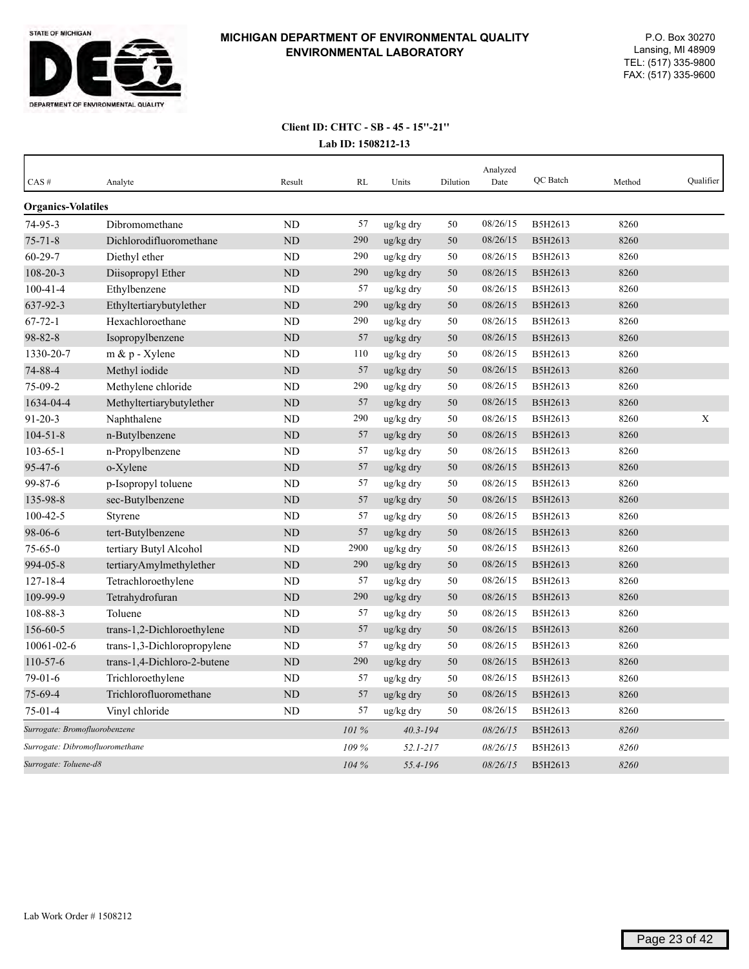

| CAS#                            | Analyte                     | Result         | RL    | Units        | Dilution | Analyzed<br>Date | QC Batch | Method | Qualifier |
|---------------------------------|-----------------------------|----------------|-------|--------------|----------|------------------|----------|--------|-----------|
| <b>Organics-Volatiles</b>       |                             |                |       |              |          |                  |          |        |           |
| $74 - 95 - 3$                   | Dibromomethane              | <b>ND</b>      | 57    | ug/kg dry    | 50       | 08/26/15         | B5H2613  | 8260   |           |
| $75 - 71 - 8$                   | Dichlorodifluoromethane     | <b>ND</b>      | 290   | ug/kg dry    | 50       | 08/26/15         | B5H2613  | 8260   |           |
| $60 - 29 - 7$                   | Diethyl ether               | ND             | 290   | ug/kg dry    | 50       | 08/26/15         | B5H2613  | 8260   |           |
| 108-20-3                        | Diisopropyl Ether           | <b>ND</b>      | 290   | ug/kg dry    | 50       | 08/26/15         | B5H2613  | 8260   |           |
| $100 - 41 - 4$                  | Ethylbenzene                | <b>ND</b>      | 57    | ug/kg dry    | 50       | 08/26/15         | B5H2613  | 8260   |           |
| 637-92-3                        | Ethyltertiarybutylether     | ND             | 290   | ug/kg dry    | 50       | 08/26/15         | B5H2613  | 8260   |           |
| $67 - 72 - 1$                   | Hexachloroethane            | N <sub>D</sub> | 290   | ug/kg dry    | 50       | 08/26/15         | B5H2613  | 8260   |           |
| 98-82-8                         | Isopropylbenzene            | <b>ND</b>      | 57    | ug/kg dry    | 50       | 08/26/15         | B5H2613  | 8260   |           |
| 1330-20-7                       | $m \& p$ - Xylene           | <b>ND</b>      | 110   | ug/kg dry    | 50       | 08/26/15         | B5H2613  | 8260   |           |
| 74-88-4                         | Methyl iodide               | <b>ND</b>      | 57    | ug/kg dry    | 50       | 08/26/15         | B5H2613  | 8260   |           |
| 75-09-2                         | Methylene chloride          | <b>ND</b>      | 290   | ug/kg dry    | 50       | 08/26/15         | B5H2613  | 8260   |           |
| 1634-04-4                       | Methyltertiarybutylether    | <b>ND</b>      | 57    | ug/kg dry    | 50       | 08/26/15         | B5H2613  | 8260   |           |
| $91 - 20 - 3$                   | Naphthalene                 | ND             | 290   | ug/kg dry    | 50       | 08/26/15         | B5H2613  | 8260   | X         |
| $104 - 51 - 8$                  | n-Butylbenzene              | N <sub>D</sub> | 57    | ug/kg dry    | 50       | 08/26/15         | B5H2613  | 8260   |           |
| $103 - 65 - 1$                  | n-Propylbenzene             | ND             | 57    | ug/kg dry    | 50       | 08/26/15         | B5H2613  | 8260   |           |
| 95-47-6                         | o-Xylene                    | ND             | 57    | ug/kg dry    | 50       | 08/26/15         | B5H2613  | 8260   |           |
| 99-87-6                         | p-Isopropyl toluene         | ND             | 57    | ug/kg dry    | 50       | 08/26/15         | B5H2613  | 8260   |           |
| 135-98-8                        | sec-Butylbenzene            | ND             | 57    | ug/kg dry    | 50       | 08/26/15         | B5H2613  | 8260   |           |
| $100 - 42 - 5$                  | Styrene                     | <b>ND</b>      | 57    | ug/kg dry    | 50       | 08/26/15         | B5H2613  | 8260   |           |
| 98-06-6                         | tert-Butylbenzene           | <b>ND</b>      | 57    | ug/kg dry    | 50       | 08/26/15         | B5H2613  | 8260   |           |
| $75 - 65 - 0$                   | tertiary Butyl Alcohol      | <b>ND</b>      | 2900  | ug/kg dry    | 50       | 08/26/15         | B5H2613  | 8260   |           |
| 994-05-8                        | tertiaryAmylmethylether     | ND             | 290   | ug/kg dry    | 50       | 08/26/15         | B5H2613  | 8260   |           |
| $127 - 18 - 4$                  | Tetrachloroethylene         | <b>ND</b>      | 57    | ug/kg dry    | 50       | 08/26/15         | B5H2613  | 8260   |           |
| 109-99-9                        | Tetrahydrofuran             | <b>ND</b>      | 290   | ug/kg dry    | 50       | 08/26/15         | B5H2613  | 8260   |           |
| 108-88-3                        | Toluene                     | <b>ND</b>      | 57    | ug/kg dry    | 50       | 08/26/15         | B5H2613  | 8260   |           |
| 156-60-5                        | trans-1,2-Dichloroethylene  | ND             | 57    | ug/kg dry    | 50       | 08/26/15         | B5H2613  | 8260   |           |
| 10061-02-6                      | trans-1,3-Dichloropropylene | <b>ND</b>      | 57    | ug/kg dry    | 50       | 08/26/15         | B5H2613  | 8260   |           |
| $110-57-6$                      | trans-1,4-Dichloro-2-butene | <b>ND</b>      | 290   | ug/kg dry    | 50       | 08/26/15         | B5H2613  | 8260   |           |
| $79-01-6$                       | Trichloroethylene           | <b>ND</b>      | 57    | ug/kg dry    | 50       | 08/26/15         | B5H2613  | 8260   |           |
| 75-69-4                         | Trichlorofluoromethane      | <b>ND</b>      | 57    | ug/kg dry    | 50       | 08/26/15         | B5H2613  | 8260   |           |
| $75-01-4$                       | Vinyl chloride              | <b>ND</b>      | 57    | ug/kg dry    | 50       | 08/26/15         | B5H2613  | 8260   |           |
| Surrogate: Bromofluorobenzene   |                             |                | 101 % | $40.3 - 194$ |          | 08/26/15         | B5H2613  | 8260   |           |
| Surrogate: Dibromofluoromethane |                             |                | 109 % | $52.1 - 217$ |          | 08/26/15         | B5H2613  | 8260   |           |
| Surrogate: Toluene-d8           |                             |                | 104 % | 55.4-196     |          | 08/26/15         | B5H2613  | 8260   |           |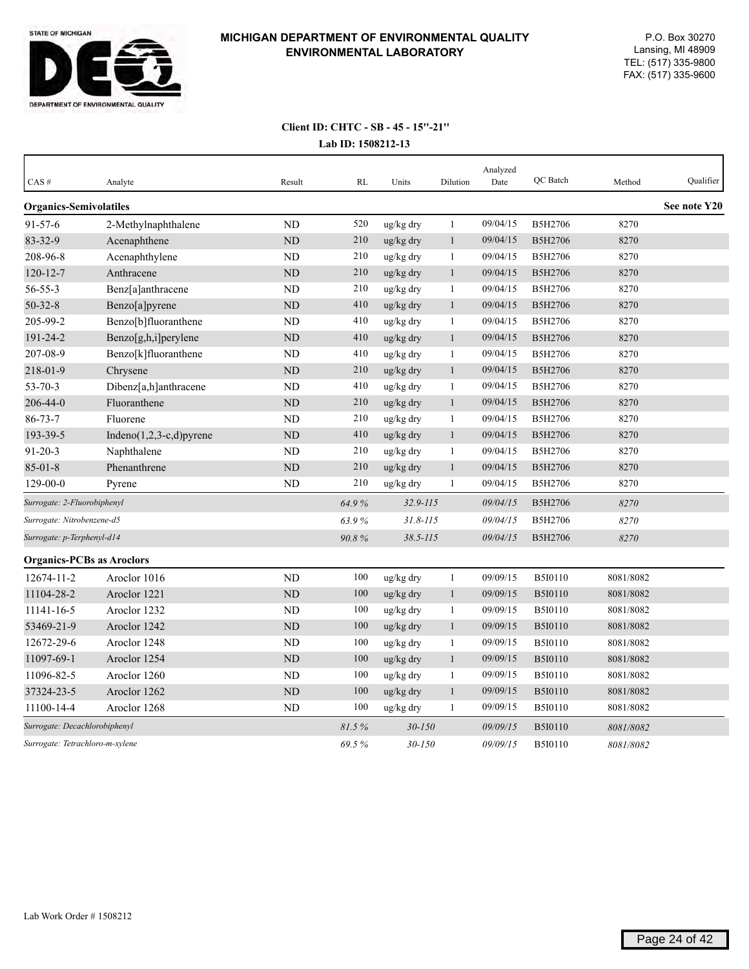

| CAS#                             | Analyte                     | Result    | <b>RL</b>  | Units        | Dilution     | Analyzed<br>Date | QC Batch       | Method    | Qualifier    |
|----------------------------------|-----------------------------|-----------|------------|--------------|--------------|------------------|----------------|-----------|--------------|
| <b>Organics-Semivolatiles</b>    |                             |           |            |              |              |                  |                |           | See note Y20 |
| $91 - 57 - 6$                    | 2-Methylnaphthalene         | <b>ND</b> | 520        | ug/kg dry    | $\mathbf{1}$ | 09/04/15         | B5H2706        | 8270      |              |
| 83-32-9                          | Acenaphthene                | ND        | 210        | ug/kg dry    | $\mathbf{1}$ | 09/04/15         | B5H2706        | 8270      |              |
| 208-96-8                         | Acenaphthylene              | <b>ND</b> | 210        | ug/kg dry    | 1            | 09/04/15         | B5H2706        | 8270      |              |
| $120 - 12 - 7$                   | Anthracene                  | <b>ND</b> | 210        | ug/kg dry    | $\mathbf{1}$ | 09/04/15         | B5H2706        | 8270      |              |
| $56 - 55 - 3$                    | Benz[a]anthracene           | <b>ND</b> | 210        | ug/kg dry    | 1            | 09/04/15         | B5H2706        | 8270      |              |
| $50 - 32 - 8$                    | Benzo[a]pyrene              | ND        | 410        | ug/kg dry    | $\mathbf{1}$ | 09/04/15         | B5H2706        | 8270      |              |
| 205-99-2                         | Benzo[b]fluoranthene        | ND        | 410        | ug/kg dry    | $\mathbf{1}$ | 09/04/15         | B5H2706        | 8270      |              |
| 191-24-2                         | Benzo[g,h,i]perylene        | <b>ND</b> | 410        | ug/kg dry    | $\mathbf{1}$ | 09/04/15         | B5H2706        | 8270      |              |
| 207-08-9                         | Benzo[k]fluoranthene        | ND        | 410        | ug/kg dry    | 1            | 09/04/15         | B5H2706        | 8270      |              |
| 218-01-9                         | Chrysene                    | <b>ND</b> | 210        | ug/kg dry    | $\mathbf{1}$ | 09/04/15         | B5H2706        | 8270      |              |
| $53 - 70 - 3$                    | Dibenz[a,h]anthracene       | <b>ND</b> | 410        | ug/kg dry    | $\mathbf{1}$ | 09/04/15         | B5H2706        | 8270      |              |
| 206-44-0                         | Fluoranthene                | ND        | 210        | ug/kg dry    | $\mathbf{1}$ | 09/04/15         | B5H2706        | 8270      |              |
| $86 - 73 - 7$                    | Fluorene                    | ND        | 210        | ug/kg dry    | 1            | 09/04/15         | B5H2706        | 8270      |              |
| 193-39-5                         | Indeno $(1,2,3-c,d)$ pyrene | <b>ND</b> | 410        | ug/kg dry    | $\mathbf{1}$ | 09/04/15         | <b>B5H2706</b> | 8270      |              |
| $91 - 20 - 3$                    | Naphthalene                 | <b>ND</b> | 210        | ug/kg dry    | 1            | 09/04/15         | B5H2706        | 8270      |              |
| $85 - 01 - 8$                    | Phenanthrene                | ND        | 210        | ug/kg dry    | $\mathbf{1}$ | 09/04/15         | B5H2706        | 8270      |              |
| 129-00-0                         | Pyrene                      | ND        | 210        | ug/kg dry    | $\mathbf{1}$ | 09/04/15         | B5H2706        | 8270      |              |
| Surrogate: 2-Fluorobiphenyl      |                             |           | 64.9%      | $32.9 - 115$ |              | 09/04/15         | B5H2706        | 8270      |              |
| Surrogate: Nitrobenzene-d5       |                             |           | 63.9%      | $31.8 - 115$ |              | 09/04/15         | B5H2706        | 8270      |              |
| Surrogate: p-Terphenyl-d14       |                             |           | 90.8%      | $38.5 - 115$ |              | 09/04/15         | <b>B5H2706</b> | 8270      |              |
| <b>Organics-PCBs as Aroclors</b> |                             |           |            |              |              |                  |                |           |              |
| 12674-11-2                       | Aroclor 1016                | <b>ND</b> | 100        | ug/kg dry    | $\mathbf{1}$ | 09/09/15         | <b>B5I0110</b> | 8081/8082 |              |
| 11104-28-2                       | Aroclor 1221                | ND        | $100\,$    | ug/kg dry    | $\mathbf{1}$ | 09/09/15         | <b>B5I0110</b> | 8081/8082 |              |
| 11141-16-5                       | Aroclor 1232                | ND        | 100        | ug/kg dry    | $\mathbf{1}$ | 09/09/15         | <b>B5I0110</b> | 8081/8082 |              |
| 53469-21-9                       | Aroclor 1242                | <b>ND</b> | 100        | ug/kg dry    | $\mathbf{1}$ | 09/09/15         | <b>B5I0110</b> | 8081/8082 |              |
| 12672-29-6                       | Aroclor 1248                | ND        | 100        | ug/kg dry    | $\mathbf{1}$ | 09/09/15         | B5I0110        | 8081/8082 |              |
| 11097-69-1                       | Aroclor 1254                | <b>ND</b> | 100        | ug/kg dry    | $\mathbf{1}$ | 09/09/15         | <b>B5I0110</b> | 8081/8082 |              |
| 11096-82-5                       | Aroclor 1260                | ND        | 100        | ug/kg dry    | $\mathbf{1}$ | 09/09/15         | <b>B5I0110</b> | 8081/8082 |              |
| 37324-23-5                       | Aroclor 1262                | ND        | 100        | ug/kg dry    | $\mathbf{1}$ | 09/09/15         | <b>B5I0110</b> | 8081/8082 |              |
| 11100-14-4                       | Aroclor 1268                | ND        | 100        | ug/kg dry    | $\mathbf{1}$ | 09/09/15         | <b>B5I0110</b> | 8081/8082 |              |
| Surrogate: Decachlorobiphenyl    |                             |           | 81.5%      | $30 - 150$   |              | 09/09/15         | <b>B5I0110</b> | 8081/8082 |              |
| Surrogate: Tetrachloro-m-xylene  |                             | 69.5%     | $30 - 150$ |              | 09/09/15     | <b>B5I0110</b>   | 8081/8082      |           |              |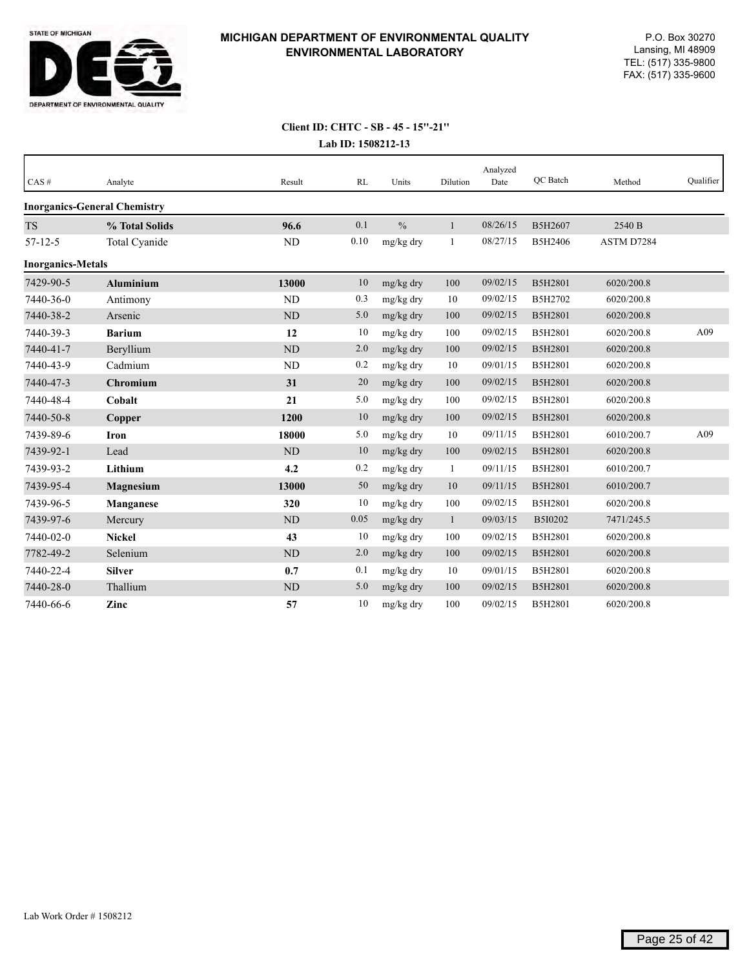

| CAS#                     | Analyte                             | Result    | RL   | Units         | Dilution     | Analyzed<br>Date | OC Batch | Method     | Qualifier |
|--------------------------|-------------------------------------|-----------|------|---------------|--------------|------------------|----------|------------|-----------|
|                          | <b>Inorganics-General Chemistry</b> |           |      |               |              |                  |          |            |           |
| <b>TS</b>                | % Total Solids                      | 96.6      | 0.1  | $\frac{0}{0}$ | 1            | 08/26/15         | B5H2607  | 2540 B     |           |
| $57 - 12 - 5$            | Total Cyanide                       | ND        | 0.10 | mg/kg dry     | $\mathbf{1}$ | 08/27/15         | B5H2406  | ASTM D7284 |           |
| <b>Inorganics-Metals</b> |                                     |           |      |               |              |                  |          |            |           |
| 7429-90-5                | <b>Aluminium</b>                    | 13000     | 10   | mg/kg dry     | 100          | 09/02/15         | B5H2801  | 6020/200.8 |           |
| 7440-36-0                | Antimony                            | <b>ND</b> | 0.3  | mg/kg dry     | 10           | 09/02/15         | B5H2702  | 6020/200.8 |           |
| 7440-38-2                | Arsenic                             | ND        | 5.0  | mg/kg dry     | 100          | 09/02/15         | B5H2801  | 6020/200.8 |           |
| 7440-39-3                | <b>Barium</b>                       | 12        | 10   | mg/kg dry     | 100          | 09/02/15         | B5H2801  | 6020/200.8 | A09       |
| 7440-41-7                | Beryllium                           | ND        | 2.0  | mg/kg dry     | 100          | 09/02/15         | B5H2801  | 6020/200.8 |           |
| 7440-43-9                | Cadmium                             | <b>ND</b> | 0.2  | mg/kg dry     | 10           | 09/01/15         | B5H2801  | 6020/200.8 |           |
| 7440-47-3                | Chromium                            | 31        | 20   | mg/kg dry     | 100          | 09/02/15         | B5H2801  | 6020/200.8 |           |
| 7440-48-4                | Cobalt                              | 21        | 5.0  | mg/kg dry     | 100          | 09/02/15         | B5H2801  | 6020/200.8 |           |
| 7440-50-8                | Copper                              | 1200      | 10   | mg/kg dry     | 100          | 09/02/15         | B5H2801  | 6020/200.8 |           |
| 7439-89-6                | <b>Iron</b>                         | 18000     | 5.0  | mg/kg dry     | 10           | 09/11/15         | B5H2801  | 6010/200.7 | A09       |
| 7439-92-1                | Lead                                | ND        | 10   | mg/kg dry     | 100          | 09/02/15         | B5H2801  | 6020/200.8 |           |
| 7439-93-2                | Lithium                             | 4.2       | 0.2  | mg/kg dry     | -1           | 09/11/15         | B5H2801  | 6010/200.7 |           |
| 7439-95-4                | <b>Magnesium</b>                    | 13000     | 50   | mg/kg dry     | 10           | 09/11/15         | B5H2801  | 6010/200.7 |           |
| 7439-96-5                | Manganese                           | 320       | 10   | mg/kg dry     | 100          | 09/02/15         | B5H2801  | 6020/200.8 |           |
| 7439-97-6                | Mercury                             | ND        | 0.05 | mg/kg dry     | $\mathbf{1}$ | 09/03/15         | B5I0202  | 7471/245.5 |           |
| 7440-02-0                | <b>Nickel</b>                       | 43        | 10   | mg/kg dry     | 100          | 09/02/15         | B5H2801  | 6020/200.8 |           |
| 7782-49-2                | Selenium                            | <b>ND</b> | 2.0  | mg/kg dry     | 100          | 09/02/15         | B5H2801  | 6020/200.8 |           |
| 7440-22-4                | <b>Silver</b>                       | 0.7       | 0.1  | mg/kg dry     | 10           | 09/01/15         | B5H2801  | 6020/200.8 |           |
| 7440-28-0                | Thallium                            | <b>ND</b> | 5.0  | mg/kg dry     | 100          | 09/02/15         | B5H2801  | 6020/200.8 |           |
| 7440-66-6                | Zinc                                | 57        | 10   | mg/kg dry     | 100          | 09/02/15         | B5H2801  | 6020/200.8 |           |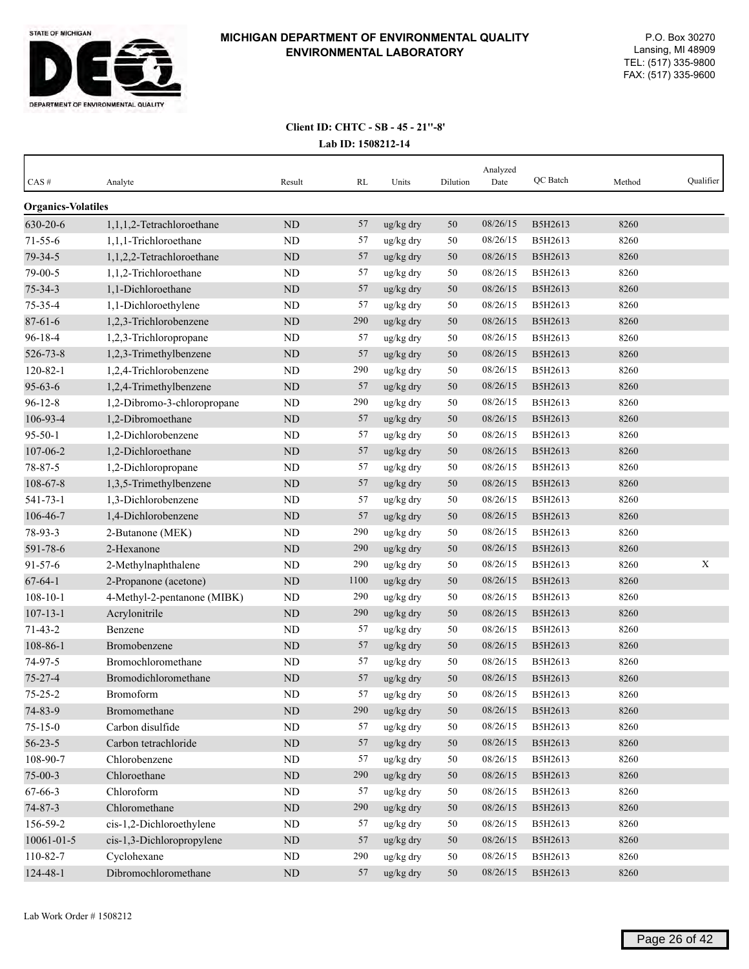

| CAS#                      | Analyte                     | Result    | RL   | Units     | Dilution | Analyzed<br>Date | QC Batch | Method | Qualifier   |
|---------------------------|-----------------------------|-----------|------|-----------|----------|------------------|----------|--------|-------------|
| <b>Organics-Volatiles</b> |                             |           |      |           |          |                  |          |        |             |
| 630-20-6                  | 1,1,1,2-Tetrachloroethane   | ND        | 57   | ug/kg dry | 50       | 08/26/15         | B5H2613  | 8260   |             |
| $71 - 55 - 6$             | 1,1,1-Trichloroethane       | <b>ND</b> | 57   | ug/kg dry | 50       | 08/26/15         | B5H2613  | 8260   |             |
| 79-34-5                   | 1,1,2,2-Tetrachloroethane   | ND        | 57   | ug/kg dry | 50       | 08/26/15         | B5H2613  | 8260   |             |
| 79-00-5                   | 1,1,2-Trichloroethane       | <b>ND</b> | 57   | ug/kg dry | 50       | 08/26/15         | B5H2613  | 8260   |             |
| $75 - 34 - 3$             | 1,1-Dichloroethane          | ND        | 57   | ug/kg dry | 50       | 08/26/15         | B5H2613  | 8260   |             |
| 75-35-4                   | 1,1-Dichloroethylene        | ND        | 57   | ug/kg dry | 50       | 08/26/15         | B5H2613  | 8260   |             |
| $87 - 61 - 6$             | 1,2,3-Trichlorobenzene      | ND        | 290  | ug/kg dry | 50       | 08/26/15         | B5H2613  | 8260   |             |
| 96-18-4                   | 1,2,3-Trichloropropane      | ND        | 57   | ug/kg dry | 50       | 08/26/15         | B5H2613  | 8260   |             |
| 526-73-8                  | 1,2,3-Trimethylbenzene      | ND        | 57   | ug/kg dry | 50       | 08/26/15         | B5H2613  | 8260   |             |
| $120 - 82 - 1$            | 1,2,4-Trichlorobenzene      | ND        | 290  | ug/kg dry | 50       | 08/26/15         | B5H2613  | 8260   |             |
| $95 - 63 - 6$             | 1,2,4-Trimethylbenzene      | ND        | 57   | ug/kg dry | 50       | 08/26/15         | B5H2613  | 8260   |             |
| $96 - 12 - 8$             | 1,2-Dibromo-3-chloropropane | ND        | 290  | ug/kg dry | 50       | 08/26/15         | B5H2613  | 8260   |             |
| 106-93-4                  | 1,2-Dibromoethane           | ND        | 57   | ug/kg dry | 50       | 08/26/15         | B5H2613  | 8260   |             |
| $95 - 50 - 1$             | 1,2-Dichlorobenzene         | ND        | 57   | ug/kg dry | 50       | 08/26/15         | B5H2613  | 8260   |             |
| 107-06-2                  | 1,2-Dichloroethane          | ND        | 57   | ug/kg dry | 50       | 08/26/15         | B5H2613  | 8260   |             |
| 78-87-5                   | 1,2-Dichloropropane         | <b>ND</b> | 57   | ug/kg dry | 50       | 08/26/15         | B5H2613  | 8260   |             |
| 108-67-8                  | 1,3,5-Trimethylbenzene      | ND        | 57   | ug/kg dry | 50       | 08/26/15         | B5H2613  | 8260   |             |
| 541-73-1                  | 1,3-Dichlorobenzene         | ND        | 57   | ug/kg dry | 50       | 08/26/15         | B5H2613  | 8260   |             |
| 106-46-7                  | 1,4-Dichlorobenzene         | ND        | 57   | ug/kg dry | 50       | 08/26/15         | B5H2613  | 8260   |             |
| 78-93-3                   | 2-Butanone (MEK)            | ND        | 290  | ug/kg dry | 50       | 08/26/15         | B5H2613  | 8260   |             |
| 591-78-6                  | 2-Hexanone                  | ND        | 290  | ug/kg dry | 50       | 08/26/15         | B5H2613  | 8260   |             |
| $91 - 57 - 6$             | 2-Methylnaphthalene         | ND        | 290  | ug/kg dry | 50       | 08/26/15         | B5H2613  | 8260   | $\mathbf X$ |
| $67 - 64 - 1$             | 2-Propanone (acetone)       | ND        | 1100 | ug/kg dry | 50       | 08/26/15         | B5H2613  | 8260   |             |
| $108 - 10 - 1$            | 4-Methyl-2-pentanone (MIBK) | ND        | 290  | ug/kg dry | 50       | 08/26/15         | B5H2613  | 8260   |             |
| $107 - 13 - 1$            | Acrylonitrile               | ND        | 290  | ug/kg dry | $50\,$   | 08/26/15         | B5H2613  | 8260   |             |
| $71 - 43 - 2$             | Benzene                     | <b>ND</b> | 57   | ug/kg dry | 50       | 08/26/15         | B5H2613  | 8260   |             |
| 108-86-1                  | Bromobenzene                | ND        | 57   | ug/kg dry | 50       | 08/26/15         | B5H2613  | 8260   |             |
| 74-97-5                   | Bromochloromethane          | <b>ND</b> | 57   | ug/kg dry | 50       | 08/26/15         | B5H2613  | 8260   |             |
| 75-27-4                   | Bromodichloromethane        | ND        | 57   | ug/kg dry | 50       | 08/26/15         | B5H2613  | 8260   |             |
| $75 - 25 - 2$             | Bromoform                   | ND        | 57   | ug/kg dry | 50       | 08/26/15         | B5H2613  | 8260   |             |
| 74-83-9                   | Bromomethane                | $\rm ND$  | 290  | ug/kg dry | 50       | 08/26/15         | B5H2613  | 8260   |             |
| $75 - 15 - 0$             | Carbon disulfide            | ND        | 57   | ug/kg dry | 50       | 08/26/15         | B5H2613  | 8260   |             |
| $56 - 23 - 5$             | Carbon tetrachloride        | $\rm ND$  | 57   | ug/kg dry | $50\,$   | 08/26/15         | B5H2613  | 8260   |             |
| 108-90-7                  | Chlorobenzene               | ND        | 57   | ug/kg dry | 50       | 08/26/15         | B5H2613  | 8260   |             |
| $75 - 00 - 3$             | Chloroethane                | $\rm ND$  | 290  | ug/kg dry | $50\,$   | 08/26/15         | B5H2613  | 8260   |             |
| $67 - 66 - 3$             | Chloroform                  | ND        | 57   | ug/kg dry | 50       | 08/26/15         | B5H2613  | 8260   |             |
| $74 - 87 - 3$             | Chloromethane               | $\rm ND$  | 290  | ug/kg dry | $50\,$   | 08/26/15         | B5H2613  | 8260   |             |
| 156-59-2                  | cis-1,2-Dichloroethylene    | ND        | 57   | ug/kg dry | 50       | 08/26/15         | B5H2613  | 8260   |             |
| $10061 - 01 - 5$          | cis-1,3-Dichloropropylene   | $\rm ND$  | 57   | ug/kg dry | 50       | 08/26/15         | B5H2613  | 8260   |             |
| 110-82-7                  | Cyclohexane                 | $\rm ND$  | 290  | ug/kg dry | 50       | 08/26/15         | B5H2613  | 8260   |             |
| $124 - 48 - 1$            | Dibromochloromethane        | $\rm ND$  | 57   | ug/kg dry | 50       | 08/26/15         | B5H2613  | 8260   |             |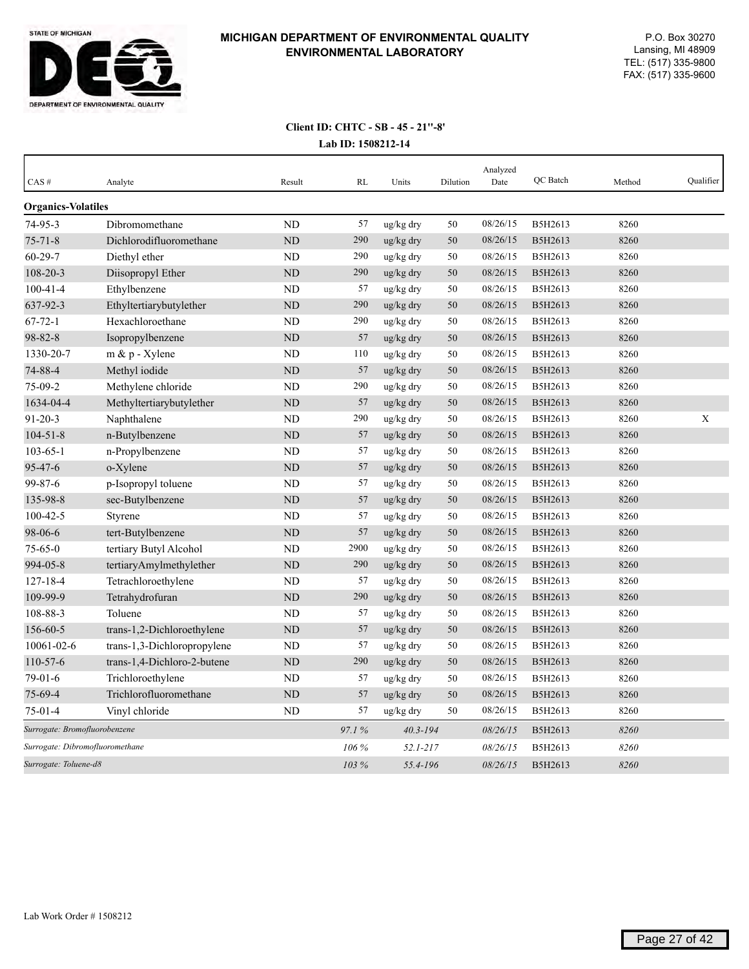

| CAS#                            | Analyte                     | Result         | RL      | Units        | Dilution | Analyzed<br>Date | <b>OC</b> Batch | Method | Qualifier |
|---------------------------------|-----------------------------|----------------|---------|--------------|----------|------------------|-----------------|--------|-----------|
| <b>Organics-Volatiles</b>       |                             |                |         |              |          |                  |                 |        |           |
| 74-95-3                         | Dibromomethane              | <b>ND</b>      | 57      | ug/kg dry    | 50       | 08/26/15         | B5H2613         | 8260   |           |
| $75 - 71 - 8$                   | Dichlorodifluoromethane     | N <sub>D</sub> | 290     | ug/kg dry    | 50       | 08/26/15         | B5H2613         | 8260   |           |
| $60 - 29 - 7$                   | Diethyl ether               | <b>ND</b>      | 290     | ug/kg dry    | 50       | 08/26/15         | B5H2613         | 8260   |           |
| 108-20-3                        | Diisopropyl Ether           | <b>ND</b>      | 290     | ug/kg dry    | 50       | 08/26/15         | B5H2613         | 8260   |           |
| $100 - 41 - 4$                  | Ethylbenzene                | ND             | 57      | ug/kg dry    | 50       | 08/26/15         | B5H2613         | 8260   |           |
| 637-92-3                        | Ethyltertiarybutylether     | ND             | 290     | ug/kg dry    | 50       | 08/26/15         | B5H2613         | 8260   |           |
| $67 - 72 - 1$                   | Hexachloroethane            | ND             | 290     | ug/kg dry    | 50       | 08/26/15         | B5H2613         | 8260   |           |
| 98-82-8                         | Isopropylbenzene            | ND             | 57      | ug/kg dry    | 50       | 08/26/15         | B5H2613         | 8260   |           |
| 1330-20-7                       | m & p - Xylene              | <b>ND</b>      | 110     | ug/kg dry    | 50       | 08/26/15         | B5H2613         | 8260   |           |
| 74-88-4                         | Methyl iodide               | <b>ND</b>      | 57      | ug/kg dry    | 50       | 08/26/15         | B5H2613         | 8260   |           |
| 75-09-2                         | Methylene chloride          | <b>ND</b>      | 290     | ug/kg dry    | 50       | 08/26/15         | B5H2613         | 8260   |           |
| 1634-04-4                       | Methyltertiarybutylether    | <b>ND</b>      | 57      | ug/kg dry    | 50       | 08/26/15         | B5H2613         | 8260   |           |
| $91 - 20 - 3$                   | Naphthalene                 | ND             | 290     | ug/kg dry    | 50       | 08/26/15         | B5H2613         | 8260   | X         |
| $104 - 51 - 8$                  | n-Butylbenzene              | ND             | 57      | ug/kg dry    | 50       | 08/26/15         | B5H2613         | 8260   |           |
| $103 - 65 - 1$                  | n-Propylbenzene             | <b>ND</b>      | 57      | ug/kg dry    | 50       | 08/26/15         | B5H2613         | 8260   |           |
| $95 - 47 - 6$                   | o-Xylene                    | <b>ND</b>      | 57      | ug/kg dry    | 50       | 08/26/15         | B5H2613         | 8260   |           |
| 99-87-6                         | p-Isopropyl toluene         | ND             | 57      | ug/kg dry    | 50       | 08/26/15         | B5H2613         | 8260   |           |
| 135-98-8                        | sec-Butylbenzene            | <b>ND</b>      | 57      | ug/kg dry    | 50       | 08/26/15         | B5H2613         | 8260   |           |
| $100 - 42 - 5$                  | Styrene                     | ND             | 57      | ug/kg dry    | 50       | 08/26/15         | B5H2613         | 8260   |           |
| 98-06-6                         | tert-Butylbenzene           | N <sub>D</sub> | 57      | ug/kg dry    | 50       | 08/26/15         | B5H2613         | 8260   |           |
| $75 - 65 - 0$                   | tertiary Butyl Alcohol      | <b>ND</b>      | 2900    | ug/kg dry    | 50       | 08/26/15         | B5H2613         | 8260   |           |
| 994-05-8                        | tertiaryAmylmethylether     | <b>ND</b>      | 290     | ug/kg dry    | 50       | 08/26/15         | B5H2613         | 8260   |           |
| $127 - 18 - 4$                  | Tetrachloroethylene         | <b>ND</b>      | 57      | ug/kg dry    | 50       | 08/26/15         | B5H2613         | 8260   |           |
| 109-99-9                        | Tetrahydrofuran             | ND             | 290     | ug/kg dry    | 50       | 08/26/15         | B5H2613         | 8260   |           |
| 108-88-3                        | Toluene                     | <b>ND</b>      | 57      | ug/kg dry    | 50       | 08/26/15         | B5H2613         | 8260   |           |
| 156-60-5                        | trans-1,2-Dichloroethylene  | ND             | 57      | ug/kg dry    | 50       | 08/26/15         | B5H2613         | 8260   |           |
| 10061-02-6                      | trans-1,3-Dichloropropylene | <b>ND</b>      | 57      | ug/kg dry    | 50       | 08/26/15         | B5H2613         | 8260   |           |
| $110 - 57 - 6$                  | trans-1,4-Dichloro-2-butene | <b>ND</b>      | 290     | ug/kg dry    | 50       | 08/26/15         | B5H2613         | 8260   |           |
| $79-01-6$                       | Trichloroethylene           | ND             | 57      | ug/kg dry    | 50       | 08/26/15         | B5H2613         | 8260   |           |
| 75-69-4                         | Trichlorofluoromethane      | <b>ND</b>      | 57      | ug/kg dry    | 50       | 08/26/15         | B5H2613         | 8260   |           |
| $75-01-4$                       | Vinyl chloride              | ND             | 57      | ug/kg dry    | 50       | 08/26/15         | B5H2613         | 8260   |           |
| Surrogate: Bromofluorobenzene   |                             |                | 97.1%   | $40.3 - 194$ |          | 08/26/15         | B5H2613         | 8260   |           |
| Surrogate: Dibromofluoromethane |                             |                | 106 %   | $52.1 - 217$ |          | 08/26/15         | B5H2613         | 8260   |           |
| Surrogate: Toluene-d8           |                             |                | $103\%$ | 55.4-196     |          | 08/26/15         | B5H2613         | 8260   |           |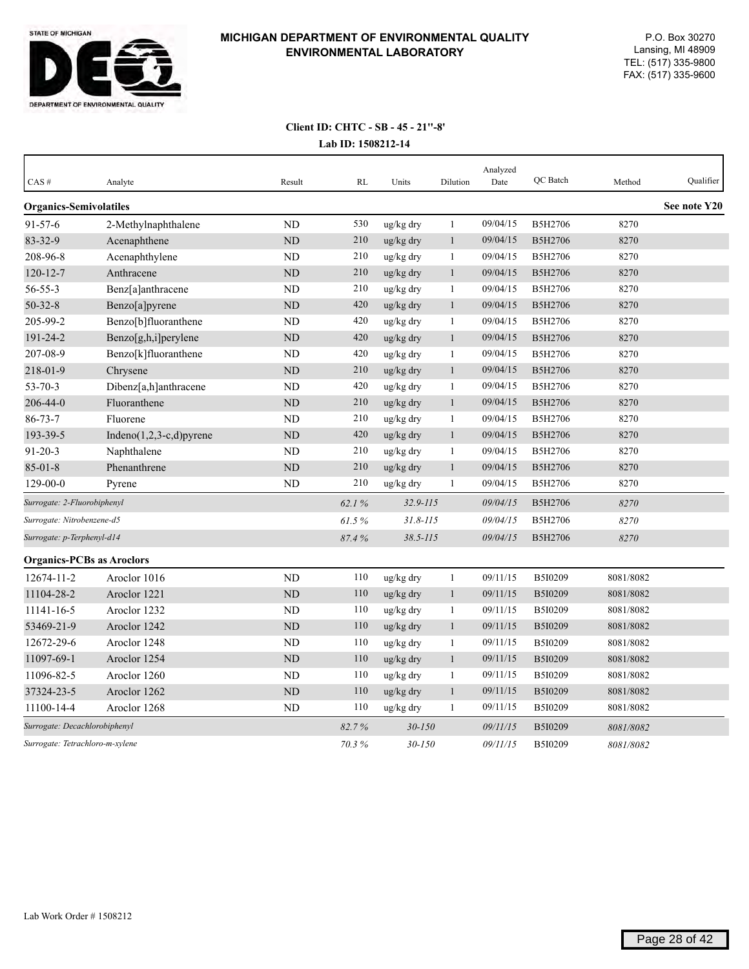

| CAS#                             | Analyte                     | Result         | <b>RL</b> | Units        | Dilution     | Analyzed<br>Date | QC Batch | Method    | Qualifier    |
|----------------------------------|-----------------------------|----------------|-----------|--------------|--------------|------------------|----------|-----------|--------------|
| <b>Organics-Semivolatiles</b>    |                             |                |           |              |              |                  |          |           | See note Y20 |
| $91 - 57 - 6$                    | 2-Methylnaphthalene         | <b>ND</b>      | 530       | ug/kg dry    | $\mathbf{1}$ | 09/04/15         | B5H2706  | 8270      |              |
| 83-32-9                          | Acenaphthene                | ND             | 210       | ug/kg dry    | 1            | 09/04/15         | B5H2706  | 8270      |              |
| 208-96-8                         | Acenaphthylene              | <b>ND</b>      | 210       | ug/kg dry    | 1            | 09/04/15         | B5H2706  | 8270      |              |
| $120 - 12 - 7$                   | Anthracene                  | <b>ND</b>      | 210       | ug/kg dry    | $\mathbf{1}$ | 09/04/15         | B5H2706  | 8270      |              |
| 56-55-3                          | Benz[a]anthracene           | N <sub>D</sub> | 210       | ug/kg dry    | $\mathbf{1}$ | 09/04/15         | B5H2706  | 8270      |              |
| $50 - 32 - 8$                    | Benzo[a]pyrene              | <b>ND</b>      | 420       | ug/kg dry    | $\mathbf{1}$ | 09/04/15         | B5H2706  | 8270      |              |
| 205-99-2                         | Benzo[b]fluoranthene        | <b>ND</b>      | 420       | ug/kg dry    | 1            | 09/04/15         | B5H2706  | 8270      |              |
| 191-24-2                         | Benzo[g,h,i]perylene        | ND             | 420       | ug/kg dry    | $\mathbf{1}$ | 09/04/15         | B5H2706  | 8270      |              |
| 207-08-9                         | Benzo[k]fluoranthene        | ND             | 420       | ug/kg dry    | 1            | 09/04/15         | B5H2706  | 8270      |              |
| 218-01-9                         | Chrysene                    | <b>ND</b>      | 210       | ug/kg dry    | $\mathbf{1}$ | 09/04/15         | B5H2706  | 8270      |              |
| $53 - 70 - 3$                    | Dibenz[a,h]anthracene       | <b>ND</b>      | 420       | ug/kg dry    | $\mathbf{1}$ | 09/04/15         | B5H2706  | 8270      |              |
| 206-44-0                         | Fluoranthene                | <b>ND</b>      | 210       | ug/kg dry    | $\mathbf{1}$ | 09/04/15         | B5H2706  | 8270      |              |
| $86 - 73 - 7$                    | Fluorene                    | ND             | 210       | ug/kg dry    | 1            | 09/04/15         | B5H2706  | 8270      |              |
| 193-39-5                         | Indeno $(1,2,3-c,d)$ pyrene | $\rm ND$       | 420       | ug/kg dry    | $\mathbf{1}$ | 09/04/15         | B5H2706  | 8270      |              |
| $91 - 20 - 3$                    | Naphthalene                 | <b>ND</b>      | 210       | ug/kg dry    | 1            | 09/04/15         | B5H2706  | 8270      |              |
| $85 - 01 - 8$                    | Phenanthrene                | $\rm ND$       | 210       | ug/kg dry    | $\mathbf{1}$ | 09/04/15         | B5H2706  | 8270      |              |
| $129 - 00 - 0$                   | Pyrene                      | ND             | 210       | ug/kg dry    | 1            | 09/04/15         | B5H2706  | 8270      |              |
| Surrogate: 2-Fluorobiphenyl      |                             |                | 62.1%     | $32.9 - 115$ |              | 09/04/15         | B5H2706  | 8270      |              |
| Surrogate: Nitrobenzene-d5       |                             |                | 61.5%     | $31.8 - 115$ |              | 09/04/15         | B5H2706  | 8270      |              |
| Surrogate: p-Terphenyl-d14       |                             |                | 87.4%     | $38.5 - 115$ |              | 09/04/15         | B5H2706  | 8270      |              |
| <b>Organics-PCBs as Aroclors</b> |                             |                |           |              |              |                  |          |           |              |
| 12674-11-2                       | Aroclor 1016                | ND             | 110       | ug/kg dry    | $\,1\,$      | 09/11/15         | B5I0209  | 8081/8082 |              |
| 11104-28-2                       | Aroclor 1221                | $\rm ND$       | 110       | ug/kg dry    | $\mathbf{1}$ | 09/11/15         | B5I0209  | 8081/8082 |              |
| 11141-16-5                       | Aroclor 1232                | <b>ND</b>      | 110       | ug/kg dry    | $\mathbf{1}$ | 09/11/15         | B5I0209  | 8081/8082 |              |
| 53469-21-9                       | Aroclor 1242                | ND             | 110       | ug/kg dry    | $\mathbf{1}$ | 09/11/15         | B5I0209  | 8081/8082 |              |
| 12672-29-6                       | Aroclor 1248                | <b>ND</b>      | 110       | ug/kg dry    | $\mathbf{1}$ | 09/11/15         | B5I0209  | 8081/8082 |              |
| 11097-69-1                       | Aroclor 1254                | <b>ND</b>      | 110       | ug/kg dry    | $\mathbf{1}$ | 09/11/15         | B5I0209  | 8081/8082 |              |
| 11096-82-5                       | Aroclor 1260                | <b>ND</b>      | 110       | ug/kg dry    | $\mathbf{1}$ | 09/11/15         | B5I0209  | 8081/8082 |              |
| 37324-23-5                       | Aroclor 1262                | <b>ND</b>      | 110       | ug/kg dry    | $\mathbf{1}$ | 09/11/15         | B5I0209  | 8081/8082 |              |
| 11100-14-4                       | Aroclor 1268                | ND             | 110       | ug/kg dry    | 1            | 09/11/15         | B5I0209  | 8081/8082 |              |
| Surrogate: Decachlorobiphenyl    |                             |                | 82.7%     | $30 - 150$   |              | 09/11/15         | B5I0209  | 8081/8082 |              |
| Surrogate: Tetrachloro-m-xylene  |                             |                | 70.3%     | $30 - 150$   |              | 09/11/15         | B5I0209  | 8081/8082 |              |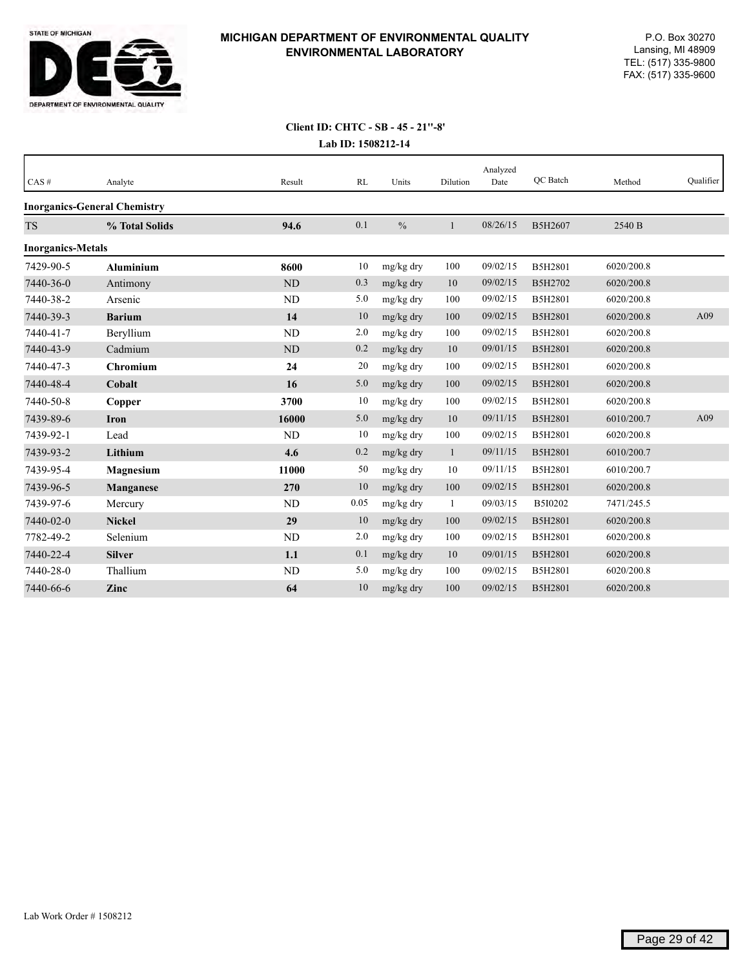

| CAS#                     | Analyte                             | Result    | RL   | Units         | Dilution     | Analyzed<br>Date | OC Batch       | Method     | Qualifier |
|--------------------------|-------------------------------------|-----------|------|---------------|--------------|------------------|----------------|------------|-----------|
|                          | <b>Inorganics-General Chemistry</b> |           |      |               |              |                  |                |            |           |
| <b>TS</b>                | % Total Solids                      | 94.6      | 0.1  | $\frac{0}{0}$ | 1            | 08/26/15         | B5H2607        | 2540 B     |           |
| <b>Inorganics-Metals</b> |                                     |           |      |               |              |                  |                |            |           |
| 7429-90-5                | <b>Aluminium</b>                    | 8600      | 10   | mg/kg dry     | 100          | 09/02/15         | B5H2801        | 6020/200.8 |           |
| 7440-36-0                | Antimony                            | <b>ND</b> | 0.3  | mg/kg dry     | 10           | 09/02/15         | B5H2702        | 6020/200.8 |           |
| 7440-38-2                | Arsenic                             | ND        | 5.0  | mg/kg dry     | 100          | 09/02/15         | B5H2801        | 6020/200.8 |           |
| 7440-39-3                | <b>Barium</b>                       | 14        | 10   | mg/kg dry     | 100          | 09/02/15         | B5H2801        | 6020/200.8 | A09       |
| 7440-41-7                | Beryllium                           | <b>ND</b> | 2.0  | mg/kg dry     | 100          | 09/02/15         | B5H2801        | 6020/200.8 |           |
| 7440-43-9                | Cadmium                             | ND        | 0.2  | mg/kg dry     | 10           | 09/01/15         | B5H2801        | 6020/200.8 |           |
| 7440-47-3                | <b>Chromium</b>                     | 24        | 20   | mg/kg dry     | 100          | 09/02/15         | B5H2801        | 6020/200.8 |           |
| 7440-48-4                | Cobalt                              | 16        | 5.0  | mg/kg dry     | 100          | 09/02/15         | B5H2801        | 6020/200.8 |           |
| 7440-50-8                | Copper                              | 3700      | 10   | mg/kg dry     | 100          | 09/02/15         | B5H2801        | 6020/200.8 |           |
| 7439-89-6                | <b>Iron</b>                         | 16000     | 5.0  | mg/kg dry     | 10           | 09/11/15         | <b>B5H2801</b> | 6010/200.7 | A09       |
| 7439-92-1                | Lead                                | <b>ND</b> | 10   | mg/kg dry     | 100          | 09/02/15         | B5H2801        | 6020/200.8 |           |
| 7439-93-2                | Lithium                             | 4.6       | 0.2  | mg/kg dry     | $\mathbf{1}$ | 09/11/15         | B5H2801        | 6010/200.7 |           |
| 7439-95-4                | Magnesium                           | 11000     | 50   | mg/kg dry     | 10           | 09/11/15         | B5H2801        | 6010/200.7 |           |
| 7439-96-5                | Manganese                           | 270       | 10   | mg/kg dry     | 100          | 09/02/15         | B5H2801        | 6020/200.8 |           |
| 7439-97-6                | Mercury                             | ND        | 0.05 | mg/kg dry     | 1            | 09/03/15         | B5I0202        | 7471/245.5 |           |
| 7440-02-0                | <b>Nickel</b>                       | 29        | 10   | mg/kg dry     | 100          | 09/02/15         | B5H2801        | 6020/200.8 |           |
| 7782-49-2                | Selenium                            | ND        | 2.0  | mg/kg dry     | 100          | 09/02/15         | B5H2801        | 6020/200.8 |           |
| 7440-22-4                | <b>Silver</b>                       | 1.1       | 0.1  | mg/kg dry     | 10           | 09/01/15         | B5H2801        | 6020/200.8 |           |
| 7440-28-0                | Thallium                            | ND        | 5.0  | mg/kg dry     | 100          | 09/02/15         | B5H2801        | 6020/200.8 |           |
| 7440-66-6                | Zinc                                | 64        | 10   | mg/kg dry     | 100          | 09/02/15         | B5H2801        | 6020/200.8 |           |
|                          |                                     |           |      |               |              |                  |                |            |           |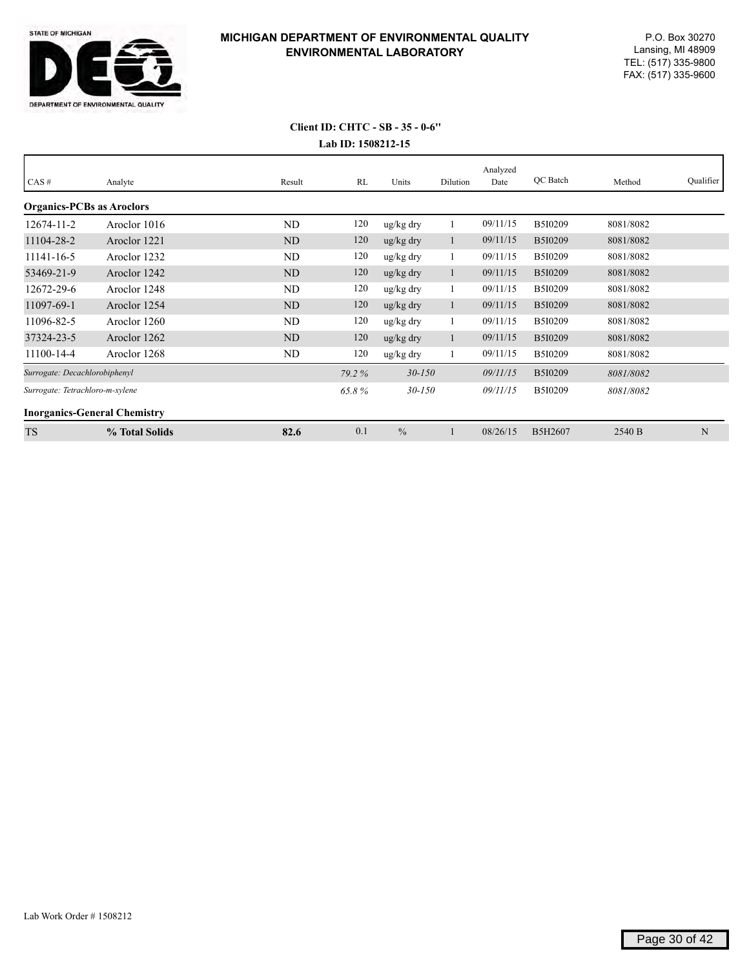

# **Lab ID: 1508212-15 Client ID: CHTC - SB - 35 - 0-6''**

| CAS#                             | Analyte                             | Result    | RL    | Units                 | Dilution | Analyzed<br>Date | QC Batch       | Method    | Qualifier |
|----------------------------------|-------------------------------------|-----------|-------|-----------------------|----------|------------------|----------------|-----------|-----------|
| <b>Organics-PCBs as Aroclors</b> |                                     |           |       |                       |          |                  |                |           |           |
| 12674-11-2                       | Aroclor 1016                        | ND        | 120   | ug/kg dry             |          | 09/11/15         | B5I0209        | 8081/8082 |           |
| 11104-28-2                       | Aroclor 1221                        | ND        | 120   | $\frac{u g}{k g}$ dry | l.       | 09/11/15         | B5I0209        | 8081/8082 |           |
| 11141-16-5                       | Aroclor 1232                        | <b>ND</b> | 120   | ug/kg dry             |          | 09/11/15         | B5I0209        | 8081/8082 |           |
| 53469-21-9                       | Aroclor 1242                        | <b>ND</b> | 120   | $\frac{u g}{k g}$ dry |          | 09/11/15         | B5I0209        | 8081/8082 |           |
| 12672-29-6                       | Aroclor 1248                        | ND        | 120   | ug/kg dry             |          | 09/11/15         | B5I0209        | 8081/8082 |           |
| 11097-69-1                       | Aroclor 1254                        | ND        | 120   | $\frac{u g}{k g}$ dry |          | 09/11/15         | B5I0209        | 8081/8082 |           |
| 11096-82-5                       | Aroclor 1260                        | ND        | 120   | ug/kg dry             |          | 09/11/15         | B5I0209        | 8081/8082 |           |
| 37324-23-5                       | Aroclor 1262                        | ND        | 120   | $\frac{u g}{k g}$ dry |          | 09/11/15         | <b>B5I0209</b> | 8081/8082 |           |
| 11100-14-4                       | Aroclor 1268                        | ND        | 120   | ug/kg dry             |          | 09/11/15         | B5I0209        | 8081/8082 |           |
| Surrogate: Decachlorobiphenyl    |                                     |           | 79.2% | $30 - 150$            |          | 09/11/15         | B5I0209        | 8081/8082 |           |
| Surrogate: Tetrachloro-m-xylene  |                                     |           | 65.8% | $30 - 150$            |          | 09/11/15         | B5I0209        | 8081/8082 |           |
|                                  | <b>Inorganics-General Chemistry</b> |           |       |                       |          |                  |                |           |           |
| <b>TS</b>                        | % Total Solids                      | 82.6      | 0.1   | $\frac{0}{0}$         |          | 08/26/15         | B5H2607        | 2540 B    | N         |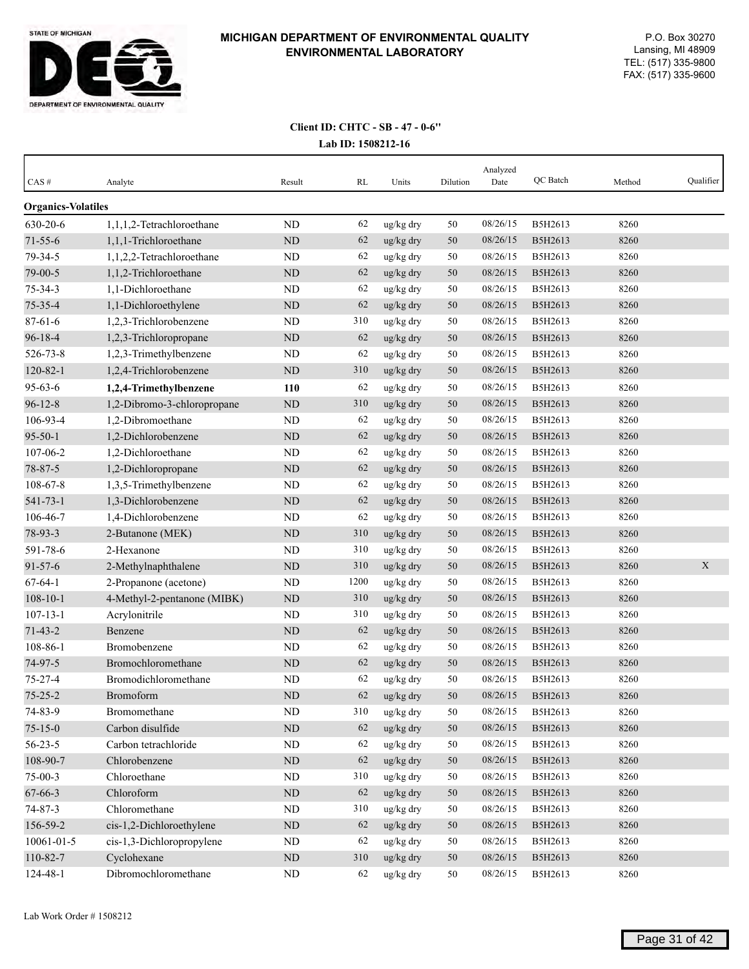

| $CAS \#$                  | Analyte                     | Result     | RL   | Units                 | Dilution | Analyzed<br>Date | <b>OC</b> Batch | Method | Qualifier   |
|---------------------------|-----------------------------|------------|------|-----------------------|----------|------------------|-----------------|--------|-------------|
| <b>Organics-Volatiles</b> |                             |            |      |                       |          |                  |                 |        |             |
| 630-20-6                  | 1,1,1,2-Tetrachloroethane   | ND         | 62   | ug/kg dry             | 50       | 08/26/15         | B5H2613         | 8260   |             |
| $71 - 55 - 6$             | 1,1,1-Trichloroethane       | $\rm ND$   | 62   | $\frac{u g}{k g}$ dry | 50       | 08/26/15         | B5H2613         | 8260   |             |
| 79-34-5                   | 1,1,2,2-Tetrachloroethane   | ND         | 62   | ug/kg dry             | 50       | 08/26/15         | B5H2613         | 8260   |             |
| 79-00-5                   | 1,1,2-Trichloroethane       | <b>ND</b>  | 62   | ug/kg dry             | 50       | 08/26/15         | B5H2613         | 8260   |             |
| $75 - 34 - 3$             | 1,1-Dichloroethane          | ND         | 62   | ug/kg dry             | 50       | 08/26/15         | B5H2613         | 8260   |             |
| 75-35-4                   | 1,1-Dichloroethylene        | $\rm ND$   | 62   | ug/kg dry             | 50       | 08/26/15         | B5H2613         | 8260   |             |
| $87 - 61 - 6$             | 1,2,3-Trichlorobenzene      | ND         | 310  | ug/kg dry             | 50       | 08/26/15         | B5H2613         | 8260   |             |
| $96 - 18 - 4$             | 1,2,3-Trichloropropane      | ND         | 62   | ug/kg dry             | 50       | 08/26/15         | B5H2613         | 8260   |             |
| 526-73-8                  | 1,2,3-Trimethylbenzene      | ND         | 62   | ug/kg dry             | 50       | 08/26/15         | B5H2613         | 8260   |             |
| 120-82-1                  | 1,2,4-Trichlorobenzene      | <b>ND</b>  | 310  | ug/kg dry             | 50       | 08/26/15         | B5H2613         | 8260   |             |
| $95 - 63 - 6$             | 1,2,4-Trimethylbenzene      | 110        | 62   | ug/kg dry             | 50       | 08/26/15         | B5H2613         | 8260   |             |
| $96 - 12 - 8$             | 1,2-Dibromo-3-chloropropane | ND         | 310  | ug/kg dry             | 50       | 08/26/15         | B5H2613         | 8260   |             |
| 106-93-4                  | 1.2-Dibromoethane           | ND         | 62   | ug/kg dry             | 50       | 08/26/15         | B5H2613         | 8260   |             |
| $95 - 50 - 1$             | 1,2-Dichlorobenzene         | <b>ND</b>  | 62   | ug/kg dry             | 50       | 08/26/15         | B5H2613         | 8260   |             |
| 107-06-2                  | 1,2-Dichloroethane          | ND         | 62   | ug/kg dry             | 50       | 08/26/15         | B5H2613         | 8260   |             |
| 78-87-5                   | 1,2-Dichloropropane         | ND         | 62   | ug/kg dry             | 50       | 08/26/15         | B5H2613         | 8260   |             |
| 108-67-8                  | 1,3,5-Trimethylbenzene      | ND         | 62   | ug/kg dry             | 50       | 08/26/15         | B5H2613         | 8260   |             |
| 541-73-1                  | 1,3-Dichlorobenzene         | $\rm ND$   | 62   | ug/kg dry             | 50       | 08/26/15         | B5H2613         | 8260   |             |
| 106-46-7                  | 1,4-Dichlorobenzene         | ND         | 62   | ug/kg dry             | 50       | 08/26/15         | B5H2613         | 8260   |             |
| 78-93-3                   | 2-Butanone (MEK)            | <b>ND</b>  | 310  | ug/kg dry             | 50       | 08/26/15         | B5H2613         | 8260   |             |
| 591-78-6                  | 2-Hexanone                  | ND         | 310  | ug/kg dry             | 50       | 08/26/15         | B5H2613         | 8260   |             |
| $91 - 57 - 6$             | 2-Methylnaphthalene         | <b>ND</b>  | 310  | ug/kg dry             | 50       | 08/26/15         | B5H2613         | 8260   | $\mathbf X$ |
| $67 - 64 - 1$             | 2-Propanone (acetone)       | ND         | 1200 | ug/kg dry             | 50       | 08/26/15         | B5H2613         | 8260   |             |
| $108 - 10 - 1$            | 4-Methyl-2-pentanone (MIBK) | ND         | 310  | ug/kg dry             | 50       | 08/26/15         | B5H2613         | 8260   |             |
| $107 - 13 - 1$            | Acrylonitrile               | ND         | 310  | ug/kg dry             | 50       | 08/26/15         | B5H2613         | 8260   |             |
| $71 - 43 - 2$             | Benzene                     | <b>ND</b>  | 62   | ug/kg dry             | 50       | 08/26/15         | B5H2613         | 8260   |             |
| 108-86-1                  | Bromobenzene                | <b>ND</b>  | 62   | ug/kg dry             | 50       | 08/26/15         | B5H2613         | 8260   |             |
| 74-97-5                   | Bromochloromethane          | ND         | 62   | ug/kg dry             | 50       | 08/26/15         | B5H2613         | 8260   |             |
| $75 - 27 - 4$             | Bromodichloromethane        | ND         | 62   | ug/kg dry             | 50       | 08/26/15         | B5H2613         | 8260   |             |
| $75 - 25 - 2$             | Bromoform                   | <b>ND</b>  | 62   | ug/kg dry             | 50       | 08/26/15         | B5H2613         | 8260   |             |
| 74-83-9                   | Bromomethane                | ND         | 310  | ug/kg dry             | 50       | 08/26/15         | B5H2613         | 8260   |             |
| $75 - 15 - 0$             | Carbon disulfide            | $\rm ND$   | 62   | ug/kg dry             | 50       | 08/26/15         | B5H2613         | 8260   |             |
| $56 - 23 - 5$             | Carbon tetrachloride        | $\rm ND$   | 62   | ug/kg dry             | 50       | 08/26/15         | B5H2613         | 8260   |             |
| 108-90-7                  | Chlorobenzene               | ${\rm ND}$ | 62   | ug/kg dry             | 50       | 08/26/15         | B5H2613         | 8260   |             |
| $75-00-3$                 | Chloroethane                | ND         | 310  | ug/kg dry             | 50       | 08/26/15         | B5H2613         | 8260   |             |
| $67 - 66 - 3$             | Chloroform                  | $\rm ND$   | 62   | ug/kg dry             | 50       | 08/26/15         | B5H2613         | 8260   |             |
| $74 - 87 - 3$             | Chloromethane               | ND         | 310  | ug/kg dry             | 50       | 08/26/15         | B5H2613         | 8260   |             |
| 156-59-2                  | cis-1,2-Dichloroethylene    | $\rm ND$   | 62   | ug/kg dry             | $50\,$   | 08/26/15         | B5H2613         | 8260   |             |
| 10061-01-5                | cis-1,3-Dichloropropylene   | ND         | 62   | ug/kg dry             | 50       | 08/26/15         | B5H2613         | 8260   |             |
| 110-82-7                  | Cyclohexane                 | $\rm ND$   | 310  | ug/kg dry             | 50       | 08/26/15         | B5H2613         | 8260   |             |
| 124-48-1                  | Dibromochloromethane        | ND         | 62   | ug/kg dry             | 50       | 08/26/15         | B5H2613         | 8260   |             |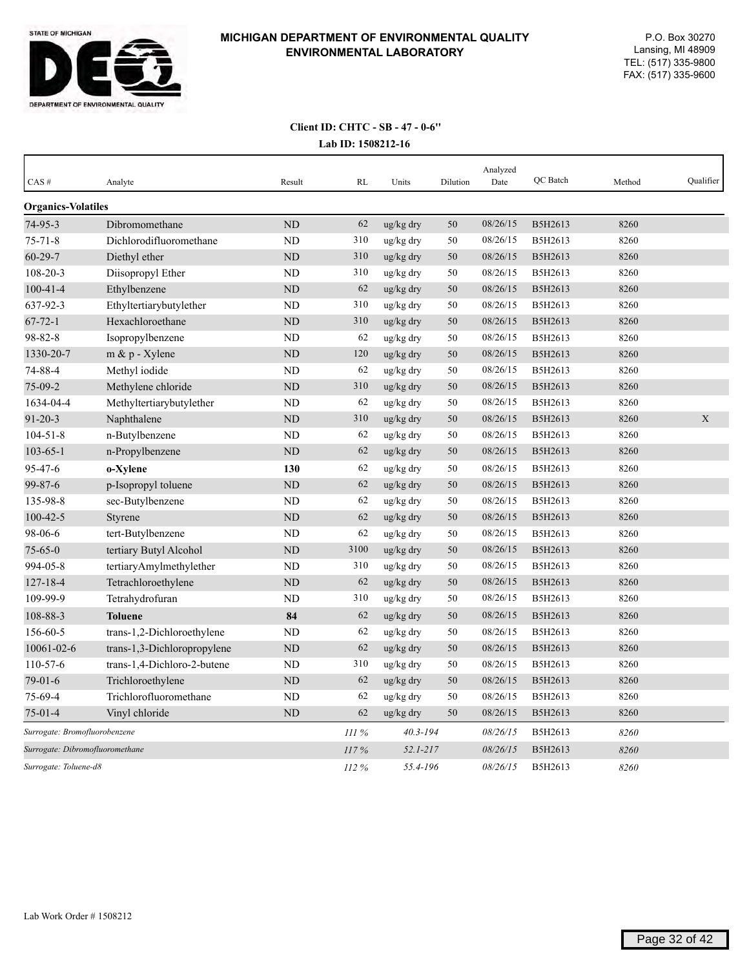

| CAS#                            | Analyte                     | Result    | RL   | Units           | Dilution | Analyzed<br>Date | QC Batch | Method | Oualifier |
|---------------------------------|-----------------------------|-----------|------|-----------------|----------|------------------|----------|--------|-----------|
| <b>Organics-Volatiles</b>       |                             |           |      |                 |          |                  |          |        |           |
| $74-95-3$                       | Dibromomethane              | <b>ND</b> | 62   | ug/kg dry       | 50       | 08/26/15         | B5H2613  | 8260   |           |
| $75 - 71 - 8$                   | Dichlorodifluoromethane     | <b>ND</b> | 310  | ug/kg dry       | 50       | 08/26/15         | B5H2613  | 8260   |           |
| 60-29-7                         | Diethyl ether               | <b>ND</b> | 310  | ug/kg dry       | 50       | 08/26/15         | B5H2613  | 8260   |           |
| $108 - 20 - 3$                  | Diisopropyl Ether           | ND        | 310  | ug/kg dry       | 50       | 08/26/15         | B5H2613  | 8260   |           |
| $100 - 41 - 4$                  | Ethylbenzene                | ND        | 62   | ug/kg dry       | 50       | 08/26/15         | B5H2613  | 8260   |           |
| 637-92-3                        | Ethyltertiarybutylether     | <b>ND</b> | 310  | ug/kg dry       | 50       | 08/26/15         | B5H2613  | 8260   |           |
| $67 - 72 - 1$                   | Hexachloroethane            | <b>ND</b> | 310  | ug/kg dry       | 50       | 08/26/15         | B5H2613  | 8260   |           |
| 98-82-8                         | Isopropylbenzene            | <b>ND</b> | 62   | $\rm ug/kg$ dry | 50       | 08/26/15         | B5H2613  | 8260   |           |
| 1330-20-7                       | $m \& p$ - Xylene           | <b>ND</b> | 120  | ug/kg dry       | 50       | 08/26/15         | B5H2613  | 8260   |           |
| 74-88-4                         | Methyl iodide               | <b>ND</b> | 62   | ug/kg dry       | 50       | 08/26/15         | B5H2613  | 8260   |           |
| $75-09-2$                       | Methylene chloride          | <b>ND</b> | 310  | ug/kg dry       | 50       | 08/26/15         | B5H2613  | 8260   |           |
| 1634-04-4                       | Methyltertiarybutylether    | ND        | 62   | ug/kg dry       | 50       | 08/26/15         | B5H2613  | 8260   |           |
| $91 - 20 - 3$                   | Naphthalene                 | <b>ND</b> | 310  | ug/kg dry       | 50       | 08/26/15         | B5H2613  | 8260   | X         |
| $104 - 51 - 8$                  | n-Butylbenzene              | ND        | 62   | ug/kg dry       | 50       | 08/26/15         | B5H2613  | 8260   |           |
| $103 - 65 - 1$                  | n-Propylbenzene             | <b>ND</b> | 62   | ug/kg dry       | 50       | 08/26/15         | B5H2613  | 8260   |           |
| 95-47-6                         | o-Xylene                    | 130       | 62   | ug/kg dry       | 50       | 08/26/15         | B5H2613  | 8260   |           |
| $99 - 87 - 6$                   | p-Isopropyl toluene         | <b>ND</b> | 62   | ug/kg dry       | 50       | 08/26/15         | B5H2613  | 8260   |           |
| 135-98-8                        | sec-Butylbenzene            | ND        | 62   | ug/kg dry       | 50       | 08/26/15         | B5H2613  | 8260   |           |
| $100 - 42 - 5$                  | <b>Styrene</b>              | <b>ND</b> | 62   | ug/kg dry       | 50       | 08/26/15         | B5H2613  | 8260   |           |
| 98-06-6                         | tert-Butylbenzene           | ND        | 62   | ug/kg dry       | 50       | 08/26/15         | B5H2613  | 8260   |           |
| $75 - 65 - 0$                   | tertiary Butyl Alcohol      | ND        | 3100 | ug/kg dry       | 50       | 08/26/15         | B5H2613  | 8260   |           |
| 994-05-8                        | tertiaryAmylmethylether     | ND        | 310  | ug/kg dry       | 50       | 08/26/15         | B5H2613  | 8260   |           |
| $127 - 18 - 4$                  | Tetrachloroethylene         | <b>ND</b> | 62   | ug/kg dry       | 50       | 08/26/15         | B5H2613  | 8260   |           |
| 109-99-9                        | Tetrahydrofuran             | <b>ND</b> | 310  | ug/kg dry       | 50       | 08/26/15         | B5H2613  | 8260   |           |
| 108-88-3                        | <b>Toluene</b>              | 84        | 62   | ug/kg dry       | 50       | 08/26/15         | B5H2613  | 8260   |           |
| 156-60-5                        | trans-1,2-Dichloroethylene  | ND        | 62   | ug/kg dry       | 50       | 08/26/15         | B5H2613  | 8260   |           |
| 10061-02-6                      | trans-1,3-Dichloropropylene | ND        | 62   | ug/kg dry       | 50       | 08/26/15         | B5H2613  | 8260   |           |
| 110-57-6                        | trans-1,4-Dichloro-2-butene | <b>ND</b> | 310  | ug/kg dry       | 50       | 08/26/15         | B5H2613  | 8260   |           |
| $79 - 01 - 6$                   | Trichloroethylene           | <b>ND</b> | 62   | ug/kg dry       | 50       | 08/26/15         | B5H2613  | 8260   |           |
| 75-69-4                         | Trichlorofluoromethane      | <b>ND</b> | 62   | ug/kg dry       | 50       | 08/26/15         | B5H2613  | 8260   |           |
| $75 - 01 - 4$                   | Vinyl chloride              | ND        | 62   | ug/kg dry       | 50       | 08/26/15         | B5H2613  | 8260   |           |
| Surrogate: Bromofluorobenzene   |                             |           | III% | $40.3 - 194$    |          | 08/26/15         | B5H2613  | 8260   |           |
| Surrogate: Dibromofluoromethane |                             |           | 117% | $52.1 - 217$    |          | 08/26/15         | B5H2613  | 8260   |           |
| Surrogate: Toluene-d8           |                             |           | 112% | 55.4-196        |          | 08/26/15         | B5H2613  | 8260   |           |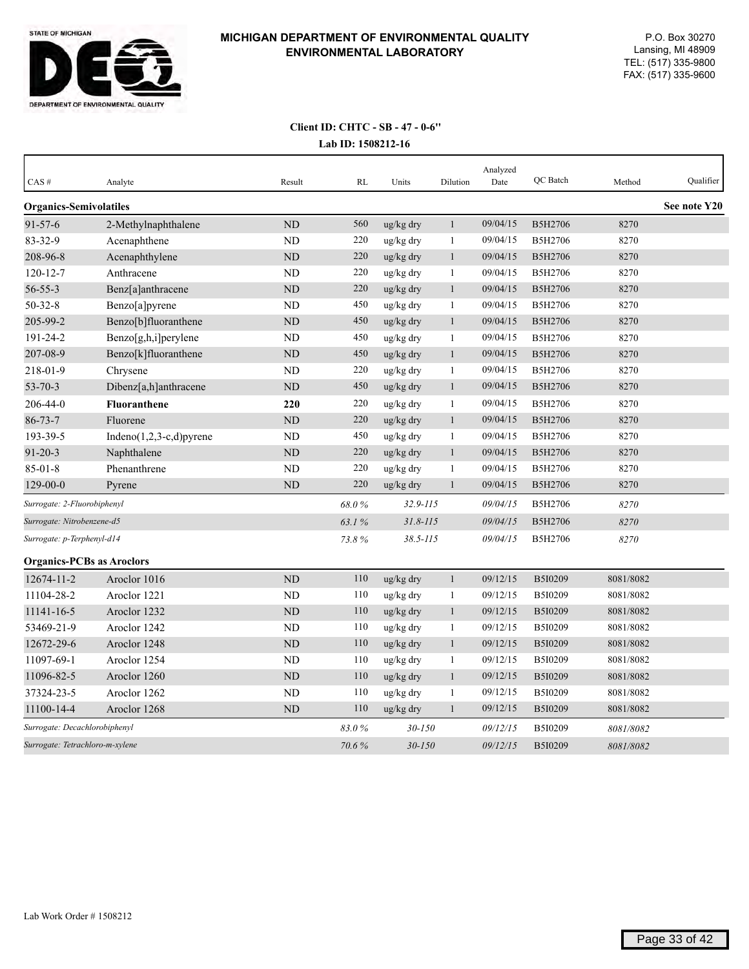

| CAS#                             | Analyte                     | Result         | RL    | Units        | Dilution     | Analyzed<br>Date | QC Batch       | Method    | Qualifier    |
|----------------------------------|-----------------------------|----------------|-------|--------------|--------------|------------------|----------------|-----------|--------------|
| <b>Organics-Semivolatiles</b>    |                             |                |       |              |              |                  |                |           | See note Y20 |
| $91 - 57 - 6$                    | 2-Methylnaphthalene         | ND             | 560   | ug/kg dry    | $\mathbf{1}$ | 09/04/15         | B5H2706        | 8270      |              |
| 83-32-9                          | Acenaphthene                | <b>ND</b>      | 220   | ug/kg dry    | 1            | 09/04/15         | B5H2706        | 8270      |              |
| 208-96-8                         | Acenaphthylene              | ND             | 220   | ug/kg dry    | $\mathbf{1}$ | 09/04/15         | B5H2706        | 8270      |              |
| $120 - 12 - 7$                   | Anthracene                  | <b>ND</b>      | 220   | ug/kg dry    | $\mathbf{1}$ | 09/04/15         | B5H2706        | 8270      |              |
| $56 - 55 - 3$                    | Benz[a]anthracene           | ND             | 220   | ug/kg dry    | $\mathbf{1}$ | 09/04/15         | B5H2706        | 8270      |              |
| $50 - 32 - 8$                    | Benzo[a]pyrene              | N <sub>D</sub> | 450   | ug/kg dry    | $\mathbf{1}$ | 09/04/15         | B5H2706        | 8270      |              |
| 205-99-2                         | Benzo[b]fluoranthene        | ND             | 450   | ug/kg dry    | $\mathbf{1}$ | 09/04/15         | B5H2706        | 8270      |              |
| 191-24-2                         | $Benzo[g,h,i]$ perylene     | ND             | 450   | ug/kg dry    | 1            | 09/04/15         | B5H2706        | 8270      |              |
| 207-08-9                         | Benzo[k]fluoranthene        | <b>ND</b>      | 450   | ug/kg dry    | $\mathbf{1}$ | 09/04/15         | <b>B5H2706</b> | 8270      |              |
| 218-01-9                         | Chrysene                    | <b>ND</b>      | 220   | ug/kg dry    | $\mathbf{1}$ | 09/04/15         | B5H2706        | 8270      |              |
| $53 - 70 - 3$                    | Dibenz[a,h]anthracene       | <b>ND</b>      | 450   | ug/kg dry    | $\mathbf{1}$ | 09/04/15         | <b>B5H2706</b> | 8270      |              |
| 206-44-0                         | <b>Fluoranthene</b>         | 220            | 220   | ug/kg dry    | $\mathbf{1}$ | 09/04/15         | B5H2706        | 8270      |              |
| $86 - 73 - 7$                    | Fluorene                    | <b>ND</b>      | 220   | ug/kg dry    | $\mathbf{1}$ | 09/04/15         | B5H2706        | 8270      |              |
| 193-39-5                         | Indeno $(1,2,3-c,d)$ pyrene | <b>ND</b>      | 450   | ug/kg dry    | $\mathbf{1}$ | 09/04/15         | B5H2706        | 8270      |              |
| $91 - 20 - 3$                    | Naphthalene                 | ND             | 220   | ug/kg dry    | $\mathbf{1}$ | 09/04/15         | B5H2706        | 8270      |              |
| $85 - 01 - 8$                    | Phenanthrene                | ND             | 220   | ug/kg dry    | $\mathbf{1}$ | 09/04/15         | B5H2706        | 8270      |              |
| $129 - 00 - 0$                   | Pyrene                      | <b>ND</b>      | 220   | ug/kg dry    | $\mathbf{1}$ | 09/04/15         | B5H2706        | 8270      |              |
| Surrogate: 2-Fluorobiphenyl      |                             |                | 68.0% | $32.9 - 115$ |              | 09/04/15         | B5H2706        | 8270      |              |
| Surrogate: Nitrobenzene-d5       |                             |                | 63.1% | $31.8 - 115$ |              | 09/04/15         | B5H2706        | 8270      |              |
| Surrogate: p-Terphenyl-d14       |                             |                | 73.8% | $38.5 - 115$ |              | 09/04/15         | B5H2706        | 8270      |              |
| <b>Organics-PCBs as Aroclors</b> |                             |                |       |              |              |                  |                |           |              |
| 12674-11-2                       | Aroclor 1016                | ND             | 110   | ug/kg dry    | $\mathbf{1}$ | 09/12/15         | B5I0209        | 8081/8082 |              |
| 11104-28-2                       | Aroclor 1221                | <b>ND</b>      | 110   | ug/kg dry    | 1            | 09/12/15         | B5I0209        | 8081/8082 |              |
| 11141-16-5                       | Aroclor 1232                | ND             | 110   | ug/kg dry    | $\mathbf{1}$ | 09/12/15         | B5I0209        | 8081/8082 |              |
| 53469-21-9                       | Aroclor 1242                | <b>ND</b>      | 110   | ug/kg dry    | $\mathbf{1}$ | 09/12/15         | B5I0209        | 8081/8082 |              |
| 12672-29-6                       | Aroclor 1248                | ND             | 110   | ug/kg dry    | $\mathbf{1}$ | 09/12/15         | B5I0209        | 8081/8082 |              |
| 11097-69-1                       | Aroclor 1254                | ND             | 110   | ug/kg dry    | 1            | 09/12/15         | B5I0209        | 8081/8082 |              |
| 11096-82-5                       | Aroclor 1260                | <b>ND</b>      | 110   | ug/kg dry    | 1            | 09/12/15         | B5I0209        | 8081/8082 |              |
| 37324-23-5                       | Aroclor 1262                | <b>ND</b>      | 110   | ug/kg dry    | 1            | 09/12/15         | B5I0209        | 8081/8082 |              |
| 11100-14-4                       | Aroclor 1268                | <b>ND</b>      | 110   | ug/kg dry    | $\mathbf{1}$ | 09/12/15         | B5I0209        | 8081/8082 |              |
| Surrogate: Decachlorobiphenyl    |                             |                | 83.0% | 30-150       |              | 09/12/15         | B5I0209        | 8081/8082 |              |
| Surrogate: Tetrachloro-m-xylene  |                             |                | 70.6% | $30 - 150$   |              | 09/12/15         | B5I0209        | 8081/8082 |              |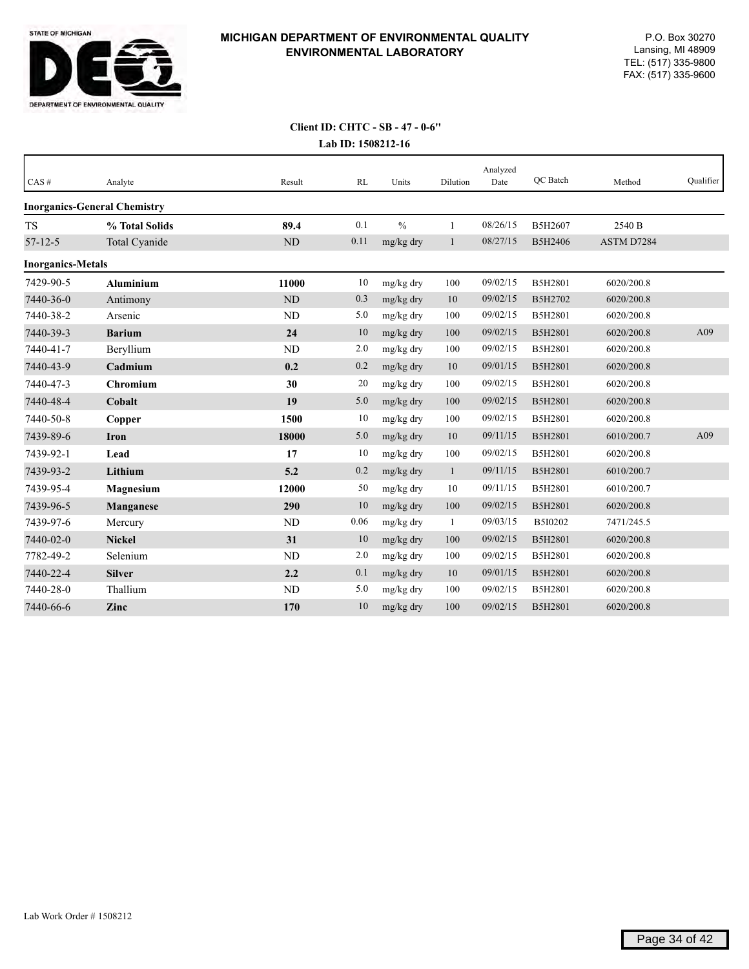

# **Client ID: CHTC - SB - 47 - 0-6''**

|  | Lab ID: 1508212-16 |
|--|--------------------|
|--|--------------------|

| CAS#                     | Analyte                             | Result   | RL   | Units         | Dilution     | Analyzed<br>Date | <b>OC</b> Batch | Method     | Qualifier |
|--------------------------|-------------------------------------|----------|------|---------------|--------------|------------------|-----------------|------------|-----------|
|                          | <b>Inorganics-General Chemistry</b> |          |      |               |              |                  |                 |            |           |
| <b>TS</b>                | % Total Solids                      | 89.4     | 0.1  | $\frac{0}{0}$ | $\mathbf{1}$ | 08/26/15         | B5H2607         | 2540 B     |           |
| $57 - 12 - 5$            | Total Cyanide                       | $\rm ND$ | 0.11 | mg/kg dry     | $\mathbf{1}$ | 08/27/15         | B5H2406         | ASTM D7284 |           |
| <b>Inorganics-Metals</b> |                                     |          |      |               |              |                  |                 |            |           |
| 7429-90-5                | <b>Aluminium</b>                    | 11000    | 10   | mg/kg dry     | 100          | 09/02/15         | B5H2801         | 6020/200.8 |           |
| 7440-36-0                | Antimony                            | ND       | 0.3  | mg/kg dry     | 10           | 09/02/15         | B5H2702         | 6020/200.8 |           |
| 7440-38-2                | Arsenic                             | ND       | 5.0  | mg/kg dry     | 100          | 09/02/15         | B5H2801         | 6020/200.8 |           |
| 7440-39-3                | <b>Barium</b>                       | 24       | 10   | mg/kg dry     | 100          | 09/02/15         | B5H2801         | 6020/200.8 | A09       |
| 7440-41-7                | Beryllium                           | ND       | 2.0  | mg/kg dry     | 100          | 09/02/15         | B5H2801         | 6020/200.8 |           |
| 7440-43-9                | Cadmium                             | 0.2      | 0.2  | mg/kg dry     | 10           | 09/01/15         | B5H2801         | 6020/200.8 |           |
| 7440-47-3                | <b>Chromium</b>                     | 30       | 20   | mg/kg dry     | 100          | 09/02/15         | B5H2801         | 6020/200.8 |           |
| 7440-48-4                | Cobalt                              | 19       | 5.0  | mg/kg dry     | 100          | 09/02/15         | B5H2801         | 6020/200.8 |           |
| 7440-50-8                | Copper                              | 1500     | 10   | mg/kg dry     | 100          | 09/02/15         | B5H2801         | 6020/200.8 |           |
| 7439-89-6                | <b>Iron</b>                         | 18000    | 5.0  | mg/kg dry     | 10           | 09/11/15         | B5H2801         | 6010/200.7 | A09       |
| 7439-92-1                | Lead                                | 17       | 10   | mg/kg dry     | 100          | 09/02/15         | B5H2801         | 6020/200.8 |           |
| 7439-93-2                | Lithium                             | 5.2      | 0.2  | mg/kg dry     | $\mathbf{1}$ | 09/11/15         | B5H2801         | 6010/200.7 |           |
| 7439-95-4                | Magnesium                           | 12000    | 50   | mg/kg dry     | 10           | 09/11/15         | B5H2801         | 6010/200.7 |           |
| 7439-96-5                | Manganese                           | 290      | 10   | mg/kg dry     | 100          | 09/02/15         | <b>B5H2801</b>  | 6020/200.8 |           |
| 7439-97-6                | Mercury                             | ND       | 0.06 | mg/kg dry     | -1           | 09/03/15         | B5I0202         | 7471/245.5 |           |
| 7440-02-0                | <b>Nickel</b>                       | 31       | 10   | $mg/kg$ dry   | 100          | 09/02/15         | <b>B5H2801</b>  | 6020/200.8 |           |
| 7782-49-2                | Selenium                            | ND       | 2.0  | mg/kg dry     | 100          | 09/02/15         | B5H2801         | 6020/200.8 |           |
| 7440-22-4                | <b>Silver</b>                       | 2.2      | 0.1  | mg/kg dry     | 10           | 09/01/15         | B5H2801         | 6020/200.8 |           |
| 7440-28-0                | Thallium                            | ND       | 5.0  | mg/kg dry     | 100          | 09/02/15         | B5H2801         | 6020/200.8 |           |
| 7440-66-6                | Zinc                                | 170      | 10   | mg/kg dry     | 100          | 09/02/15         | <b>B5H2801</b>  | 6020/200.8 |           |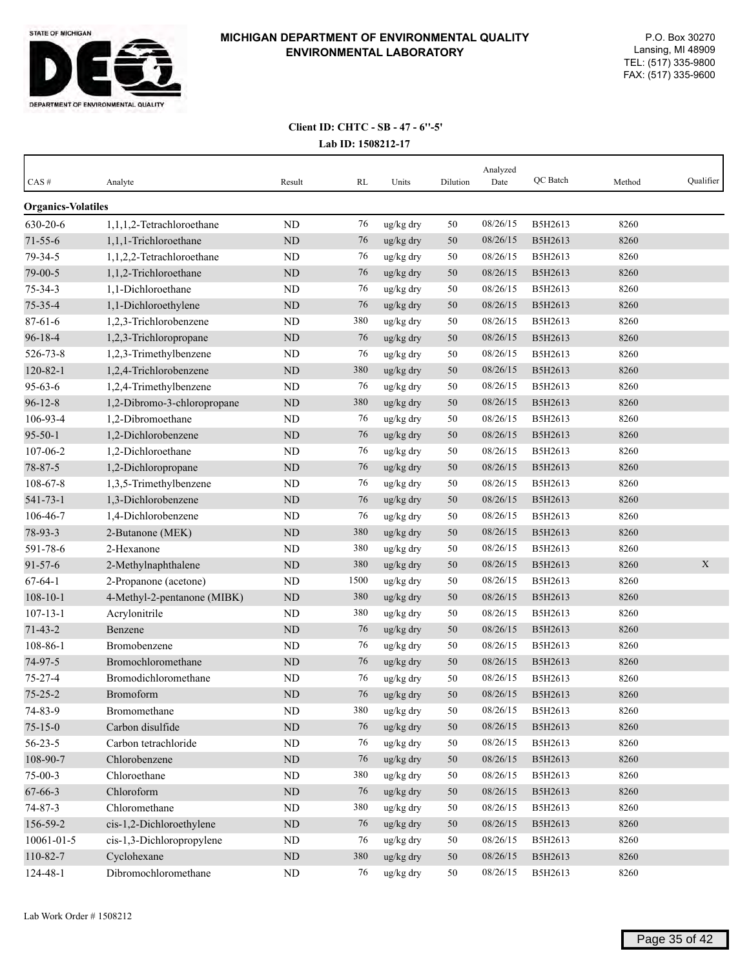

| $CAS \#$                  | Analyte                     | Result    | RL   | Units           | Dilution | Analyzed<br>Date | QC Batch | Method | Qualifier |
|---------------------------|-----------------------------|-----------|------|-----------------|----------|------------------|----------|--------|-----------|
| <b>Organics-Volatiles</b> |                             |           |      |                 |          |                  |          |        |           |
| 630-20-6                  | 1,1,1,2-Tetrachloroethane   | ND        | 76   | ug/kg dry       | 50       | 08/26/15         | B5H2613  | 8260   |           |
| $71 - 55 - 6$             | 1,1,1-Trichloroethane       | ND        | 76   | ug/kg dry       | 50       | 08/26/15         | B5H2613  | 8260   |           |
| 79-34-5                   | 1,1,2,2-Tetrachloroethane   | ND        | 76   | ug/kg dry       | 50       | 08/26/15         | B5H2613  | 8260   |           |
| 79-00-5                   | 1,1,2-Trichloroethane       | <b>ND</b> | 76   | ug/kg dry       | 50       | 08/26/15         | B5H2613  | 8260   |           |
| $75 - 34 - 3$             | 1,1-Dichloroethane          | ND        | 76   | ug/kg dry       | 50       | 08/26/15         | B5H2613  | 8260   |           |
| 75-35-4                   | 1,1-Dichloroethylene        | <b>ND</b> | 76   | ug/kg dry       | 50       | 08/26/15         | B5H2613  | 8260   |           |
| $87 - 61 - 6$             | 1,2,3-Trichlorobenzene      | ND        | 380  | ug/kg dry       | 50       | 08/26/15         | B5H2613  | 8260   |           |
| $96 - 18 - 4$             | 1,2,3-Trichloropropane      | ND        | 76   | ug/kg dry       | 50       | 08/26/15         | B5H2613  | 8260   |           |
| 526-73-8                  | 1,2,3-Trimethylbenzene      | ND        | 76   | ug/kg dry       | 50       | 08/26/15         | B5H2613  | 8260   |           |
| $120 - 82 - 1$            | 1,2,4-Trichlorobenzene      | <b>ND</b> | 380  | ug/kg dry       | 50       | 08/26/15         | B5H2613  | 8260   |           |
| $95 - 63 - 6$             | 1,2,4-Trimethylbenzene      | ND        | 76   | ug/kg dry       | 50       | 08/26/15         | B5H2613  | 8260   |           |
| $96 - 12 - 8$             | 1,2-Dibromo-3-chloropropane | <b>ND</b> | 380  | ug/kg dry       | 50       | 08/26/15         | B5H2613  | 8260   |           |
| 106-93-4                  | 1,2-Dibromoethane           | <b>ND</b> | 76   | ug/kg dry       | 50       | 08/26/15         | B5H2613  | 8260   |           |
| $95 - 50 - 1$             | 1,2-Dichlorobenzene         | ND        | 76   | ug/kg dry       | 50       | 08/26/15         | B5H2613  | 8260   |           |
| 107-06-2                  | 1,2-Dichloroethane          | ND        | 76   | ug/kg dry       | 50       | 08/26/15         | B5H2613  | 8260   |           |
| 78-87-5                   | 1,2-Dichloropropane         | <b>ND</b> | 76   | ug/kg dry       | 50       | 08/26/15         | B5H2613  | 8260   |           |
| $108 - 67 - 8$            | 1,3,5-Trimethylbenzene      | ND        | 76   | ug/kg dry       | 50       | 08/26/15         | B5H2613  | 8260   |           |
| $541 - 73 - 1$            | 1,3-Dichlorobenzene         | <b>ND</b> | 76   | ug/kg dry       | 50       | 08/26/15         | B5H2613  | 8260   |           |
| 106-46-7                  | 1,4-Dichlorobenzene         | ND        | 76   | ug/kg dry       | 50       | 08/26/15         | B5H2613  | 8260   |           |
| 78-93-3                   | 2-Butanone (MEK)            | <b>ND</b> | 380  | ug/kg dry       | 50       | 08/26/15         | B5H2613  | 8260   |           |
| 591-78-6                  | 2-Hexanone                  | ND        | 380  | ug/kg dry       | 50       | 08/26/15         | B5H2613  | 8260   |           |
| $91 - 57 - 6$             | 2-Methylnaphthalene         | <b>ND</b> | 380  | ug/kg dry       | 50       | 08/26/15         | B5H2613  | 8260   | X         |
| $67 - 64 - 1$             | 2-Propanone (acetone)       | <b>ND</b> | 1500 | ug/kg dry       | 50       | 08/26/15         | B5H2613  | 8260   |           |
| $108 - 10 - 1$            | 4-Methyl-2-pentanone (MIBK) | ND        | 380  | ug/kg dry       | 50       | 08/26/15         | B5H2613  | 8260   |           |
| $107 - 13 - 1$            | Acrylonitrile               | ND        | 380  | ug/kg dry       | 50       | 08/26/15         | B5H2613  | 8260   |           |
| $71 - 43 - 2$             | Benzene                     | ND        | 76   | ug/kg dry       | 50       | 08/26/15         | B5H2613  | 8260   |           |
| 108-86-1                  | Bromobenzene                | ND        | 76   | ug/kg dry       | 50       | 08/26/15         | B5H2613  | 8260   |           |
| 74-97-5                   | Bromochloromethane          | <b>ND</b> | 76   | ug/kg dry       | 50       | 08/26/15         | B5H2613  | 8260   |           |
| $75 - 27 - 4$             | Bromodichloromethane        | <b>ND</b> | 76   | ug/kg dry       | 50       | 08/26/15         | B5H2613  | 8260   |           |
| $75 - 25 - 2$             | Bromoform                   | <b>ND</b> | 76   | ug/kg dry       | 50       | 08/26/15         | B5H2613  | 8260   |           |
| 74-83-9                   | Bromomethane                | $\rm ND$  | 380  | ug/kg dry       | 50       | 08/26/15         | B5H2613  | 8260   |           |
| $75 - 15 - 0$             | Carbon disulfide            | $\rm ND$  | 76   | ug/kg dry       | 50       | 08/26/15         | B5H2613  | 8260   |           |
| $56 - 23 - 5$             | Carbon tetrachloride        | $\rm ND$  | 76   | $\rm ug/kg$ dry | 50       | 08/26/15         | B5H2613  | 8260   |           |
| 108-90-7                  | Chlorobenzene               | $\rm ND$  | 76   | ug/kg dry       | 50       | 08/26/15         | B5H2613  | 8260   |           |
| $75-00-3$                 | Chloroethane                | $\rm ND$  | 380  | ug/kg dry       | 50       | 08/26/15         | B5H2613  | 8260   |           |
| 67-66-3                   | Chloroform                  | $\rm ND$  | 76   | ug/kg dry       | 50       | 08/26/15         | B5H2613  | 8260   |           |
| 74-87-3                   | Chloromethane               | ND        | 380  | ug/kg dry       | 50       | 08/26/15         | B5H2613  | 8260   |           |
| 156-59-2                  | cis-1,2-Dichloroethylene    | $\rm ND$  | 76   | ug/kg dry       | 50       | 08/26/15         | B5H2613  | 8260   |           |
| 10061-01-5                | cis-1,3-Dichloropropylene   | $\rm ND$  | 76   | ug/kg dry       | 50       | 08/26/15         | B5H2613  | 8260   |           |
| 110-82-7                  | Cyclohexane                 | $\rm ND$  | 380  | ug/kg dry       | 50       | 08/26/15         | B5H2613  | 8260   |           |
| 124-48-1                  | Dibromochloromethane        | $\rm ND$  | 76   | ug/kg dry       | 50       | 08/26/15         | B5H2613  | 8260   |           |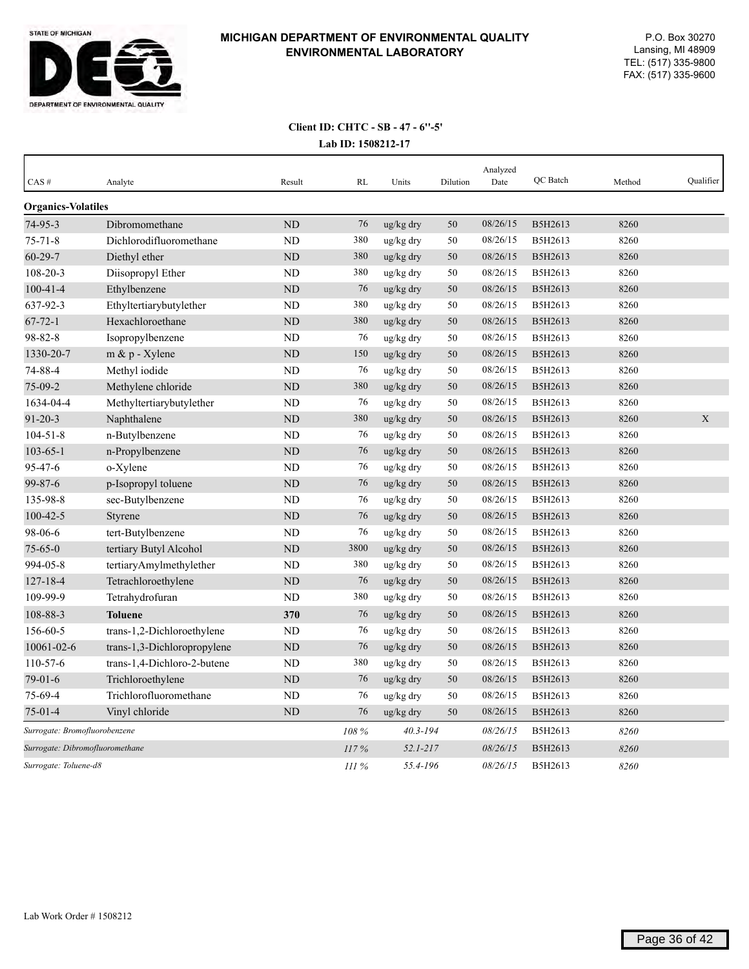

| CAS#                            | Analyte                     | Result         | <b>RL</b> | Units        | Dilution | Analyzed<br>Date | QC Batch | Method | Qualifier |
|---------------------------------|-----------------------------|----------------|-----------|--------------|----------|------------------|----------|--------|-----------|
| <b>Organics-Volatiles</b>       |                             |                |           |              |          |                  |          |        |           |
| 74-95-3                         | Dibromomethane              | N <sub>D</sub> | 76        | ug/kg dry    | 50       | 08/26/15         | B5H2613  | 8260   |           |
| $75 - 71 - 8$                   | Dichlorodifluoromethane     | <b>ND</b>      | 380       | ug/kg dry    | 50       | 08/26/15         | B5H2613  | 8260   |           |
| $60 - 29 - 7$                   | Diethyl ether               | ND             | 380       | ug/kg dry    | 50       | 08/26/15         | B5H2613  | 8260   |           |
| 108-20-3                        | Diisopropyl Ether           | ND             | 380       | ug/kg dry    | 50       | 08/26/15         | B5H2613  | 8260   |           |
| $100 - 41 - 4$                  | Ethylbenzene                | <b>ND</b>      | 76        | ug/kg dry    | 50       | 08/26/15         | B5H2613  | 8260   |           |
| 637-92-3                        | Ethyltertiarybutylether     | <b>ND</b>      | 380       | ug/kg dry    | 50       | 08/26/15         | B5H2613  | 8260   |           |
| $67 - 72 - 1$                   | Hexachloroethane            | ND             | 380       | ug/kg dry    | 50       | 08/26/15         | B5H2613  | 8260   |           |
| 98-82-8                         | Isopropylbenzene            | ND             | 76        | ug/kg dry    | 50       | 08/26/15         | B5H2613  | 8260   |           |
| 1330-20-7                       | $m \& p$ - Xylene           | <b>ND</b>      | 150       | ug/kg dry    | 50       | 08/26/15         | B5H2613  | 8260   |           |
| 74-88-4                         | Methyl iodide               | ND             | 76        | ug/kg dry    | 50       | 08/26/15         | B5H2613  | 8260   |           |
| 75-09-2                         | Methylene chloride          | <b>ND</b>      | 380       | ug/kg dry    | 50       | 08/26/15         | B5H2613  | 8260   |           |
| 1634-04-4                       | Methyltertiarybutylether    | ND             | 76        | ug/kg dry    | 50       | 08/26/15         | B5H2613  | 8260   |           |
| $91 - 20 - 3$                   | Naphthalene                 | ND             | 380       | ug/kg dry    | 50       | 08/26/15         | B5H2613  | 8260   | X         |
| $104 - 51 - 8$                  | n-Butylbenzene              | ND             | 76        | ug/kg dry    | 50       | 08/26/15         | B5H2613  | 8260   |           |
| $103 - 65 - 1$                  | n-Propylbenzene             | <b>ND</b>      | 76        | ug/kg dry    | 50       | 08/26/15         | B5H2613  | 8260   |           |
| 95-47-6                         | o-Xylene                    | ND             | 76        | ug/kg dry    | 50       | 08/26/15         | B5H2613  | 8260   |           |
| 99-87-6                         | p-Isopropyl toluene         | <b>ND</b>      | 76        | ug/kg dry    | 50       | 08/26/15         | B5H2613  | 8260   |           |
| 135-98-8                        | sec-Butylbenzene            | <b>ND</b>      | 76        | ug/kg dry    | 50       | 08/26/15         | B5H2613  | 8260   |           |
| $100 - 42 - 5$                  | Styrene                     | ND             | 76        | ug/kg dry    | 50       | 08/26/15         | B5H2613  | 8260   |           |
| 98-06-6                         | tert-Butylbenzene           | <b>ND</b>      | 76        | ug/kg dry    | 50       | 08/26/15         | B5H2613  | 8260   |           |
| $75 - 65 - 0$                   | tertiary Butyl Alcohol      | <b>ND</b>      | 3800      | ug/kg dry    | 50       | 08/26/15         | B5H2613  | 8260   |           |
| 994-05-8                        | tertiaryAmylmethylether     | <b>ND</b>      | 380       | ug/kg dry    | 50       | 08/26/15         | B5H2613  | 8260   |           |
| $127 - 18 - 4$                  | Tetrachloroethylene         | ND             | 76        | ug/kg dry    | 50       | 08/26/15         | B5H2613  | 8260   |           |
| 109-99-9                        | Tetrahydrofuran             | <b>ND</b>      | 380       | ug/kg dry    | 50       | 08/26/15         | B5H2613  | 8260   |           |
| 108-88-3                        | <b>Toluene</b>              | 370            | 76        | ug/kg dry    | 50       | 08/26/15         | B5H2613  | 8260   |           |
| 156-60-5                        | trans-1,2-Dichloroethylene  | <b>ND</b>      | 76        | ug/kg dry    | 50       | 08/26/15         | B5H2613  | 8260   |           |
| 10061-02-6                      | trans-1,3-Dichloropropylene | <b>ND</b>      | 76        | ug/kg dry    | 50       | 08/26/15         | B5H2613  | 8260   |           |
| 110-57-6                        | trans-1,4-Dichloro-2-butene | <b>ND</b>      | 380       | ug/kg dry    | 50       | 08/26/15         | B5H2613  | 8260   |           |
| $79-01-6$                       | Trichloroethylene           | ND             | 76        | ug/kg dry    | 50       | 08/26/15         | B5H2613  | 8260   |           |
| 75-69-4                         | Trichlorofluoromethane      | <b>ND</b>      | 76        | ug/kg dry    | 50       | 08/26/15         | B5H2613  | 8260   |           |
| $75-01-4$                       | Vinyl chloride              | <b>ND</b>      | 76        | ug/kg dry    | 50       | 08/26/15         | B5H2613  | 8260   |           |
| Surrogate: Bromofluorobenzene   |                             |                | 108%      | $40.3 - 194$ |          | 08/26/15         | B5H2613  | 8260   |           |
| Surrogate: Dibromofluoromethane |                             |                | 117%      | $52.1 - 217$ |          | 08/26/15         | B5H2613  | 8260   |           |
| Surrogate: Toluene-d8           |                             |                | III%      | 55.4-196     |          | 08/26/15         | B5H2613  | 8260   |           |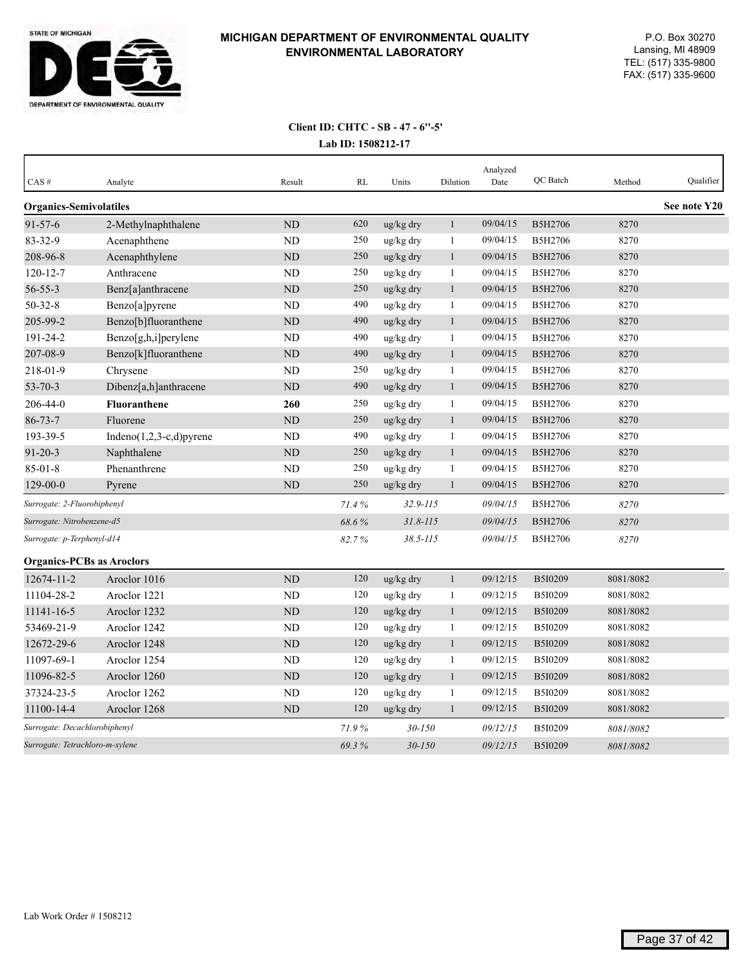

| CAS#                             | Analyte                     | Result    | RL    | Units        | Dilution     | Analyzed<br>Date | QC Batch       | Method    | Qualifier    |
|----------------------------------|-----------------------------|-----------|-------|--------------|--------------|------------------|----------------|-----------|--------------|
| <b>Organics-Semivolatiles</b>    |                             |           |       |              |              |                  |                |           | See note Y20 |
| $91 - 57 - 6$                    | 2-Methylnaphthalene         | ND        | 620   | ug/kg dry    | $\mathbf{1}$ | 09/04/15         | B5H2706        | 8270      |              |
| 83-32-9                          | Acenaphthene                | <b>ND</b> | 250   | ug/kg dry    | 1            | 09/04/15         | B5H2706        | 8270      |              |
| 208-96-8                         | Acenaphthylene              | <b>ND</b> | 250   | ug/kg dry    | 1            | 09/04/15         | B5H2706        | 8270      |              |
| $120 - 12 - 7$                   | Anthracene                  | ND        | 250   | ug/kg dry    | 1            | 09/04/15         | B5H2706        | 8270      |              |
| $56 - 55 - 3$                    | Benz[a]anthracene           | ND        | 250   | ug/kg dry    | $\mathbf{1}$ | 09/04/15         | B5H2706        | 8270      |              |
| $50 - 32 - 8$                    | Benzo[a]pyrene              | <b>ND</b> | 490   | ug/kg dry    | $\mathbf{1}$ | 09/04/15         | B5H2706        | 8270      |              |
| 205-99-2                         | Benzo[b]fluoranthene        | <b>ND</b> | 490   | ug/kg dry    | $\mathbf{1}$ | 09/04/15         | B5H2706        | 8270      |              |
| 191-24-2                         | Benzo[g,h,i]perylene        | ND        | 490   | ug/kg dry    | $\mathbf{1}$ | 09/04/15         | B5H2706        | 8270      |              |
| 207-08-9                         | Benzo[k]fluoranthene        | <b>ND</b> | 490   | ug/kg dry    | $\mathbf{1}$ | 09/04/15         | B5H2706        | 8270      |              |
| 218-01-9                         | Chrysene                    | ND        | 250   | ug/kg dry    | 1            | 09/04/15         | B5H2706        | 8270      |              |
| $53 - 70 - 3$                    | Dibenz[a,h]anthracene       | <b>ND</b> | 490   | ug/kg dry    | $\mathbf{1}$ | 09/04/15         | B5H2706        | 8270      |              |
| 206-44-0                         | <b>Fluoranthene</b>         | 260       | 250   | ug/kg dry    | 1            | 09/04/15         | B5H2706        | 8270      |              |
| $86 - 73 - 7$                    | Fluorene                    | ND        | 250   | ug/kg dry    | $\mathbf{1}$ | 09/04/15         | B5H2706        | 8270      |              |
| 193-39-5                         | Indeno $(1,2,3-c,d)$ pyrene | <b>ND</b> | 490   | ug/kg dry    | $\mathbf{1}$ | 09/04/15         | B5H2706        | 8270      |              |
| $91 - 20 - 3$                    | Naphthalene                 | ND        | 250   | ug/kg dry    | $\mathbf{1}$ | 09/04/15         | B5H2706        | 8270      |              |
| $85 - 01 - 8$                    | Phenanthrene                | <b>ND</b> | 250   | ug/kg dry    | $\mathbf{1}$ | 09/04/15         | B5H2706        | 8270      |              |
| $129 - 00 - 0$                   | Pyrene                      | ND        | 250   | ug/kg dry    | $\mathbf{1}$ | 09/04/15         | B5H2706        | 8270      |              |
| Surrogate: 2-Fluorobiphenyl      |                             |           | 71.4% | $32.9 - 115$ |              | 09/04/15         | B5H2706        | 8270      |              |
| Surrogate: Nitrobenzene-d5       |                             |           | 68.6% | $31.8 - 115$ |              | 09/04/15         | B5H2706        | 8270      |              |
| Surrogate: p-Terphenyl-d14       |                             |           | 82.7% | $38.5 - 115$ |              | 09/04/15         | <b>B5H2706</b> | 8270      |              |
| <b>Organics-PCBs as Aroclors</b> |                             |           |       |              |              |                  |                |           |              |
| 12674-11-2                       | Aroclor 1016                | ND        | 120   | ug/kg dry    | $\mathbf{1}$ | 09/12/15         | B5I0209        | 8081/8082 |              |
| 11104-28-2                       | Aroclor 1221                | <b>ND</b> | 120   | ug/kg dry    | $\mathbf{1}$ | 09/12/15         | B5I0209        | 8081/8082 |              |
| 11141-16-5                       | Aroclor 1232                | <b>ND</b> | 120   | ug/kg dry    | $\mathbf{1}$ | 09/12/15         | B5I0209        | 8081/8082 |              |
| 53469-21-9                       | Aroclor 1242                | ND        | 120   | ug/kg dry    | $\mathbf{1}$ | 09/12/15         | B5I0209        | 8081/8082 |              |
| 12672-29-6                       | Aroclor 1248                | ND        | 120   | ug/kg dry    | $\mathbf{1}$ | 09/12/15         | B5I0209        | 8081/8082 |              |
| 11097-69-1                       | Aroclor 1254                | ND        | 120   | ug/kg dry    | 1            | 09/12/15         | B5I0209        | 8081/8082 |              |
| 11096-82-5                       | Aroclor 1260                | <b>ND</b> | 120   | ug/kg dry    | 1            | 09/12/15         | B5I0209        | 8081/8082 |              |
| 37324-23-5                       | Aroclor 1262                | ND        | 120   | ug/kg dry    | 1            | 09/12/15         | B5I0209        | 8081/8082 |              |
| 11100-14-4                       | Aroclor 1268                | <b>ND</b> | 120   | ug/kg dry    | $\mathbf{1}$ | 09/12/15         | B5I0209        | 8081/8082 |              |
| Surrogate: Decachlorobiphenyl    |                             |           | 71.9% | 30-150       |              | 09/12/15         | B5I0209        | 8081/8082 |              |
| Surrogate: Tetrachloro-m-xylene  |                             |           | 69.3% | $30 - 150$   |              | 09/12/15         | <b>B5I0209</b> | 8081/8082 |              |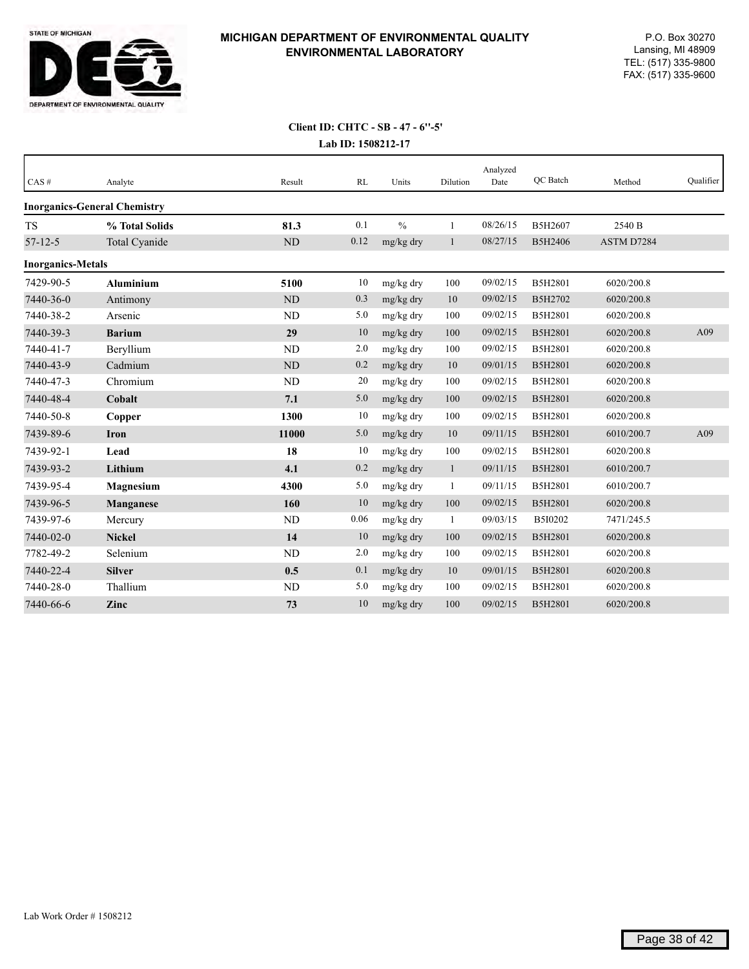

| CAS#                     | Analyte                             | Result    | RL   | Units         | Dilution     | Analyzed<br>Date | QC Batch | Method     | Qualifier |
|--------------------------|-------------------------------------|-----------|------|---------------|--------------|------------------|----------|------------|-----------|
|                          | <b>Inorganics-General Chemistry</b> |           |      |               |              |                  |          |            |           |
| <b>TS</b>                | % Total Solids                      | 81.3      | 0.1  | $\frac{0}{0}$ | $\mathbf{1}$ | 08/26/15         | B5H2607  | 2540 B     |           |
| $57 - 12 - 5$            | Total Cyanide                       | $\rm ND$  | 0.12 | mg/kg dry     | 1            | 08/27/15         | B5H2406  | ASTM D7284 |           |
| <b>Inorganics-Metals</b> |                                     |           |      |               |              |                  |          |            |           |
| 7429-90-5                | <b>Aluminium</b>                    | 5100      | 10   | mg/kg dry     | 100          | 09/02/15         | B5H2801  | 6020/200.8 |           |
| 7440-36-0                | Antimony                            | <b>ND</b> | 0.3  | mg/kg dry     | 10           | 09/02/15         | B5H2702  | 6020/200.8 |           |
| 7440-38-2                | Arsenic                             | ND        | 5.0  | mg/kg dry     | 100          | 09/02/15         | B5H2801  | 6020/200.8 |           |
| 7440-39-3                | <b>Barium</b>                       | 29        | 10   | mg/kg dry     | 100          | 09/02/15         | B5H2801  | 6020/200.8 | A09       |
| 7440-41-7                | Beryllium                           | ND        | 2.0  | mg/kg dry     | 100          | 09/02/15         | B5H2801  | 6020/200.8 |           |
| 7440-43-9                | Cadmium                             | <b>ND</b> | 0.2  | mg/kg dry     | 10           | 09/01/15         | B5H2801  | 6020/200.8 |           |
| 7440-47-3                | Chromium                            | ND        | 20   | mg/kg dry     | 100          | 09/02/15         | B5H2801  | 6020/200.8 |           |
| 7440-48-4                | Cobalt                              | 7.1       | 5.0  | mg/kg dry     | 100          | 09/02/15         | B5H2801  | 6020/200.8 |           |
| 7440-50-8                | Copper                              | 1300      | 10   | mg/kg dry     | 100          | 09/02/15         | B5H2801  | 6020/200.8 |           |
| 7439-89-6                | <b>Iron</b>                         | 11000     | 5.0  | mg/kg dry     | 10           | 09/11/15         | B5H2801  | 6010/200.7 | A09       |
| 7439-92-1                | Lead                                | 18        | 10   | mg/kg dry     | 100          | 09/02/15         | B5H2801  | 6020/200.8 |           |
| 7439-93-2                | Lithium                             | 4.1       | 0.2  | mg/kg dry     | $\mathbf{1}$ | 09/11/15         | B5H2801  | 6010/200.7 |           |
| 7439-95-4                | Magnesium                           | 4300      | 5.0  | mg/kg dry     | 1            | 09/11/15         | B5H2801  | 6010/200.7 |           |
| 7439-96-5                | Manganese                           | 160       | 10   | mg/kg dry     | 100          | 09/02/15         | B5H2801  | 6020/200.8 |           |
| 7439-97-6                | Mercury                             | ND        | 0.06 | mg/kg dry     | 1            | 09/03/15         | B5I0202  | 7471/245.5 |           |
| 7440-02-0                | <b>Nickel</b>                       | 14        | 10   | mg/kg dry     | 100          | 09/02/15         | B5H2801  | 6020/200.8 |           |
| 7782-49-2                | Selenium                            | ND        | 2.0  | mg/kg dry     | 100          | 09/02/15         | B5H2801  | 6020/200.8 |           |
| 7440-22-4                | <b>Silver</b>                       | 0.5       | 0.1  | mg/kg dry     | 10           | 09/01/15         | B5H2801  | 6020/200.8 |           |
| 7440-28-0                | Thallium                            | <b>ND</b> | 5.0  | mg/kg dry     | 100          | 09/02/15         | B5H2801  | 6020/200.8 |           |
| 7440-66-6                | Zinc                                | 73        | 10   | mg/kg dry     | 100          | 09/02/15         | B5H2801  | 6020/200.8 |           |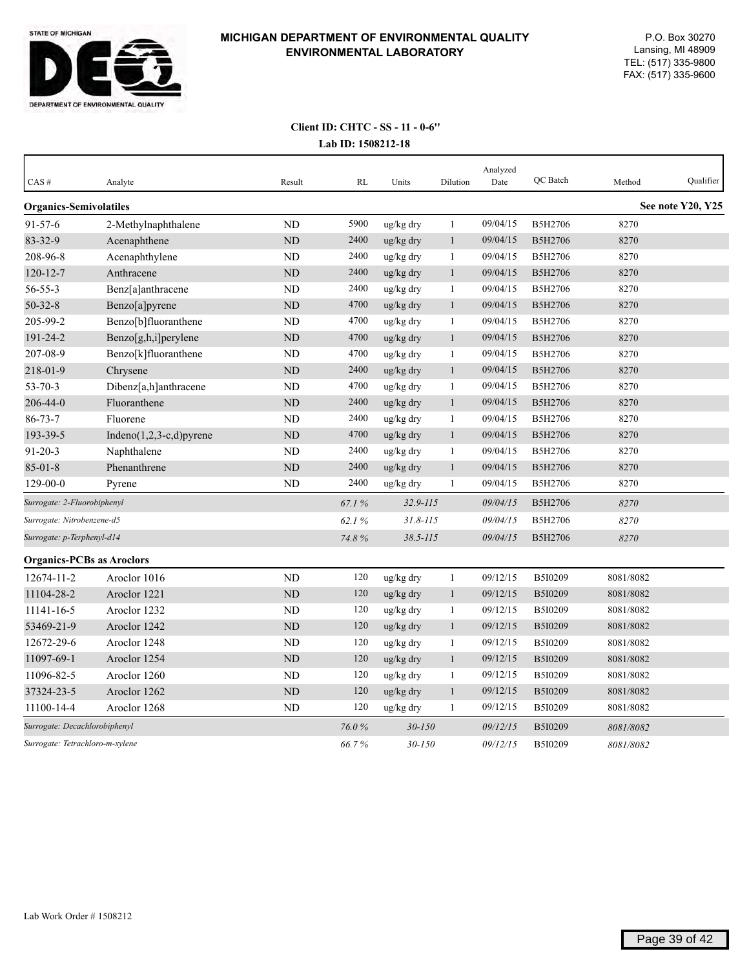

#### **Lab ID: 1508212-18 Client ID: CHTC - SS - 11 - 0-6''**

| CAS#                             | Analyte                     | Result         | RL    | Units        | Dilution     | Analyzed<br>Date | QC Batch       | Method    | Qualifier         |
|----------------------------------|-----------------------------|----------------|-------|--------------|--------------|------------------|----------------|-----------|-------------------|
|                                  |                             |                |       |              |              |                  |                |           |                   |
| <b>Organics-Semivolatiles</b>    |                             |                |       |              |              |                  |                |           | See note Y20, Y25 |
| $91 - 57 - 6$                    | 2-Methylnaphthalene         | <b>ND</b>      | 5900  | ug/kg dry    | $\mathbf{1}$ | 09/04/15         | B5H2706        | 8270      |                   |
| 83-32-9                          | Acenaphthene                | ND             | 2400  | ug/kg dry    | $\mathbf{1}$ | 09/04/15         | B5H2706        | 8270      |                   |
| 208-96-8                         | Acenaphthylene              | ND             | 2400  | ug/kg dry    | $\mathbf{1}$ | 09/04/15         | B5H2706        | 8270      |                   |
| $120 - 12 - 7$                   | Anthracene                  | <b>ND</b>      | 2400  | ug/kg dry    | $\mathbf{1}$ | 09/04/15         | B5H2706        | 8270      |                   |
| $56 - 55 - 3$                    | Benz[a]anthracene           | N <sub>D</sub> | 2400  | ug/kg dry    | $\mathbf{1}$ | 09/04/15         | B5H2706        | 8270      |                   |
| $50 - 32 - 8$                    | Benzo[a]pyrene              | ND             | 4700  | ug/kg dry    | $\mathbf{1}$ | 09/04/15         | B5H2706        | 8270      |                   |
| 205-99-2                         | Benzo[b]fluoranthene        | ND             | 4700  | ug/kg dry    | 1            | 09/04/15         | B5H2706        | 8270      |                   |
| 191-24-2                         | Benzo[g,h,i]perylene        | ND             | 4700  | ug/kg dry    | $\mathbf{1}$ | 09/04/15         | B5H2706        | 8270      |                   |
| 207-08-9                         | Benzo[k]fluoranthene        | <b>ND</b>      | 4700  | ug/kg dry    | $\mathbf{1}$ | 09/04/15         | B5H2706        | 8270      |                   |
| 218-01-9                         | Chrysene                    | ND             | 2400  | ug/kg dry    | $\mathbf{1}$ | 09/04/15         | B5H2706        | 8270      |                   |
| $53 - 70 - 3$                    | Dibenz[a,h]anthracene       | ND             | 4700  | ug/kg dry    | $\mathbf{1}$ | 09/04/15         | B5H2706        | 8270      |                   |
| 206-44-0                         | Fluoranthene                | <b>ND</b>      | 2400  | ug/kg dry    | $\mathbf{1}$ | 09/04/15         | B5H2706        | 8270      |                   |
| $86 - 73 - 7$                    | Fluorene                    | ND             | 2400  | ug/kg dry    | 1            | 09/04/15         | B5H2706        | 8270      |                   |
| 193-39-5                         | Indeno $(1,2,3-c,d)$ pyrene | $\rm ND$       | 4700  | ug/kg dry    | $\mathbf{1}$ | 09/04/15         | B5H2706        | 8270      |                   |
| $91 - 20 - 3$                    | Naphthalene                 | <b>ND</b>      | 2400  | ug/kg dry    | 1            | 09/04/15         | B5H2706        | 8270      |                   |
| $85 - 01 - 8$                    | Phenanthrene                | ND             | 2400  | ug/kg dry    | $\mathbf{1}$ | 09/04/15         | B5H2706        | 8270      |                   |
| 129-00-0                         | Pyrene                      | ${\rm ND}$     | 2400  | ug/kg dry    | $\mathbf{1}$ | 09/04/15         | B5H2706        | 8270      |                   |
| Surrogate: 2-Fluorobiphenyl      |                             |                | 67.1% | 32.9-115     |              | 09/04/15         | B5H2706        | 8270      |                   |
| Surrogate: Nitrobenzene-d5       |                             |                | 62.1% | $31.8 - 115$ |              | 09/04/15         | B5H2706        | 8270      |                   |
| Surrogate: p-Terphenyl-d14       |                             |                | 74.8% | $38.5 - 115$ |              | 09/04/15         | <b>B5H2706</b> | 8270      |                   |
| <b>Organics-PCBs as Aroclors</b> |                             |                |       |              |              |                  |                |           |                   |
| 12674-11-2                       | Aroclor 1016                | ND             | 120   | ug/kg dry    | $\mathbf{1}$ | 09/12/15         | B5I0209        | 8081/8082 |                   |
| 11104-28-2                       | Aroclor 1221                | $\rm ND$       | 120   | ug/kg dry    | $\mathbf{1}$ | 09/12/15         | B5I0209        | 8081/8082 |                   |
| 11141-16-5                       | Aroclor 1232                | <b>ND</b>      | 120   | ug/kg dry    | $\mathbf{1}$ | 09/12/15         | B5I0209        | 8081/8082 |                   |
| 53469-21-9                       | Aroclor 1242                | ND             | 120   | ug/kg dry    | $\mathbf{1}$ | 09/12/15         | B5I0209        | 8081/8082 |                   |
| 12672-29-6                       | Aroclor 1248                | ND             | 120   | ug/kg dry    | $\mathbf{1}$ | 09/12/15         | B5I0209        | 8081/8082 |                   |
| 11097-69-1                       | Aroclor 1254                | <b>ND</b>      | 120   | ug/kg dry    | 1            | 09/12/15         | B5I0209        | 8081/8082 |                   |
| 11096-82-5                       | Aroclor 1260                | <b>ND</b>      | 120   | ug/kg dry    | $\mathbf{1}$ | 09/12/15         | B5I0209        | 8081/8082 |                   |
| 37324-23-5                       | Aroclor 1262                | <b>ND</b>      | 120   | ug/kg dry    | 1            | 09/12/15         | B5I0209        | 8081/8082 |                   |
| 11100-14-4                       | Aroclor 1268                | <b>ND</b>      | 120   | ug/kg dry    | 1            | 09/12/15         | B5I0209        | 8081/8082 |                   |
| Surrogate: Decachlorobiphenyl    |                             |                | 76.0% | $30 - 150$   |              | 09/12/15         | B5I0209        | 8081/8082 |                   |
| Surrogate: Tetrachloro-m-xylene  |                             |                | 66.7% | $30 - 150$   |              | 09/12/15         | B5I0209        | 8081/8082 |                   |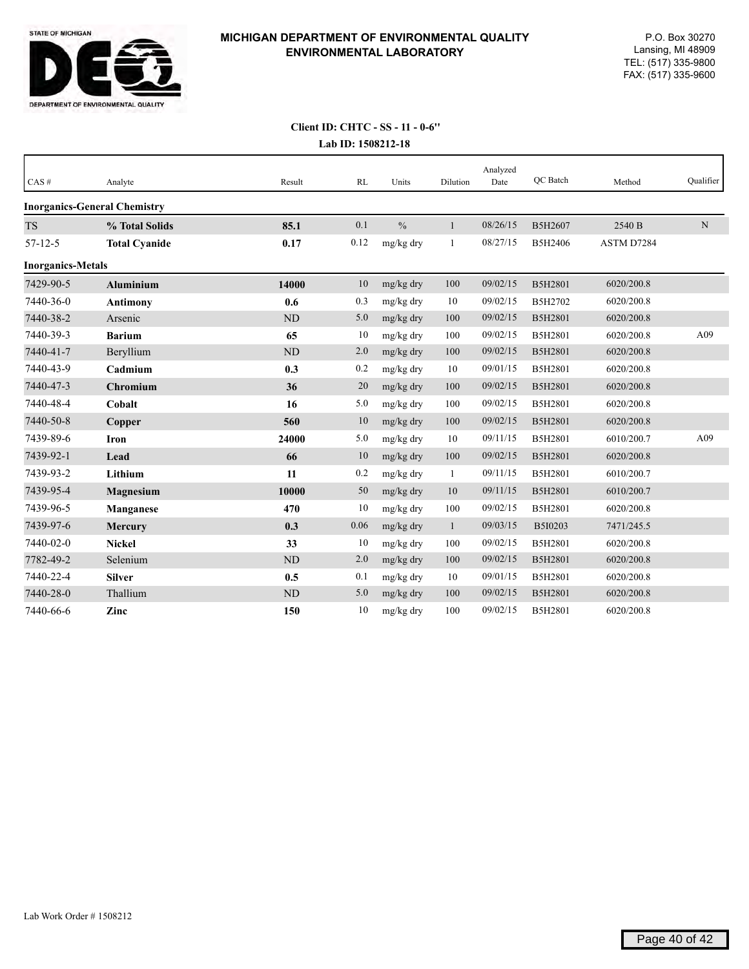

#### **Lab ID: 1508212-18 Client ID: CHTC - SS - 11 - 0-6''**

| CAS#                     | Analyte                             | Result    | RL   | Units         | Dilution     | Analyzed<br>Date | QC Batch       | Method     | Oualifier   |
|--------------------------|-------------------------------------|-----------|------|---------------|--------------|------------------|----------------|------------|-------------|
|                          | <b>Inorganics-General Chemistry</b> |           |      |               |              |                  |                |            |             |
| <b>TS</b>                | % Total Solids                      | 85.1      | 0.1  | $\frac{0}{0}$ | $\mathbf{1}$ | 08/26/15         | B5H2607        | 2540 B     | $\mathbf N$ |
| $57 - 12 - 5$            | <b>Total Cyanide</b>                | 0.17      | 0.12 | mg/kg dry     | $\mathbf{1}$ | 08/27/15         | B5H2406        | ASTM D7284 |             |
| <b>Inorganics-Metals</b> |                                     |           |      |               |              |                  |                |            |             |
| 7429-90-5                | <b>Aluminium</b>                    | 14000     | 10   | mg/kg dry     | 100          | 09/02/15         | B5H2801        | 6020/200.8 |             |
| 7440-36-0                | <b>Antimony</b>                     | 0.6       | 0.3  | mg/kg dry     | 10           | 09/02/15         | B5H2702        | 6020/200.8 |             |
| 7440-38-2                | Arsenic                             | ND        | 5.0  | mg/kg dry     | 100          | 09/02/15         | B5H2801        | 6020/200.8 |             |
| 7440-39-3                | <b>Barium</b>                       | 65        | 10   | mg/kg dry     | 100          | 09/02/15         | B5H2801        | 6020/200.8 | A09         |
| 7440-41-7                | Beryllium                           | $\rm ND$  | 2.0  | mg/kg dry     | 100          | 09/02/15         | <b>B5H2801</b> | 6020/200.8 |             |
| 7440-43-9                | Cadmium                             | 0.3       | 0.2  | mg/kg dry     | 10           | 09/01/15         | B5H2801        | 6020/200.8 |             |
| 7440-47-3                | Chromium                            | 36        | 20   | mg/kg dry     | 100          | 09/02/15         | B5H2801        | 6020/200.8 |             |
| 7440-48-4                | Cobalt                              | 16        | 5.0  | mg/kg dry     | 100          | 09/02/15         | B5H2801        | 6020/200.8 |             |
| 7440-50-8                | Copper                              | 560       | 10   | mg/kg dry     | 100          | 09/02/15         | B5H2801        | 6020/200.8 |             |
| 7439-89-6                | Iron                                | 24000     | 5.0  | mg/kg dry     | 10           | 09/11/15         | B5H2801        | 6010/200.7 | A09         |
| 7439-92-1                | Lead                                | 66        | 10   | mg/kg dry     | 100          | 09/02/15         | B5H2801        | 6020/200.8 |             |
| 7439-93-2                | Lithium                             | 11        | 0.2  | mg/kg dry     | $\mathbf{1}$ | 09/11/15         | B5H2801        | 6010/200.7 |             |
| 7439-95-4                | <b>Magnesium</b>                    | 10000     | 50   | mg/kg dry     | 10           | 09/11/15         | B5H2801        | 6010/200.7 |             |
| 7439-96-5                | <b>Manganese</b>                    | 470       | 10   | mg/kg dry     | 100          | 09/02/15         | B5H2801        | 6020/200.8 |             |
| 7439-97-6                | <b>Mercury</b>                      | 0.3       | 0.06 | mg/kg dry     | $\mathbf{1}$ | 09/03/15         | B5I0203        | 7471/245.5 |             |
| 7440-02-0                | <b>Nickel</b>                       | 33        | 10   | mg/kg dry     | 100          | 09/02/15         | B5H2801        | 6020/200.8 |             |
| 7782-49-2                | Selenium                            | ND        | 2.0  | mg/kg dry     | 100          | 09/02/15         | B5H2801        | 6020/200.8 |             |
| 7440-22-4                | <b>Silver</b>                       | 0.5       | 0.1  | mg/kg dry     | 10           | 09/01/15         | B5H2801        | 6020/200.8 |             |
| 7440-28-0                | Thallium                            | <b>ND</b> | 5.0  | mg/kg dry     | 100          | 09/02/15         | B5H2801        | 6020/200.8 |             |
| 7440-66-6                | Zinc                                | 150       | 10   | mg/kg dry     | 100          | 09/02/15         | B5H2801        | 6020/200.8 |             |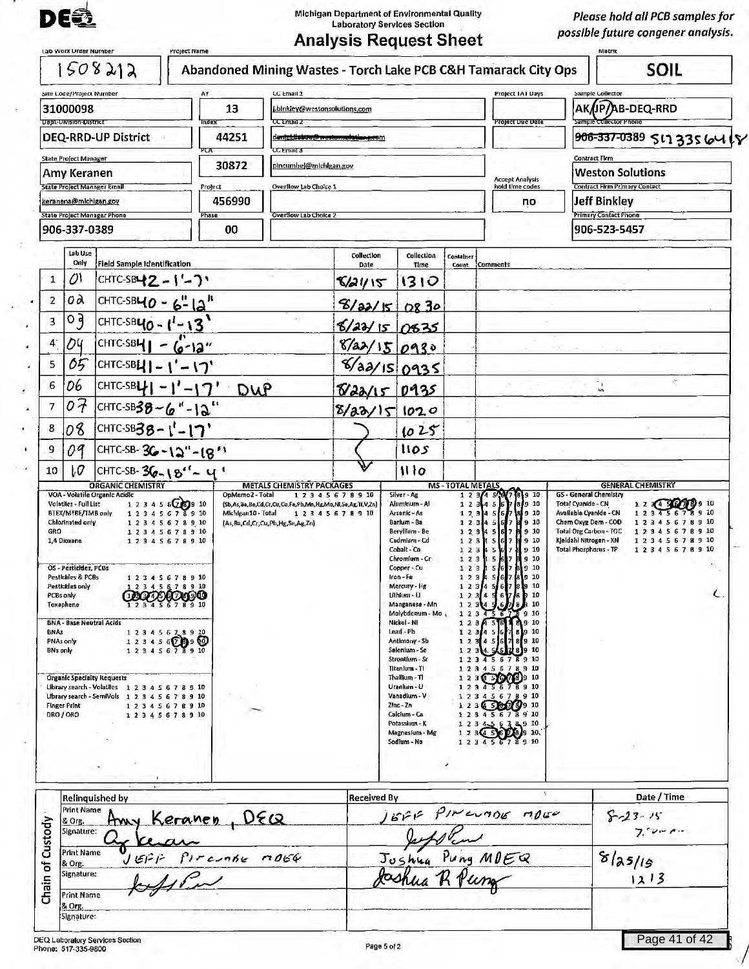

Michigan Department of Environmental Quality Laboratory Services Section

*Please hold all PCB samples for possible future congener analysis.* 

| Abandoned Mining Wastes - Torch Lake PCB C&H Tamarack City Ops<br>LC Email 1<br>13<br>ndex<br>CC Email 2<br>44251<br>d <del>ani<u>ci:</u>Listoa@westonsektianerc</del> om<br><b>CCEmail 3</b>                                                | blnkley@westonsolutions.com                                                                                               |                                                                                                                                                                                                                                                                                                                                                          |                                                                                                                                                                                                                                     | Project IAI Days                                                       | Sample Collector                                                                                                                                                                                                                                                                                                                                                                                                                                                                                                                                                        | <b>SOIL</b>                                                                                                                                                                                                                   |
|----------------------------------------------------------------------------------------------------------------------------------------------------------------------------------------------------------------------------------------------|---------------------------------------------------------------------------------------------------------------------------|----------------------------------------------------------------------------------------------------------------------------------------------------------------------------------------------------------------------------------------------------------------------------------------------------------------------------------------------------------|-------------------------------------------------------------------------------------------------------------------------------------------------------------------------------------------------------------------------------------|------------------------------------------------------------------------|-------------------------------------------------------------------------------------------------------------------------------------------------------------------------------------------------------------------------------------------------------------------------------------------------------------------------------------------------------------------------------------------------------------------------------------------------------------------------------------------------------------------------------------------------------------------------|-------------------------------------------------------------------------------------------------------------------------------------------------------------------------------------------------------------------------------|
|                                                                                                                                                                                                                                              |                                                                                                                           |                                                                                                                                                                                                                                                                                                                                                          |                                                                                                                                                                                                                                     |                                                                        |                                                                                                                                                                                                                                                                                                                                                                                                                                                                                                                                                                         |                                                                                                                                                                                                                               |
|                                                                                                                                                                                                                                              |                                                                                                                           |                                                                                                                                                                                                                                                                                                                                                          |                                                                                                                                                                                                                                     |                                                                        |                                                                                                                                                                                                                                                                                                                                                                                                                                                                                                                                                                         | AK/JP/AB-DEQ-RRD                                                                                                                                                                                                              |
|                                                                                                                                                                                                                                              |                                                                                                                           |                                                                                                                                                                                                                                                                                                                                                          |                                                                                                                                                                                                                                     | <b>Project Due Date</b>                                                | Sample Collector Phone                                                                                                                                                                                                                                                                                                                                                                                                                                                                                                                                                  | 906-337-0389 517 3356418                                                                                                                                                                                                      |
|                                                                                                                                                                                                                                              |                                                                                                                           |                                                                                                                                                                                                                                                                                                                                                          |                                                                                                                                                                                                                                     |                                                                        | <b>Contract Firm</b>                                                                                                                                                                                                                                                                                                                                                                                                                                                                                                                                                    |                                                                                                                                                                                                                               |
| 30872                                                                                                                                                                                                                                        | pincumbej@michigan.gov                                                                                                    |                                                                                                                                                                                                                                                                                                                                                          |                                                                                                                                                                                                                                     | <b>Accept Analysis</b>                                                 | <b>Weston Solutions</b>                                                                                                                                                                                                                                                                                                                                                                                                                                                                                                                                                 |                                                                                                                                                                                                                               |
| Project<br>Overflow Lab Choice 1<br>456990                                                                                                                                                                                                   |                                                                                                                           |                                                                                                                                                                                                                                                                                                                                                          |                                                                                                                                                                                                                                     | hold time codes<br>no                                                  | <b>Contract Firm Primary Contact</b><br><b>Jeff Binkley</b>                                                                                                                                                                                                                                                                                                                                                                                                                                                                                                             |                                                                                                                                                                                                                               |
| <b>Overflow Lab Choice 2</b><br>Phase                                                                                                                                                                                                        |                                                                                                                           |                                                                                                                                                                                                                                                                                                                                                          |                                                                                                                                                                                                                                     |                                                                        | <b>Primary Contact Phone</b>                                                                                                                                                                                                                                                                                                                                                                                                                                                                                                                                            |                                                                                                                                                                                                                               |
|                                                                                                                                                                                                                                              |                                                                                                                           |                                                                                                                                                                                                                                                                                                                                                          |                                                                                                                                                                                                                                     |                                                                        |                                                                                                                                                                                                                                                                                                                                                                                                                                                                                                                                                                         |                                                                                                                                                                                                                               |
| <b>Field Sample Identification</b>                                                                                                                                                                                                           | Collection<br>Date                                                                                                        | <b>Callection</b><br>Time                                                                                                                                                                                                                                                                                                                                | Container                                                                                                                                                                                                                           |                                                                        |                                                                                                                                                                                                                                                                                                                                                                                                                                                                                                                                                                         |                                                                                                                                                                                                                               |
| CHTC-SBL2 - $( - )$                                                                                                                                                                                                                          |                                                                                                                           | 1310                                                                                                                                                                                                                                                                                                                                                     |                                                                                                                                                                                                                                     |                                                                        |                                                                                                                                                                                                                                                                                                                                                                                                                                                                                                                                                                         |                                                                                                                                                                                                                               |
| CHTC-SB <b>40 - 6"</b> $ A'' $                                                                                                                                                                                                               |                                                                                                                           |                                                                                                                                                                                                                                                                                                                                                          |                                                                                                                                                                                                                                     |                                                                        |                                                                                                                                                                                                                                                                                                                                                                                                                                                                                                                                                                         |                                                                                                                                                                                                                               |
| s.<br>CHTC-SB40 - $1 - 13$                                                                                                                                                                                                                   |                                                                                                                           |                                                                                                                                                                                                                                                                                                                                                          |                                                                                                                                                                                                                                     |                                                                        |                                                                                                                                                                                                                                                                                                                                                                                                                                                                                                                                                                         |                                                                                                                                                                                                                               |
| $6 - 12$ "                                                                                                                                                                                                                                   |                                                                                                                           |                                                                                                                                                                                                                                                                                                                                                          |                                                                                                                                                                                                                                     |                                                                        |                                                                                                                                                                                                                                                                                                                                                                                                                                                                                                                                                                         |                                                                                                                                                                                                                               |
| CHTC-SBL $\vert - \vert' - \vert \gamma'$                                                                                                                                                                                                    |                                                                                                                           |                                                                                                                                                                                                                                                                                                                                                          |                                                                                                                                                                                                                                     |                                                                        |                                                                                                                                                                                                                                                                                                                                                                                                                                                                                                                                                                         |                                                                                                                                                                                                                               |
| CHTC-SBL $ -1' - 17'$ DWP                                                                                                                                                                                                                    |                                                                                                                           |                                                                                                                                                                                                                                                                                                                                                          |                                                                                                                                                                                                                                     |                                                                        | i.                                                                                                                                                                                                                                                                                                                                                                                                                                                                                                                                                                      |                                                                                                                                                                                                                               |
| CHTC-SB38-6"-12"                                                                                                                                                                                                                             |                                                                                                                           |                                                                                                                                                                                                                                                                                                                                                          |                                                                                                                                                                                                                                     |                                                                        |                                                                                                                                                                                                                                                                                                                                                                                                                                                                                                                                                                         |                                                                                                                                                                                                                               |
| CHTC-SB38-1'-17'                                                                                                                                                                                                                             |                                                                                                                           | 1025                                                                                                                                                                                                                                                                                                                                                     |                                                                                                                                                                                                                                     |                                                                        |                                                                                                                                                                                                                                                                                                                                                                                                                                                                                                                                                                         |                                                                                                                                                                                                                               |
| CHTC-SB-36-12"-18"                                                                                                                                                                                                                           |                                                                                                                           | 1105                                                                                                                                                                                                                                                                                                                                                     |                                                                                                                                                                                                                                     |                                                                        |                                                                                                                                                                                                                                                                                                                                                                                                                                                                                                                                                                         |                                                                                                                                                                                                                               |
| CHTC-SB-36-18"-4'                                                                                                                                                                                                                            |                                                                                                                           | 1110                                                                                                                                                                                                                                                                                                                                                     |                                                                                                                                                                                                                                     |                                                                        |                                                                                                                                                                                                                                                                                                                                                                                                                                                                                                                                                                         |                                                                                                                                                                                                                               |
| 1 2 3 4 5 6 7 8 9 10<br>12345678910<br>2345678910<br>5606944<br>12345678910<br>12345600900<br>12345678910<br>Library search - Volatiles 1 2 3 4 5 6 7 8 9 10<br>Library search - SemiVols 1 2 3 4 5 6 7 8 9 10<br>12345678910<br>12345678910 |                                                                                                                           | Cadmium - Cd<br>Cobalt - Co<br>Chromium - Cr<br>Copper - Cu<br>Iron-Fe<br>Mercury - Hg<br>Lithium - Li<br>Manganese - Mn<br>Nickel - NI<br>Lead - Pb<br>Antimony - Sb<br>Selenium - Se<br>Strontfum - Sr<br>Titanium - Ti<br>Thalltum - Tl<br>Uranlum - U<br>Vanadium - V<br>Zinc - Zn<br>Calcium - Ca<br>Potassium - K<br>Magnesium - Mg<br>Sodium - Na | 123<br>1 <sub>2</sub><br>12<br>$1\,2$<br>12<br>123<br>123<br>123                                                                                                                                                                    | 610<br>9<br>89 10<br>89 10<br>78910<br>578910<br>78910<br>$(28)$ 9 10. |                                                                                                                                                                                                                                                                                                                                                                                                                                                                                                                                                                         | 12345678910<br>12345678910<br>12345678910                                                                                                                                                                                     |
| <u>. DEQ</u><br>Keranen                                                                                                                                                                                                                      |                                                                                                                           |                                                                                                                                                                                                                                                                                                                                                          |                                                                                                                                                                                                                                     |                                                                        |                                                                                                                                                                                                                                                                                                                                                                                                                                                                                                                                                                         | Date / Time<br>$8 - 23 - 15$<br>$7.70 - 1.4$                                                                                                                                                                                  |
| $f$ <i>reache</i> $1064$                                                                                                                                                                                                                     |                                                                                                                           |                                                                                                                                                                                                                                                                                                                                                          |                                                                                                                                                                                                                                     |                                                                        |                                                                                                                                                                                                                                                                                                                                                                                                                                                                                                                                                                         | 8/25/19<br>1213                                                                                                                                                                                                               |
|                                                                                                                                                                                                                                              |                                                                                                                           |                                                                                                                                                                                                                                                                                                                                                          |                                                                                                                                                                                                                                     |                                                                        |                                                                                                                                                                                                                                                                                                                                                                                                                                                                                                                                                                         |                                                                                                                                                                                                                               |
|                                                                                                                                                                                                                                              | 00<br>OpMemo2 - Total<br>1 2 3 4 5 6 2 3 9 10<br>12345678910<br>Michigan10 - Total<br>12345678910<br>1 2 3 4 5 6 7 8 9 10 | <b>METALS CHEMISTRY PACKAGES</b><br>12345678910<br>(Sb,As,Ba,Be,Cd,Cr,Cu,Co,Fe,Pb,Mn,Hg,Mo,Nl,Se,Ag,Tl,V,Zn)<br>1 2 3 4 5 6 7 8 9 10<br>(As, Ba, Cd, Cr, Cu, Pb, Hg, Se, Ag, Zn)                                                                                                                                                                         | 8/21/15<br>8/22/50830<br>$6/22/15$ 0835<br>8/a2/150930<br>8/aa/150935<br>8/22/15 0935<br>8/22/151020<br>Silver - Ag<br>Alumhum - Al<br>Arsenic - As<br>Barlum - Ba<br>Beryllium - Be<br><b>Received By</b><br>Joshua<br>Page 5 of 2 | 123<br>123<br>Molvbdenum - Mo.                                         | Count Comments<br><b>MS-TOTAL METALS</b><br>45.877891910<br>1 2 3 4 5 6 7 8 9 10<br>1 2 3 4 5 6 7 8 9 10<br>1 2 3 4 5 6 7 8 9 10<br>4 5 6 7 8 9 10<br>$\begin{array}{cccccccccc}\n1 & 2 & 3 & 4 & 5 & 6 & 7 & 8 & 9 & 10 \\ 1 & 2 & 3 & 4 & 5 & 6 & 7 & 8 & 9 & 10\n\end{array}$<br>12345678910<br>$\begin{array}{cccc}\n1 & 2 & 3 & 5 & 5 & 6 & 7 & 8 & 9 & 10 \\ 1 & 2 & 3 & 4 & 5 & 6 & 7 & 8 & 9 & 10\n\end{array}$<br>12345<br>$(500)$ 9 10<br>12345678910<br>3 3 660 g 9 10<br>2345678910<br>345674910<br>1 2 3 4 5 6 7 8 9 10<br>GFIF PINCUADE MORE<br>Pung MDEQ | 906-523-5457<br><b>GENERAL CHEMISTRY</b><br>GS - General Chemistry<br>Total Cyanide - CN<br>Available Cyanide - CN<br>Chem Oxyg Dem - COD<br>Total Org Carbon - TOC<br>Kjeldahl Nitrogen - KN<br><b>Total Phosphorus - TP</b> |